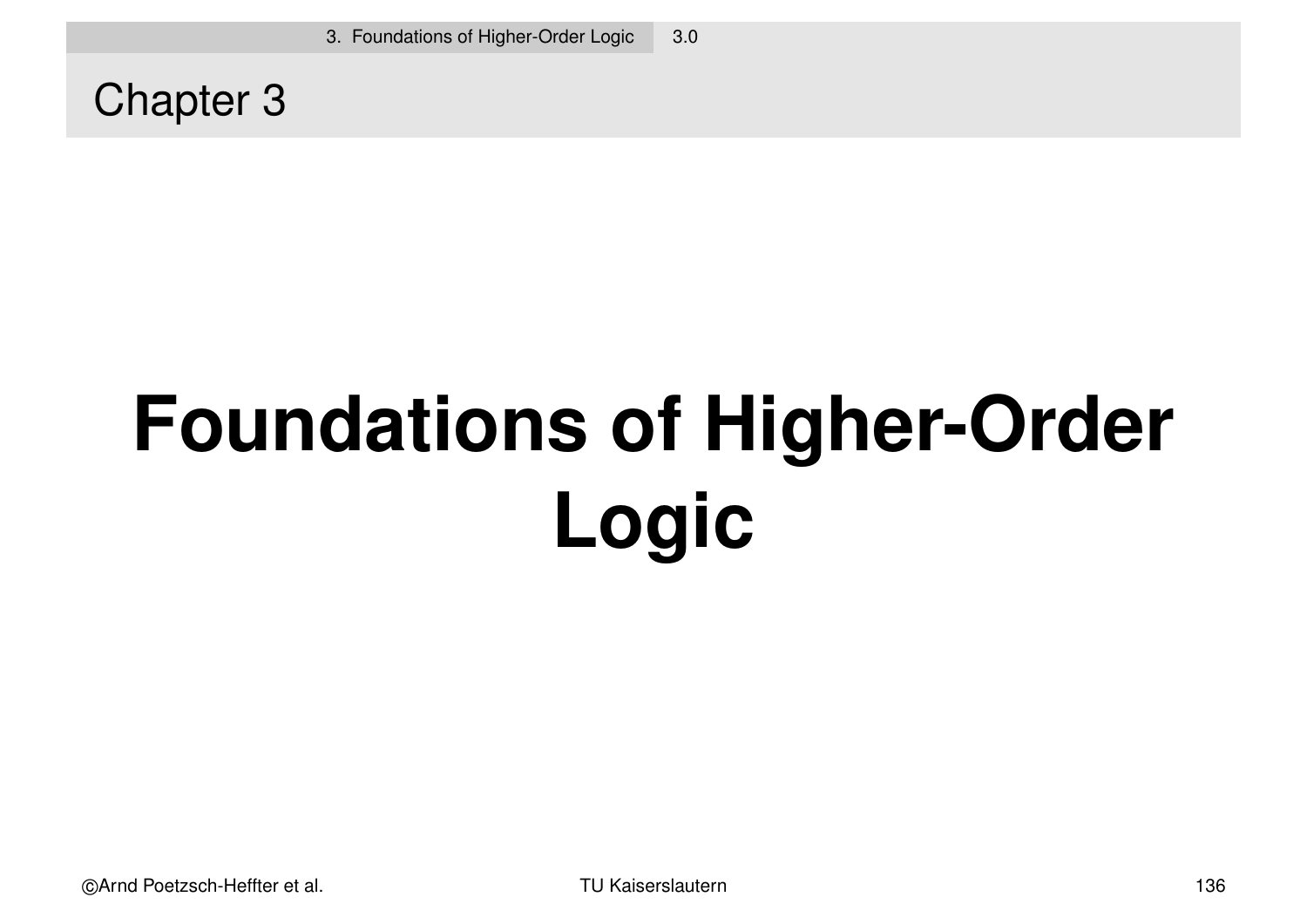Chapter 3

# **Foundations of Higher-Order Logic**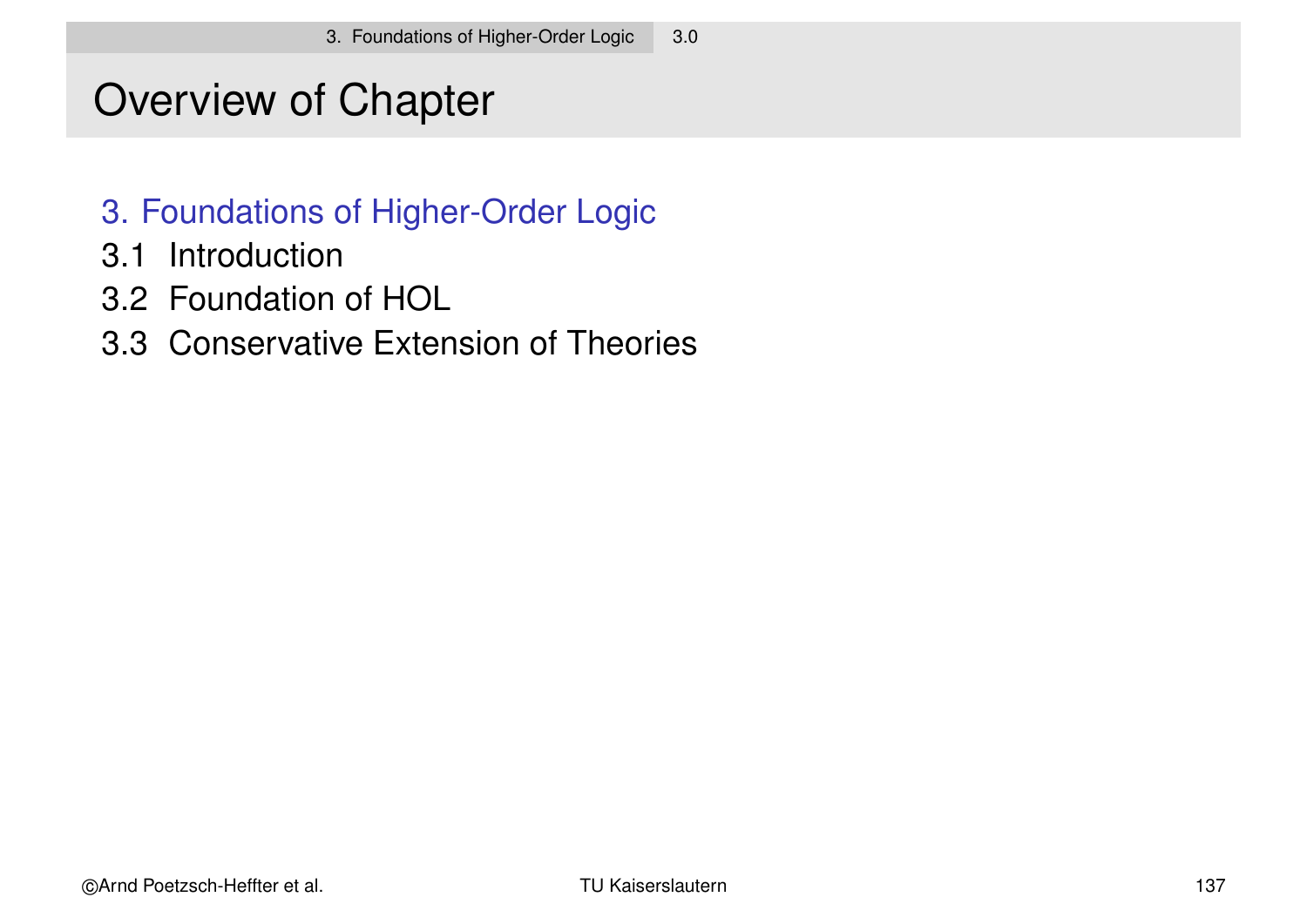# Overview of Chapter

- 3. Foundations of Higher-Order Logic
- 3.1 Introduction
- 3.2 Foundation of HOL
- 3.3 Conservative Extension of Theories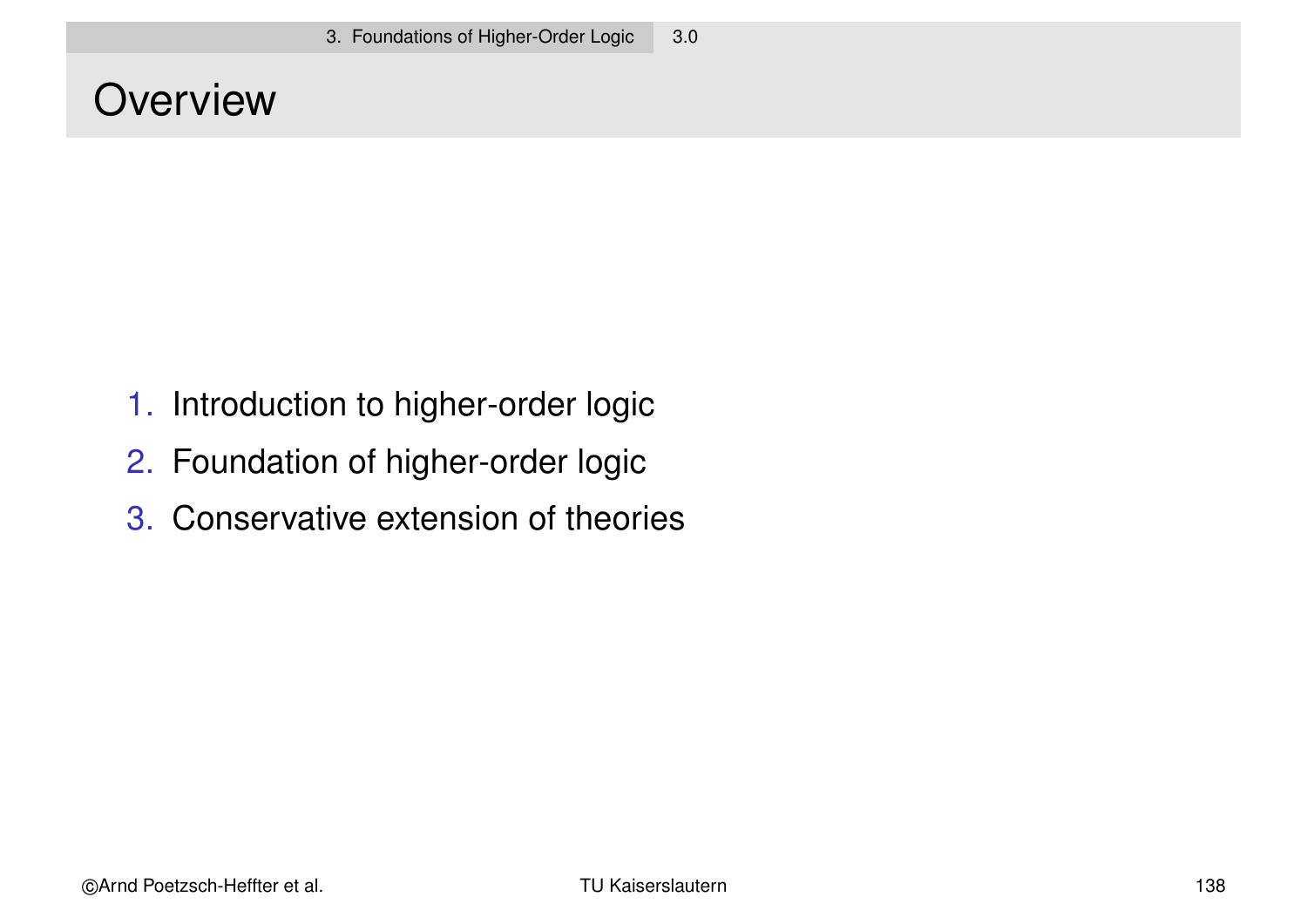### **Overview**

- 1. Introduction to higher-order logic
- 2. Foundation of higher-order logic
- 3. Conservative extension of theories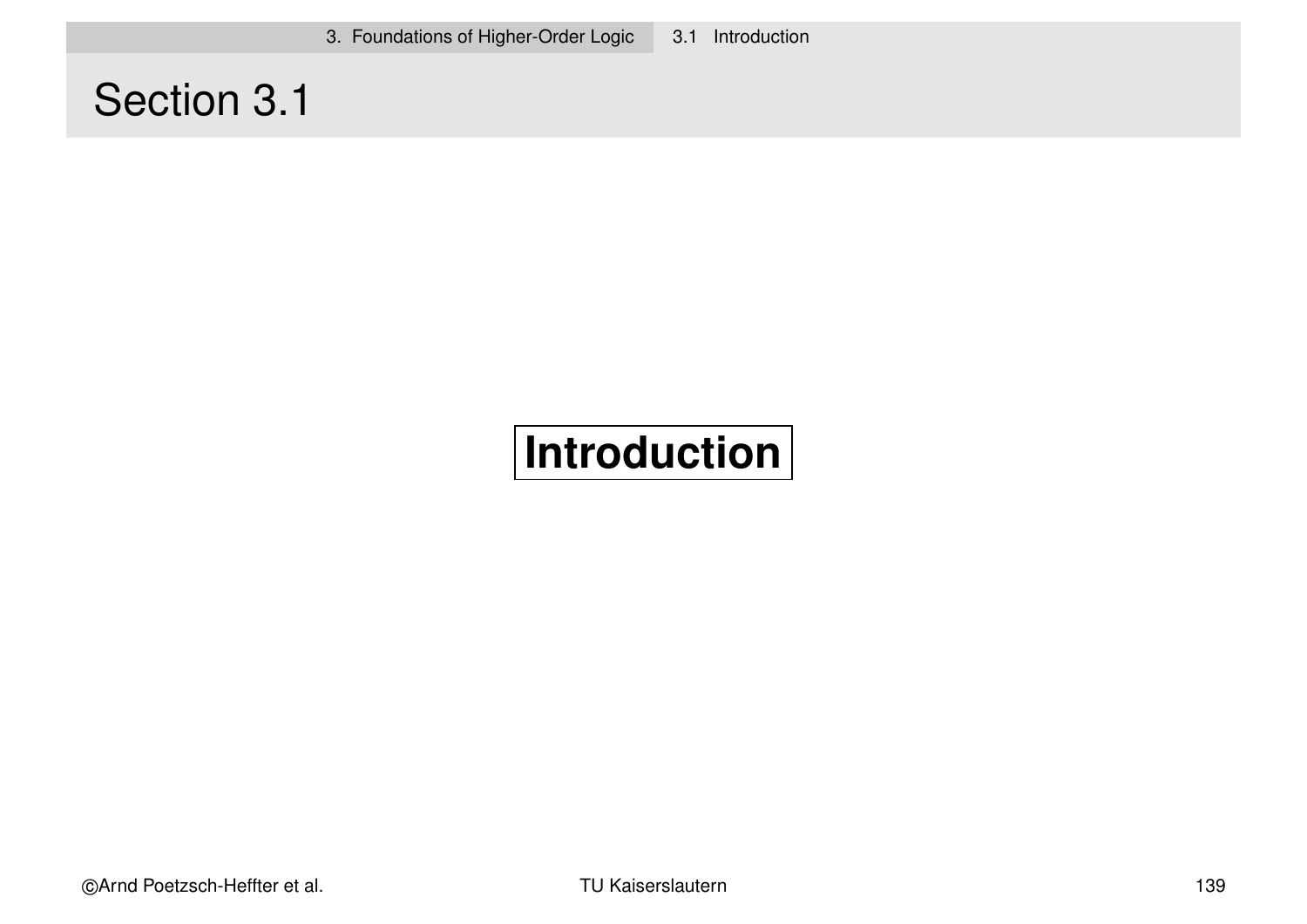3. Foundations of Higher-Order Logic 3.1 Introduction

# Section 3.1

# **Introduction**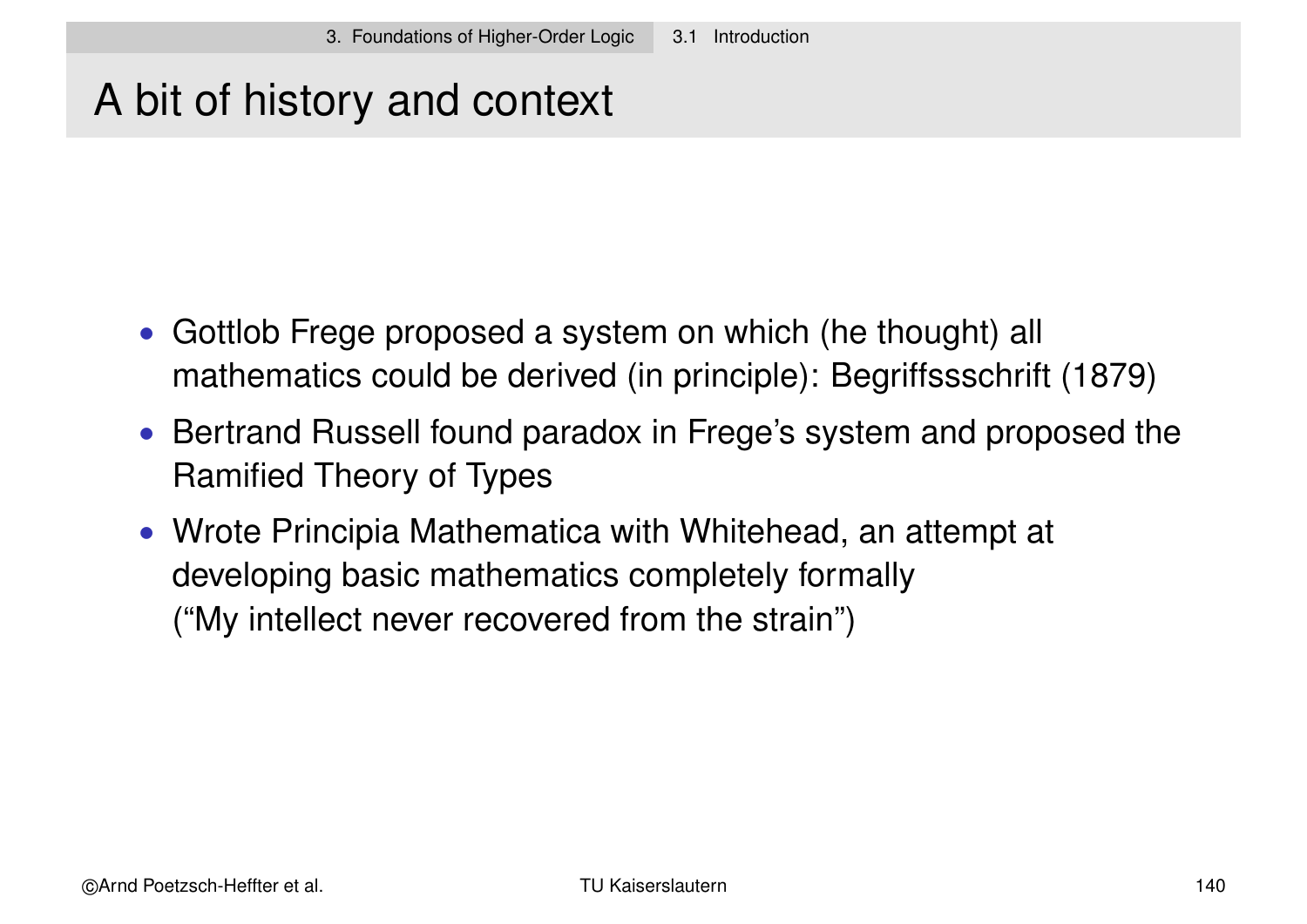# A bit of history and context

- Gottlob Frege proposed a system on which (he thought) all mathematics could be derived (in principle): Begriffssschrift (1879)
- Bertrand Russell found paradox in Frege's system and proposed the Ramified Theory of Types
- Wrote Principia Mathematica with Whitehead, an attempt at developing basic mathematics completely formally ("My intellect never recovered from the strain")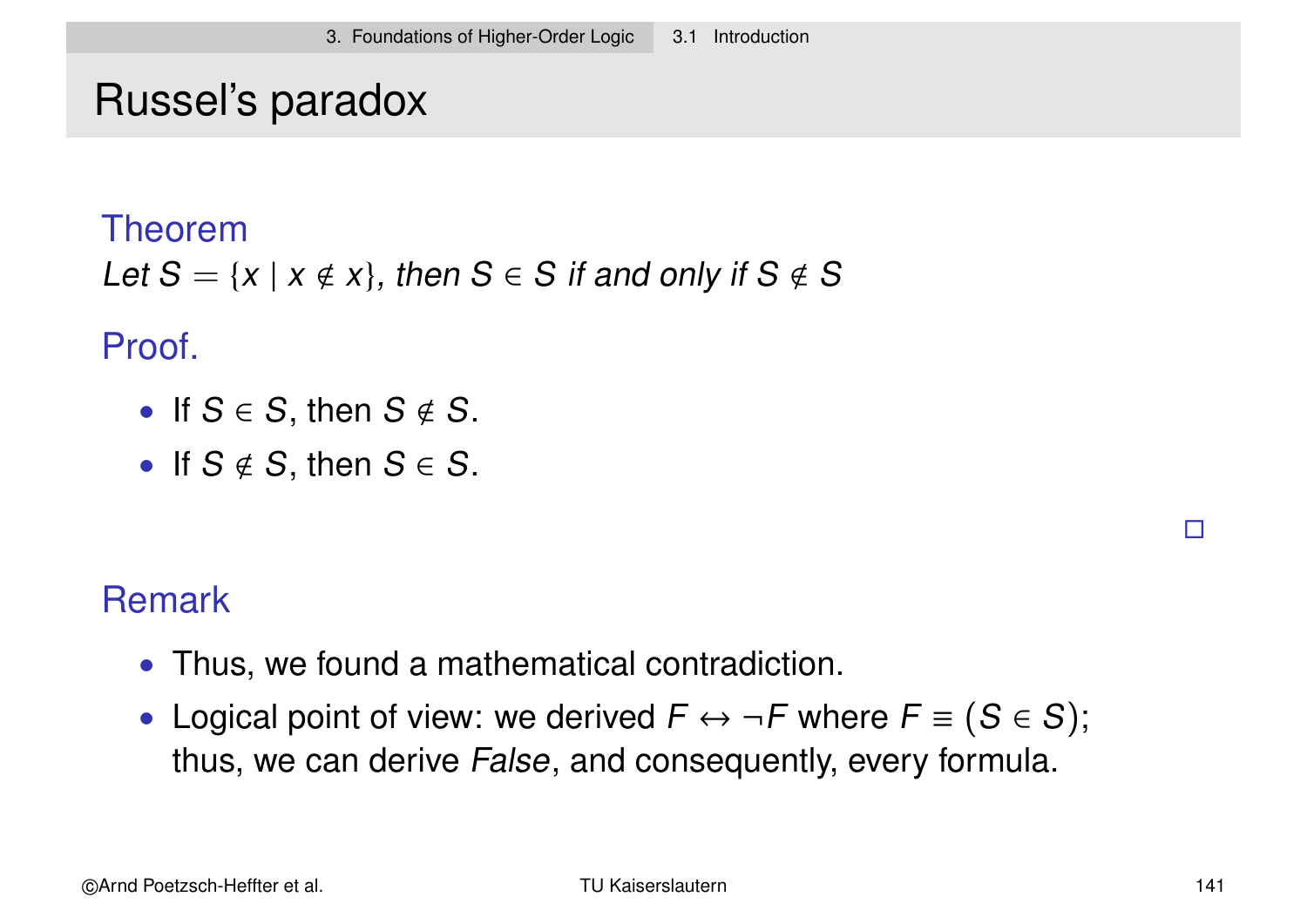### Russel's paradox

#### Theorem

Let 
$$
S = \{x \mid x \notin x\}
$$
, then  $S \in S$  if and only if  $S \notin S$ 

#### Proof.

- If  $S \in S$ , then  $S \notin S$ .
- If  $S \notin S$ , then  $S \in S$ .

### Remark

- Thus, we found a mathematical contradiction.
- Logical point of view: we derived  $F \leftrightarrow \neg F$  where  $F \equiv (S \in S)$ ; thus, we can derive False, and consequently, every formula.

 $\Box$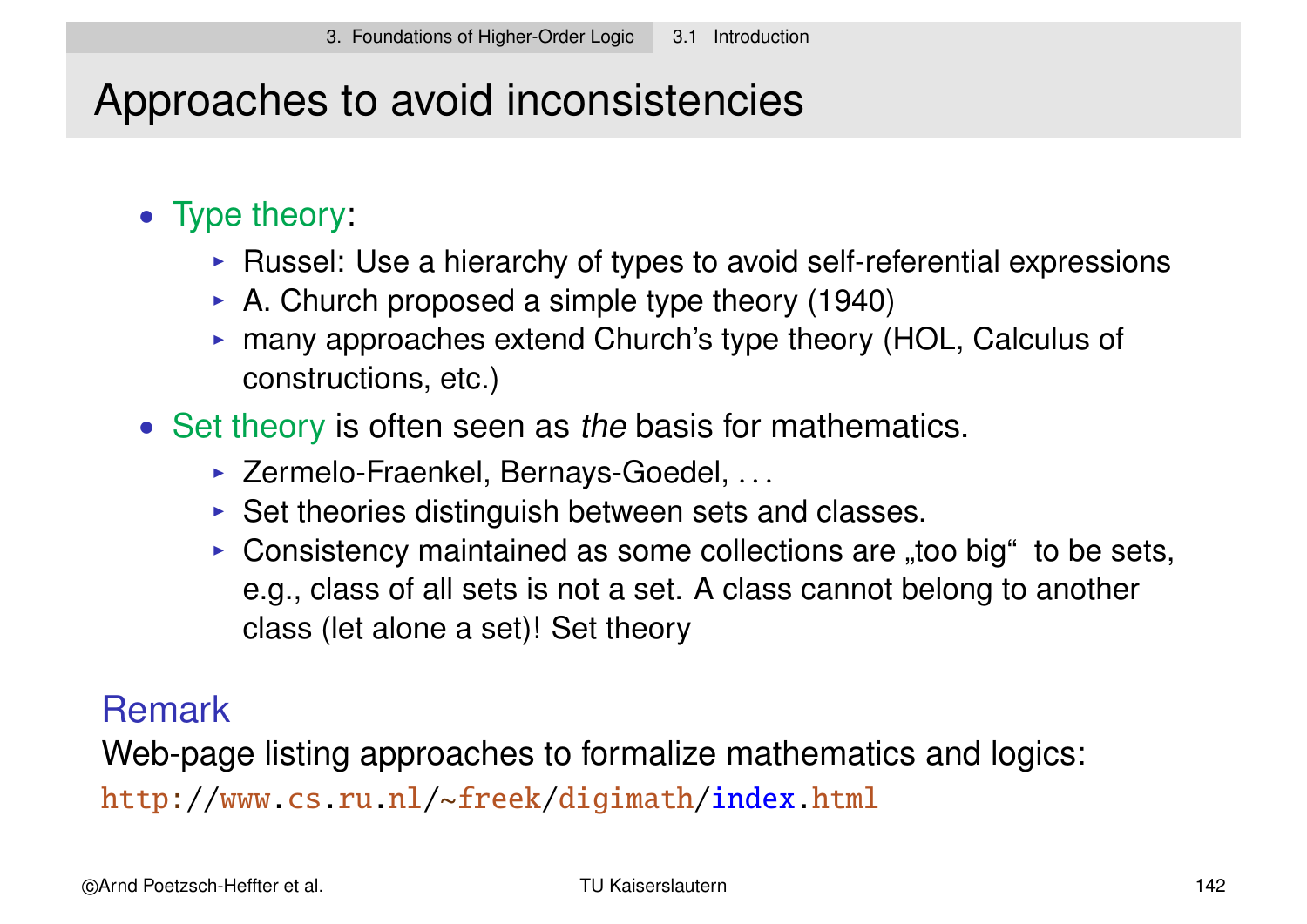# Approaches to avoid inconsistencies

### • Type theory:

- ▶ Russel: Use a hierarchy of types to avoid self-referential expressions
- $\triangleright$  A. Church proposed a simple type theory (1940)
- $\triangleright$  many approaches extend Church's type theory (HOL, Calculus of constructions, etc.)
- Set theory is often seen as the basis for mathematics.
	- ► Zermelo-Fraenkel, Bernays-Goedel, ...
	- $\triangleright$  Set theories distinguish between sets and classes.
	- Consistency maintained as some collections are "too big" to be sets, e.g., class of all sets is not a set. A class cannot belong to another class (let alone a set)! Set theory

### Remark

Web-page listing approaches to formalize mathematics and logics: http://www.cs.ru.nl/~freek/digimath/index.html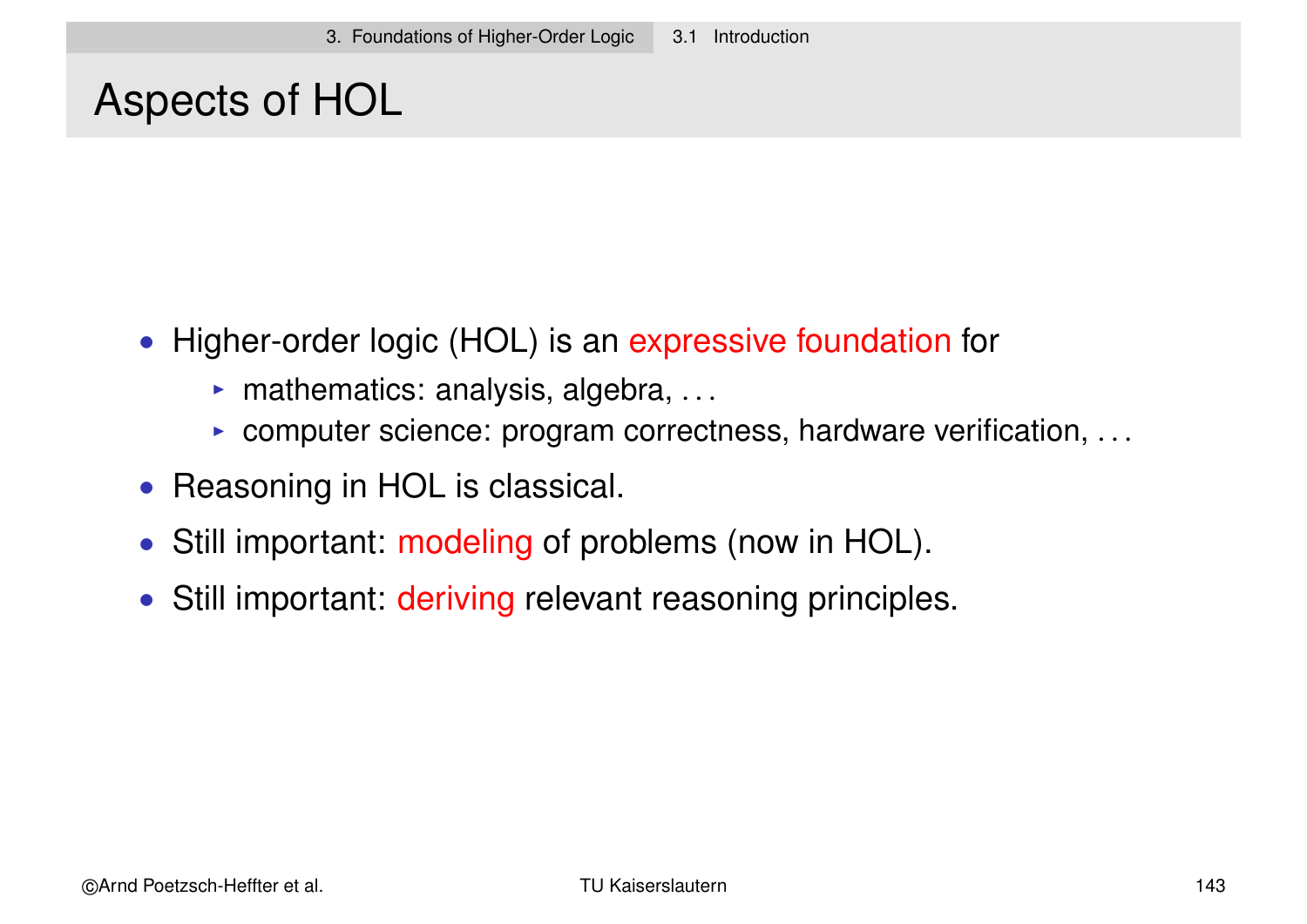### Aspects of HOL

- Higher-order logic (HOL) is an expressive foundation for
	- $\blacktriangleright$  mathematics: analysis, algebra, ...
	- $\triangleright$  computer science: program correctness, hardware verification, ...
- Reasoning in HOL is classical.
- Still important: modeling of problems (now in HOL).
- Still important: deriving relevant reasoning principles.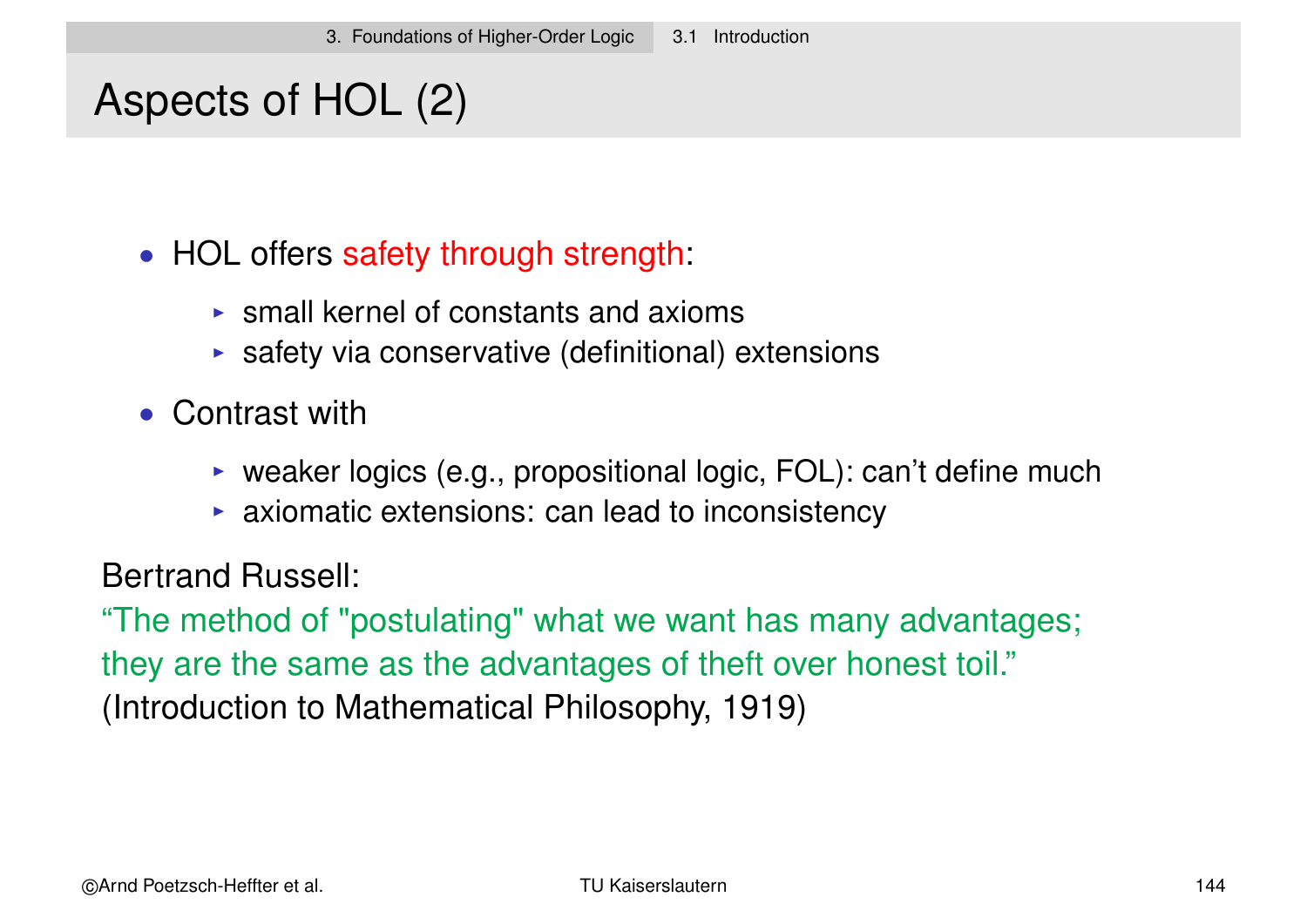# Aspects of HOL (2)

• HOL offers safety through strength:

- $\triangleright$  small kernel of constants and axioms
- $\triangleright$  safety via conservative (definitional) extensions
- Contrast with
	- $\triangleright$  weaker logics (e.g., propositional logic, FOL): can't define much
	- $\triangleright$  axiomatic extensions: can lead to inconsistency

Bertrand Russell:

"The method of "postulating" what we want has many advantages; they are the same as the advantages of theft over honest toil." (Introduction to Mathematical Philosophy, 1919)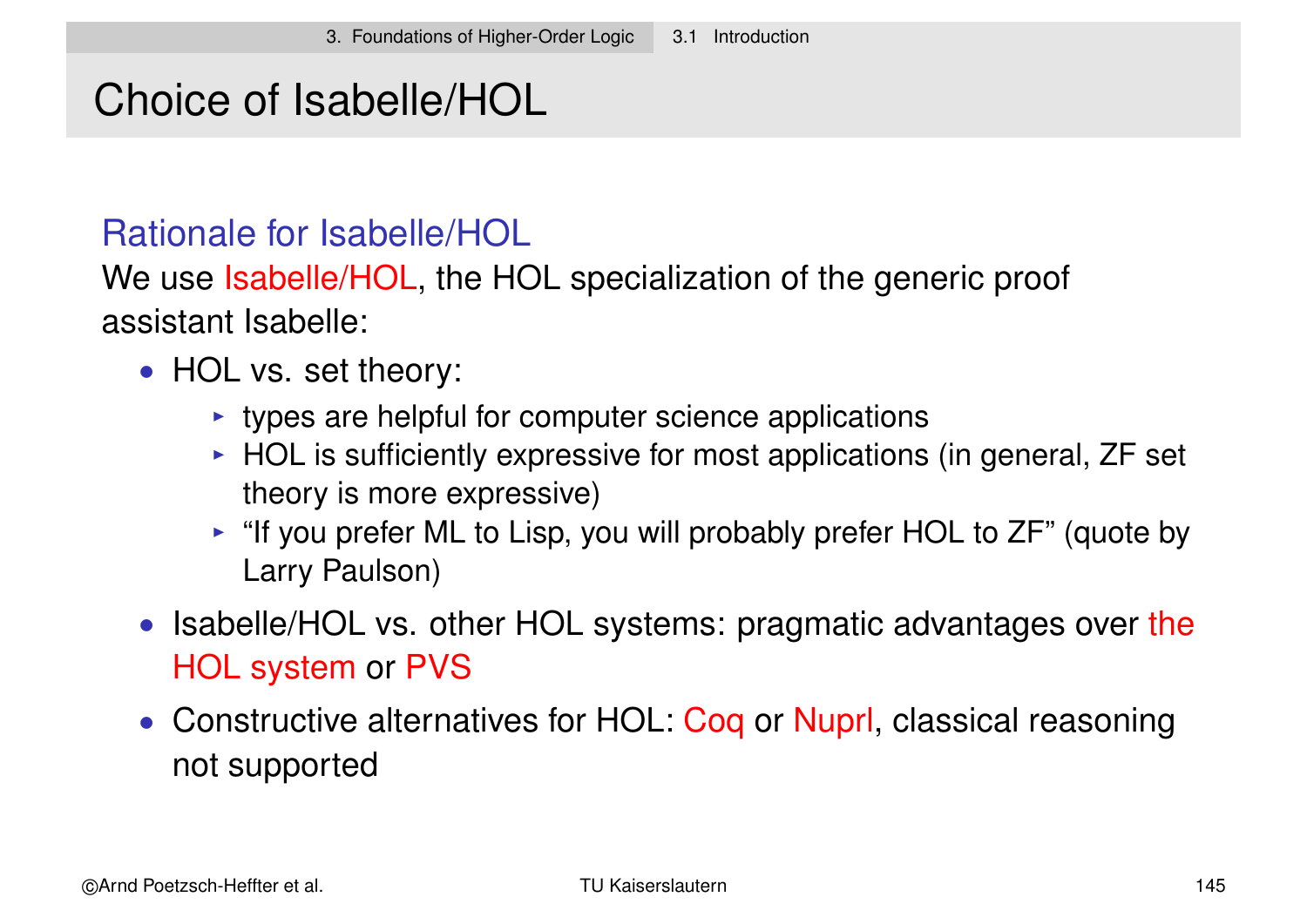### Choice of Isabelle/HOL

#### Rationale for Isabelle/HOL

We use Isabelle/HOL, the HOL specialization of the generic proof assistant Isabelle:

- HOL vs. set theory:
	- $\rightarrow$  types are helpful for computer science applications
	- $\triangleright$  HOL is sufficiently expressive for most applications (in general, ZF set theory is more expressive)
	- $\triangleright$  "If you prefer ML to Lisp, you will probably prefer HOL to ZF" (quote by Larry Paulson)
- Isabelle/HOL vs. other HOL systems: pragmatic advantages over the HOL system or PVS
- Constructive alternatives for HOL: Coq or Nuprl, classical reasoning not supported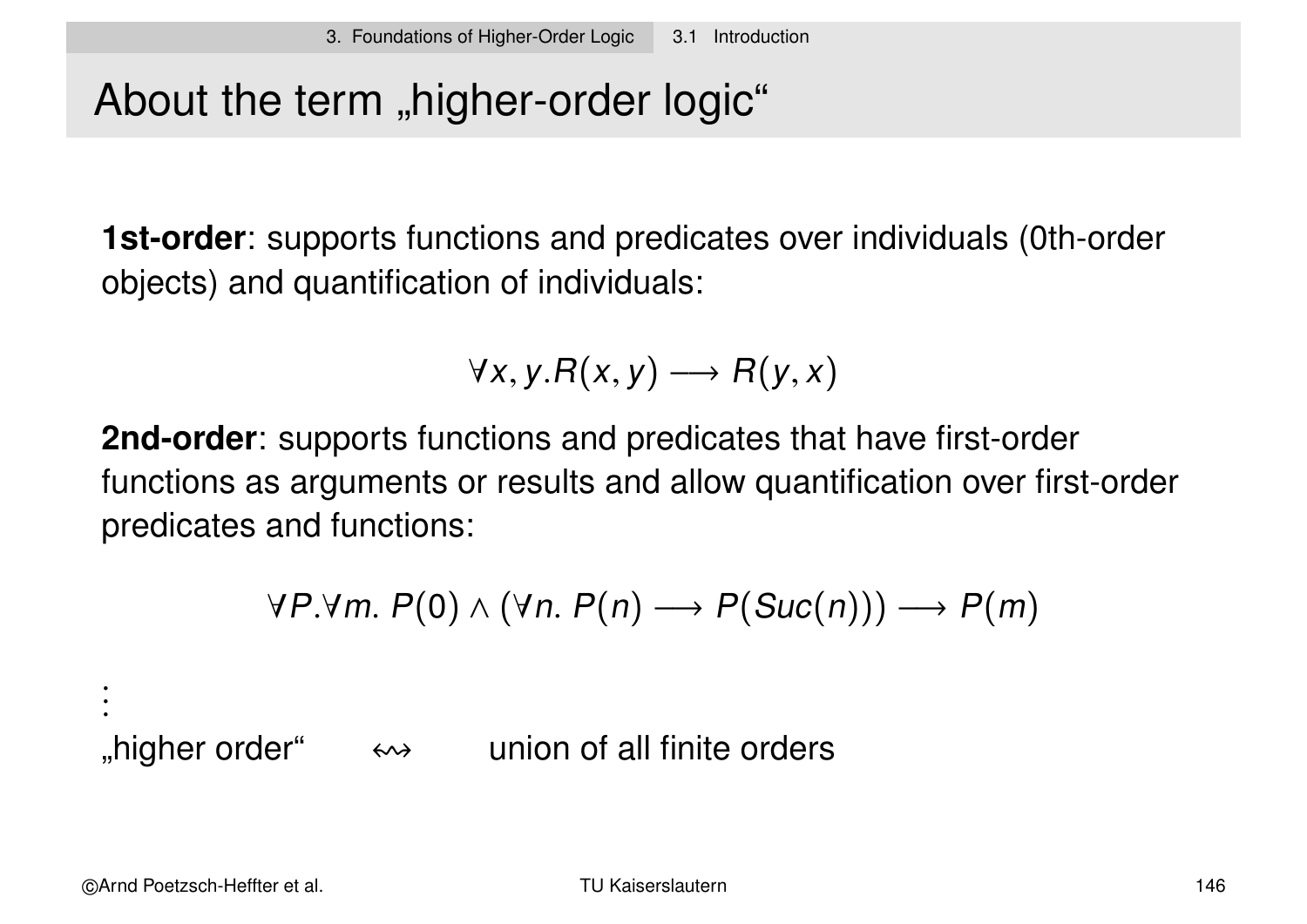# About the term "higher-order logic"

**1st-order**: supports functions and predicates over individuals (0th-order objects) and quantification of individuals:

$$
\forall x, y. R(x, y) \longrightarrow R(y, x)
$$

**2nd-order**: supports functions and predicates that have first-order functions as arguments or results and allow quantification over first-order predicates and functions:

$$
\forall P.\forall m.\ P(0) \land (\forall n.\ P(n) \longrightarrow P(Suc(n))) \longrightarrow P(m)
$$

"higher order"  $\leftrightarrow$  union of all finite orders

. . .<br>.<br>.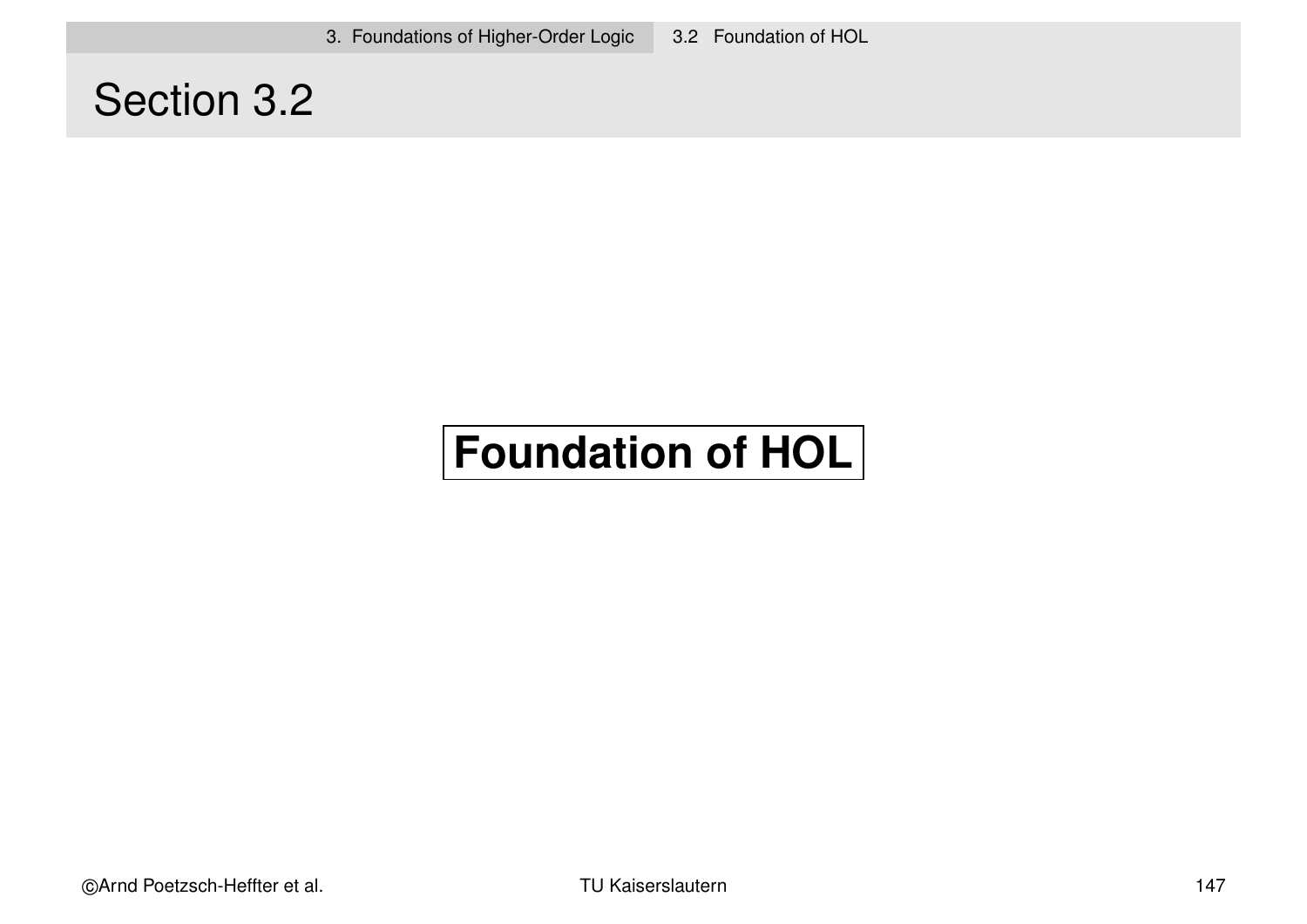3. Foundations of Higher-Order Logic 3.2 Foundation of HOL

### Section 3.2

# **Foundation of HOL**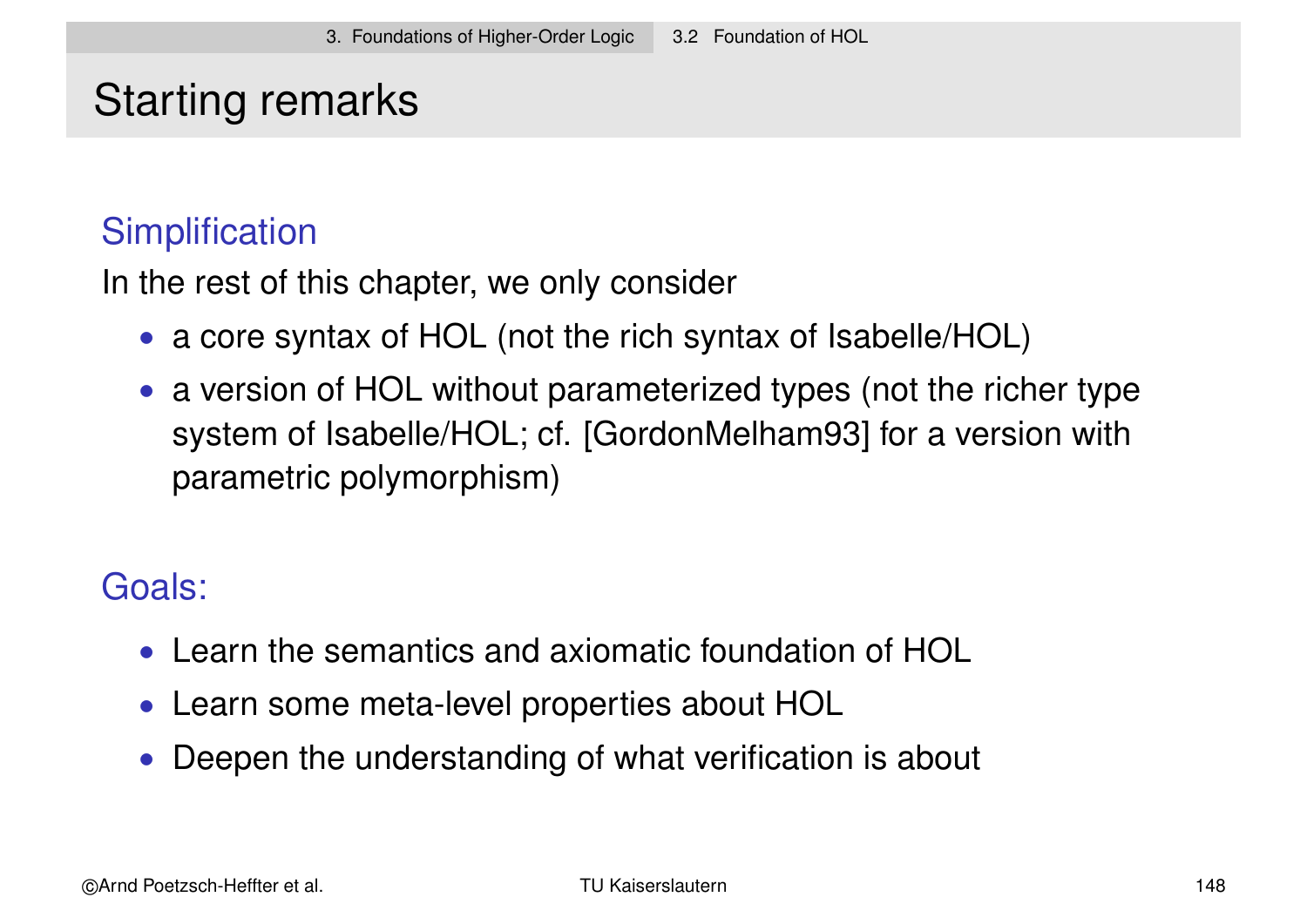## Starting remarks

### **Simplification**

In the rest of this chapter, we only consider

- a core syntax of HOL (not the rich syntax of Isabelle/HOL)
- a version of HOL without parameterized types (not the richer type system of Isabelle/HOL; cf. [GordonMelham93] for a version with parametric polymorphism)

### Goals:

- Learn the semantics and axiomatic foundation of HOL
- Learn some meta-level properties about HOL
- Deepen the understanding of what verification is about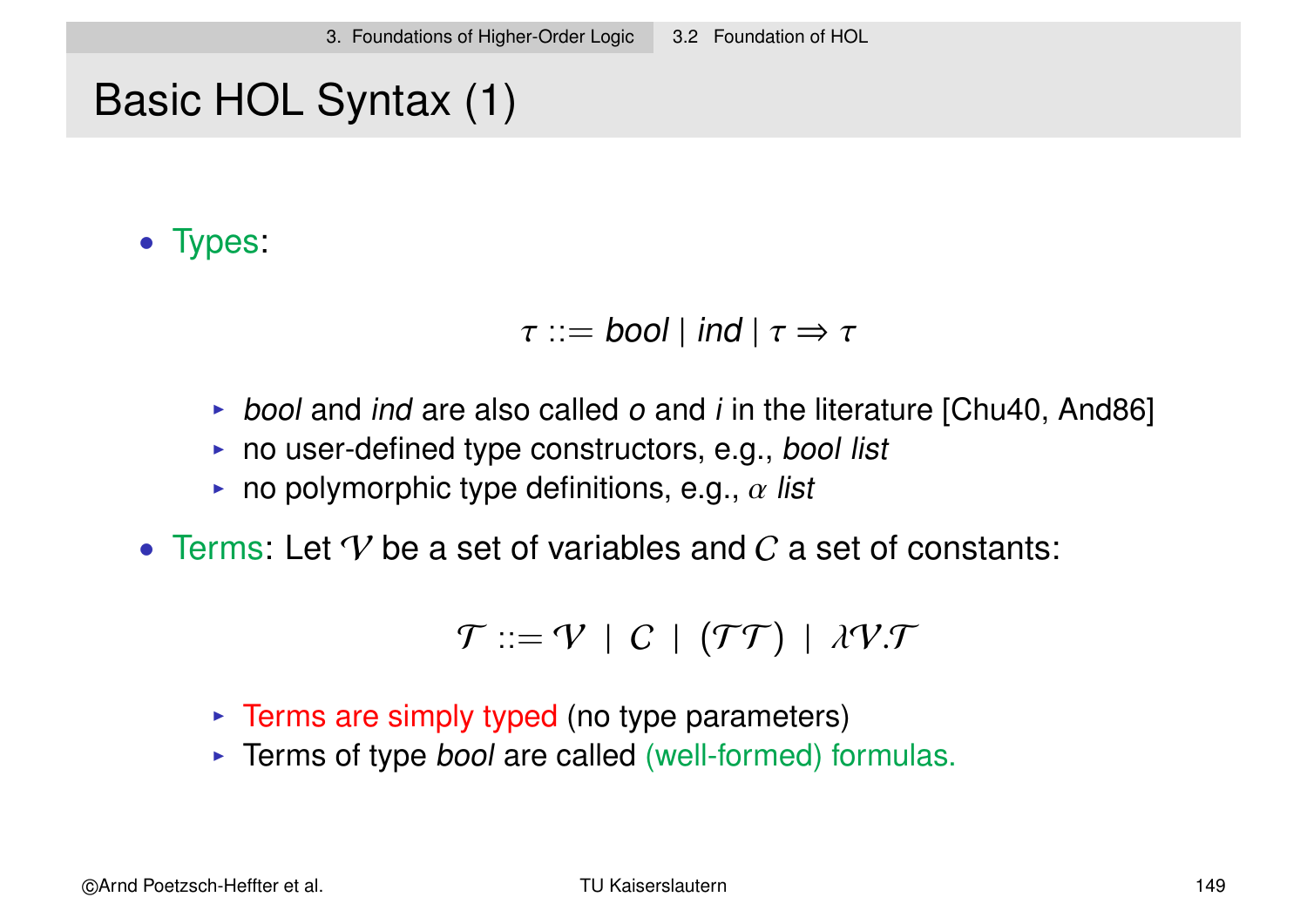# Basic HOL Syntax (1)

• Types:

 $\tau ::=$  bool | ind |  $\tau \Rightarrow \tau$ 

- bool and ind are also called  $o$  and  $i$  in the literature [Chu40, And86]
- $\triangleright$  no user-defined type constructors, e.g., bool list
- no polymorphic type definitions, e.g.,  $\alpha$  list
- Terms: Let  $\mathcal V$  be a set of variables and  $\mathcal C$  a set of constants:

$$
\mathcal{T} ::= \mathcal{V} \mid C \mid (\mathcal{T}\mathcal{T}) \mid \lambda \mathcal{V}.\mathcal{T}
$$

- $\triangleright$  Terms are simply typed (no type parameters)
- $\triangleright$  Terms of type *bool* are called (well-formed) formulas.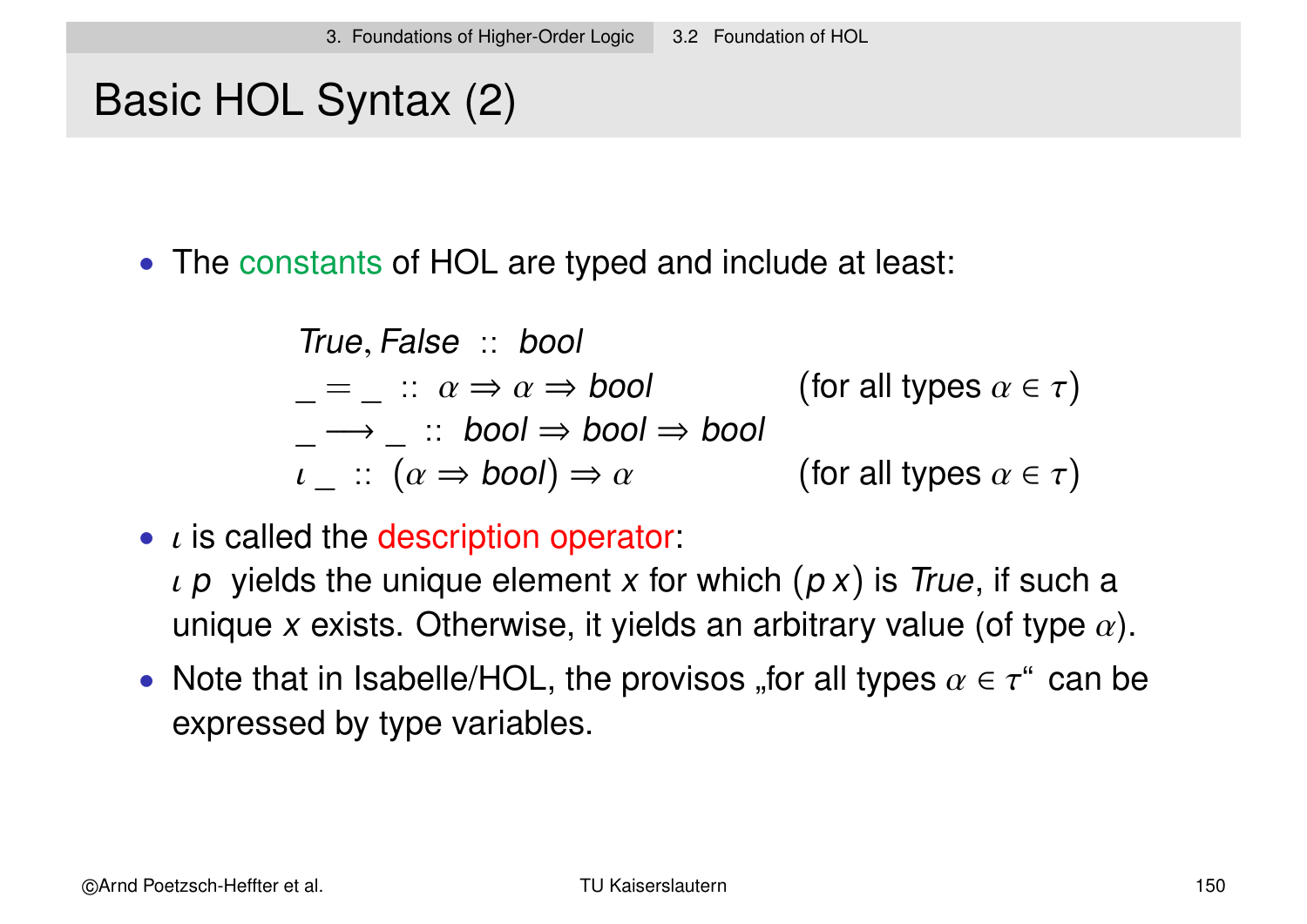# Basic HOL Syntax (2)

• The constants of HOL are typed and include at least:

True, False :: bool  $\mu = \mu : \alpha \Rightarrow \alpha \Rightarrow \text{bool}$  (for all types  $\alpha \in \tau$ )  $\begin{array}{l} \n\hline \n- \rightarrow \quad \colon \text{ } \text{bool} \Rightarrow \text{bool} \Rightarrow \text{bool} \ \iota \quad \colon \ (\alpha \Rightarrow \text{bool}) \Rightarrow \alpha \n\end{array}$ (for all types  $\alpha \in \tau$ )

 $\bullet$  *i* is called the description operator:

 $\iota$  p yields the unique element x for which  $(p \times)$  is True, if such a unique x exists. Otherwise, it yields an arbitrary value (of type  $\alpha$ ).

• Note that in Isabelle/HOL, the provisos "for all types  $\alpha \in \tau^*$  can be expressed by type variables.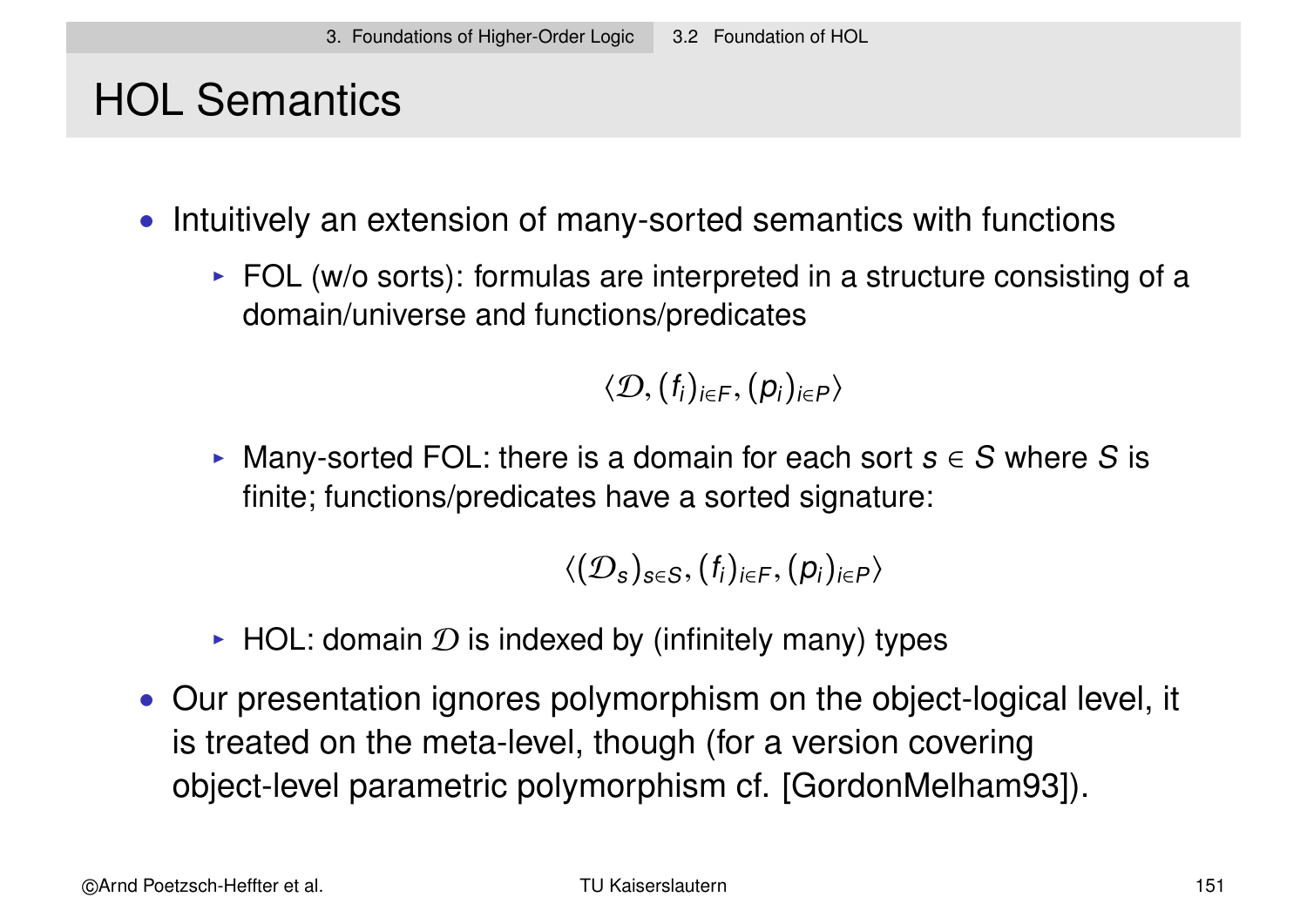# HOL Semantics

- Intuitively an extension of many-sorted semantics with functions
	- $\triangleright$  FOL (w/o sorts): formulas are interpreted in a structure consisting of a domain/universe and functions/predicates

 $\langle \mathcal{D}, (f_i)_{i \in F}, (p_i)_{i \in P} \rangle$ 

Many-sorted FOL: there is a domain for each sort  $s \in S$  where S is finite; functions/predicates have a sorted signature:

$$
\langle (\mathcal{D}_s)_{s\in S}, (f_i)_{i\in F}, (p_i)_{i\in P}\rangle
$$

- $\blacktriangleright$  HOL: domain  $\mathcal D$  is indexed by (infinitely many) types
- Our presentation ignores polymorphism on the object-logical level, it is treated on the meta-level, though (for a version covering object-level parametric polymorphism cf. [GordonMelham93]).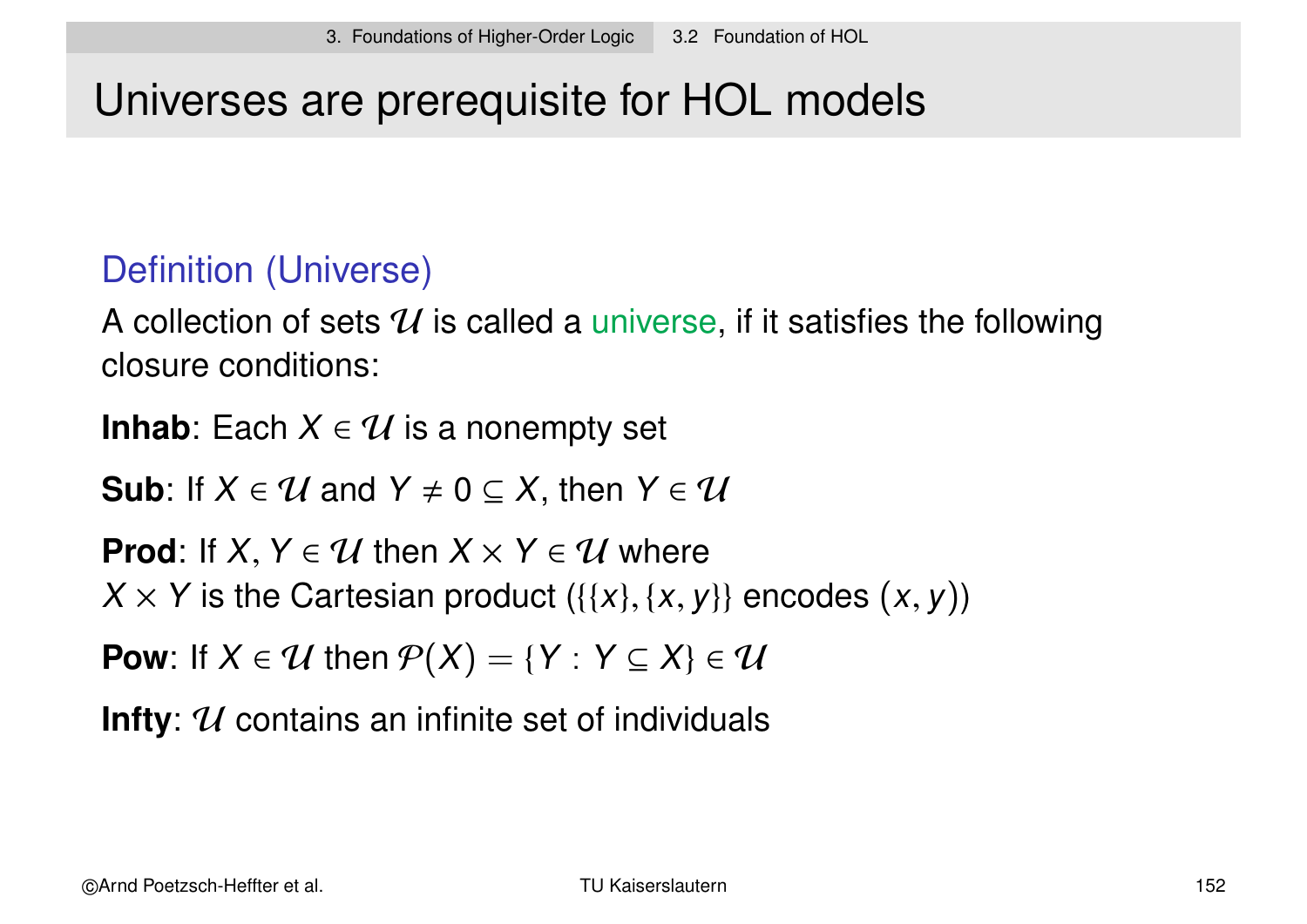# Universes are prerequisite for HOL models

### Definition (Universe)

A collection of sets  $\mathcal U$  is called a universe, if it satisfies the following closure conditions:

**Inhab**: Each  $X \in \mathcal{U}$  is a nonempty set

**Sub**: If  $X \in \mathcal{U}$  and  $Y \neq 0 \subseteq X$ , then  $Y \in \mathcal{U}$ 

**Prod:** If  $X, Y \in \mathcal{U}$  then  $X \times Y \in \mathcal{U}$  where  $X \times Y$  is the Cartesian product  $({x, y}, {x, y})$  encodes  $(x, y)$ )

**Pow**: If  $X \in \mathcal{U}$  then  $\mathcal{P}(X) = \{Y : Y \subseteq X\} \in \mathcal{U}$ 

**Infty**: U contains an infinite set of individuals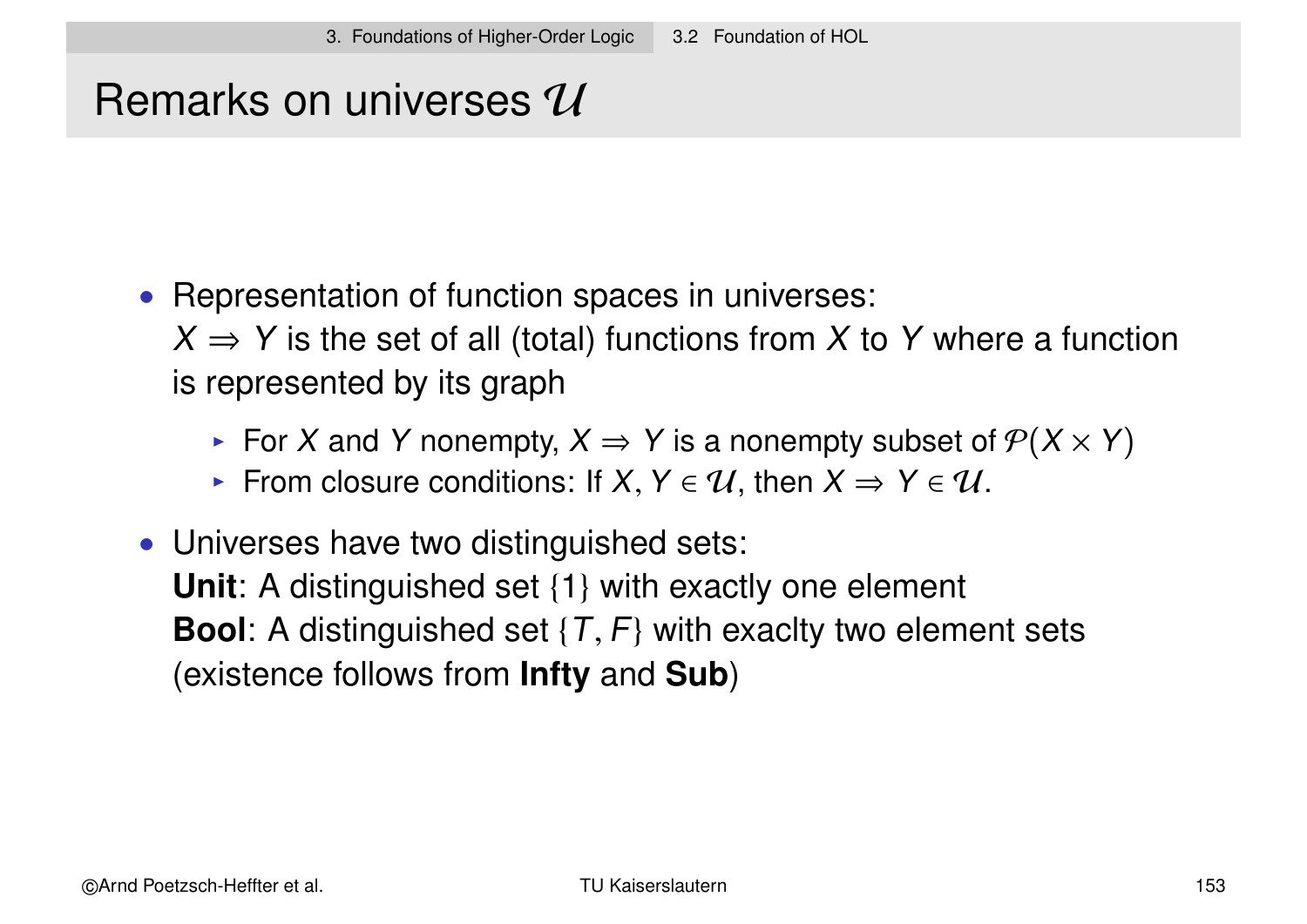# Remarks on universes  $\mathcal U$

• Representation of function spaces in universes:

 $X \Rightarrow Y$  is the set of all (total) functions from X to Y where a function is represented by its graph

- For X and Y nonempty,  $X \Rightarrow Y$  is a nonempty subset of  $\mathcal{P}(X \times Y)$
- From closure conditions: If  $X, Y \in \mathcal{U}$ , then  $X \Rightarrow Y \in \mathcal{U}$ .
- Universes have two distinguished sets:

**Unit**: A distinguished set {1} with exactly one element **Bool**: A distinguished set  $\{T, F\}$  with exaclty two element sets (existence follows from **Infty** and **Sub**)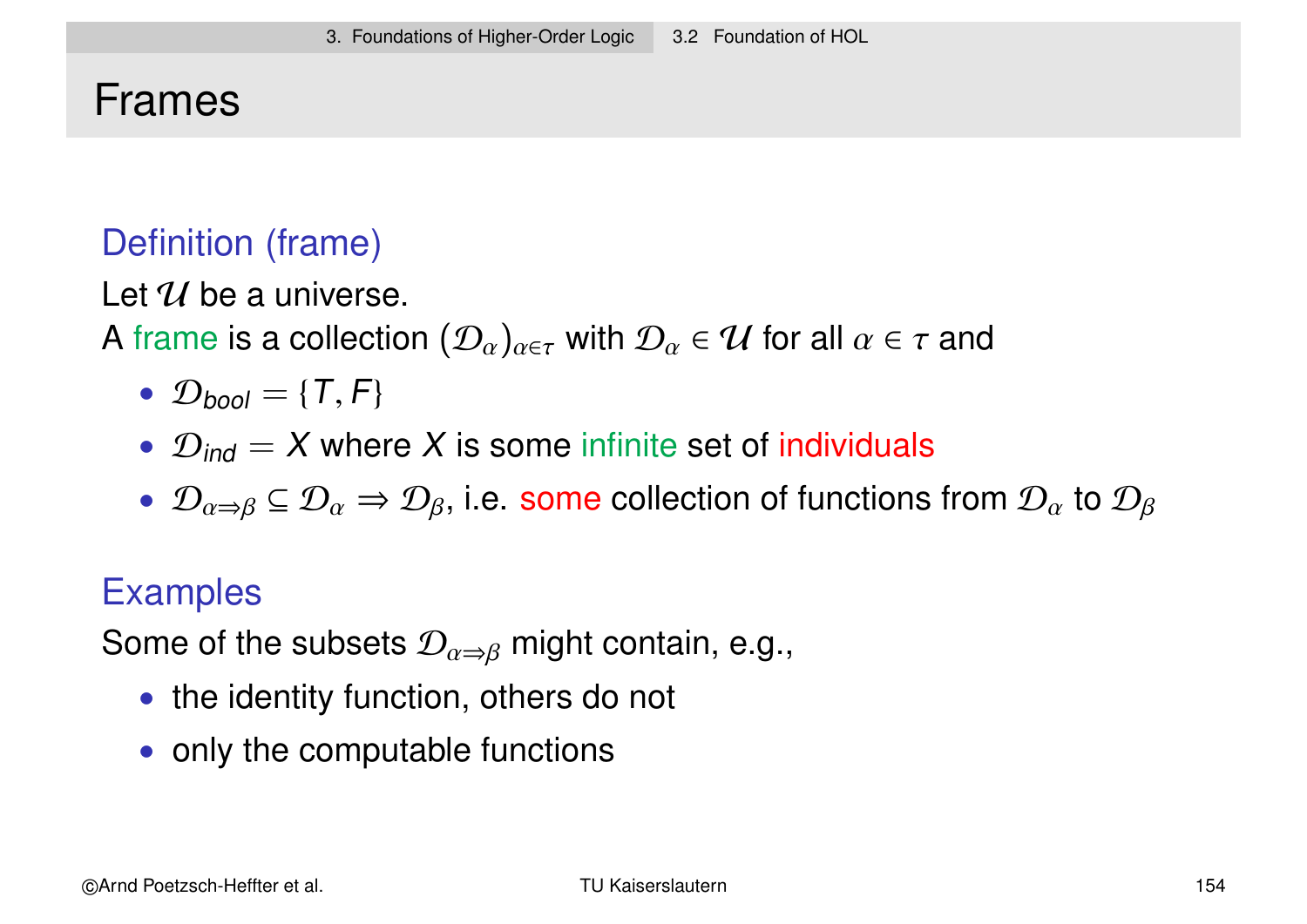### Frames

### Definition (frame)

Let  $\mathcal U$  be a universe.

A frame is a collection  $(\mathcal{D}_\alpha)_{\alpha\in\tau}$  with  $\mathcal{D}_\alpha\in\mathcal{U}$  for all  $\alpha\in\tau$  and

- $\mathcal{D}_{\text{bool}} = \{T, F\}$
- $\mathcal{D}_{ind} = X$  where X is some infinite set of individuals
- $\mathcal{D}_{\alpha\to\beta}\subseteq\mathcal{D}_\alpha\Rightarrow\mathcal{D}_\beta$ , i.e. some collection of functions from  $\mathcal{D}_\alpha$  to  $\mathcal{D}_\beta$

### **Examples**

Some of the subsets  $\mathcal{D}_{\alpha \Rightarrow \beta}$  might contain, e.g.,

- the identity function, others do not
- only the computable functions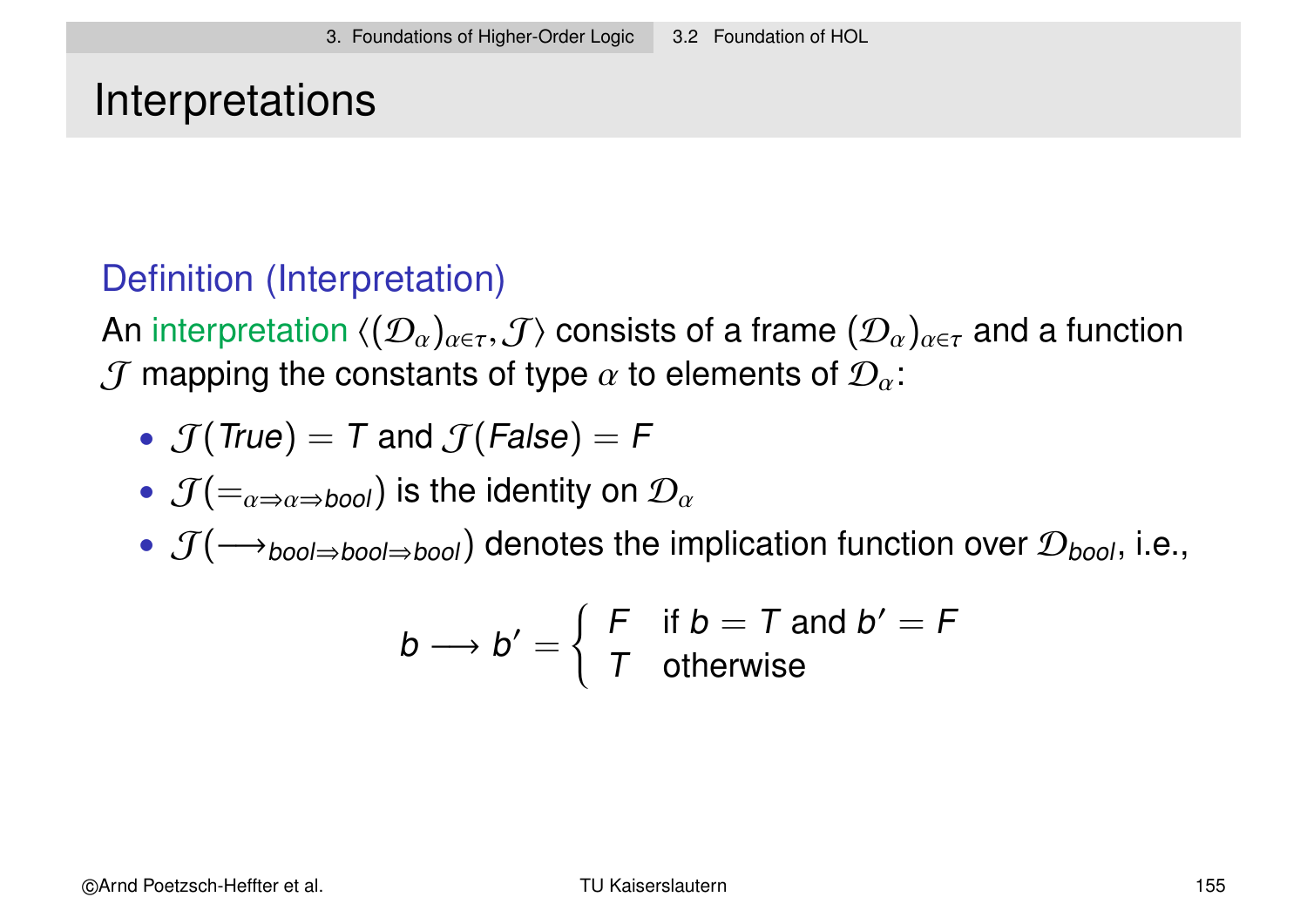### **Interpretations**

### Definition (Interpretation)

An interpretation  $\langle (\mathcal{D}_\alpha)_{\alpha\in\tau},\mathcal{J}\rangle$  consists of a frame  $(\mathcal{D}_\alpha)_{\alpha\in\tau}$  and a function  $J$  mapping the constants of type  $\alpha$  to elements of  $\mathcal{D}_{\alpha}$ :

• 
$$
\mathcal{J}(\text{True}) = T
$$
 and  $\mathcal{J}(\text{False}) = F$ 

- $\mathcal{J}(=_{\alpha \Rightarrow \alpha \Rightarrow bool})$  is the identity on  $\mathcal{D}_{\alpha}$
- $\mathcal{J}(\longrightarrow_{\text{bool}\Rightarrow\text{bool}\Rightarrow\text{bool}})$  denotes the implication function over  $\mathcal{D}_{\text{bool}}$ , i.e.,

$$
b \longrightarrow b' = \left\{ \begin{array}{ll} F & \text{if } b = T \text{ and } b' = F \\ T & \text{otherwise} \end{array} \right.
$$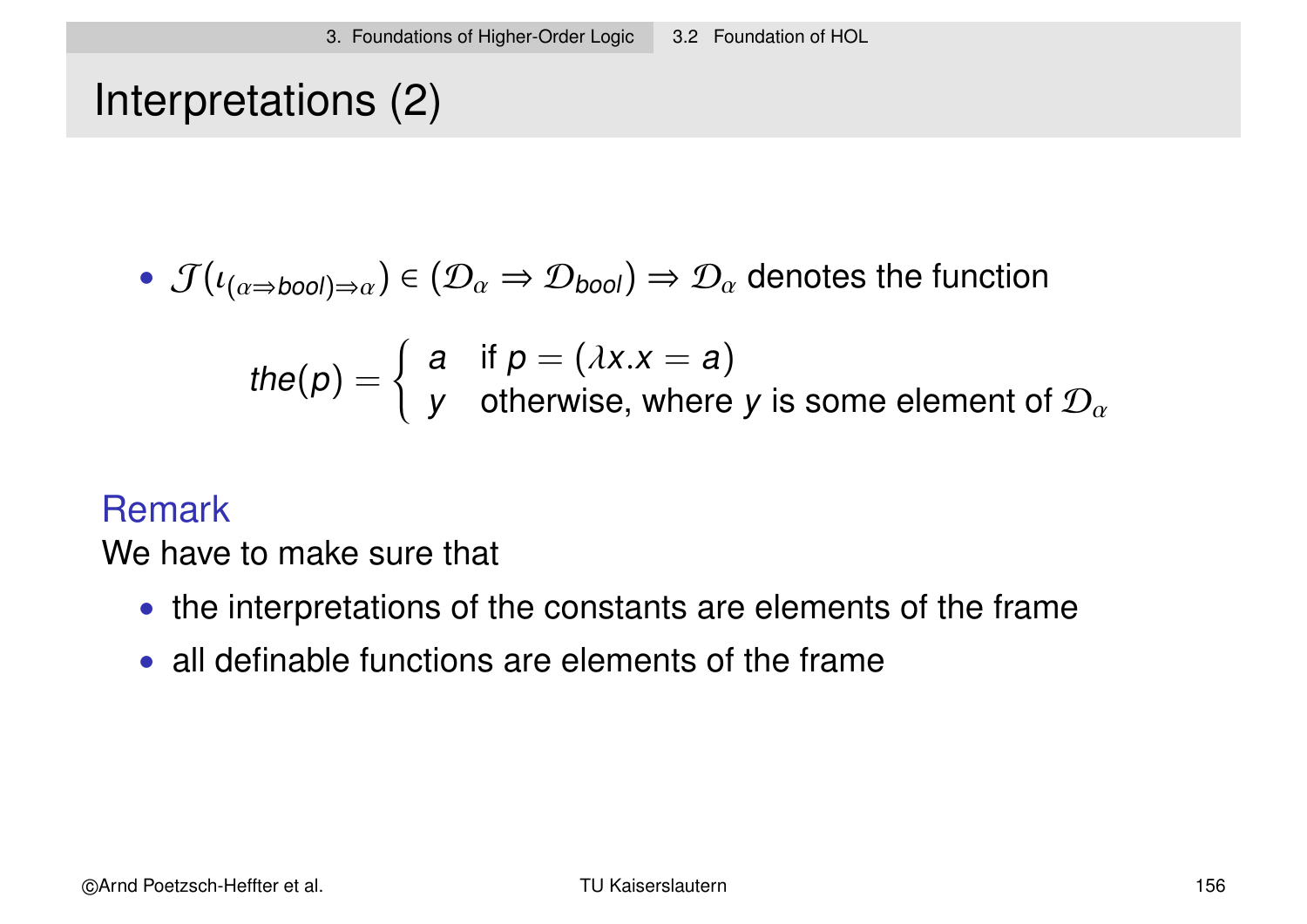Interpretations (2)

• 
$$
\mathcal{J}(\iota_{(\alpha \Rightarrow bool)\Rightarrow \alpha}) \in (\mathcal{D}_{\alpha} \Rightarrow \mathcal{D}_{bool}) \Rightarrow \mathcal{D}_{\alpha}
$$
 denotes the function

the(p) = 
$$
\begin{cases} a & \text{if } p = (\lambda x.x = a) \\ y & \text{otherwise, where } y \text{ is some element of } \mathcal{D}_{\alpha} \end{cases}
$$

#### Remark

We have to make sure that

- the interpretations of the constants are elements of the frame
- all definable functions are elements of the frame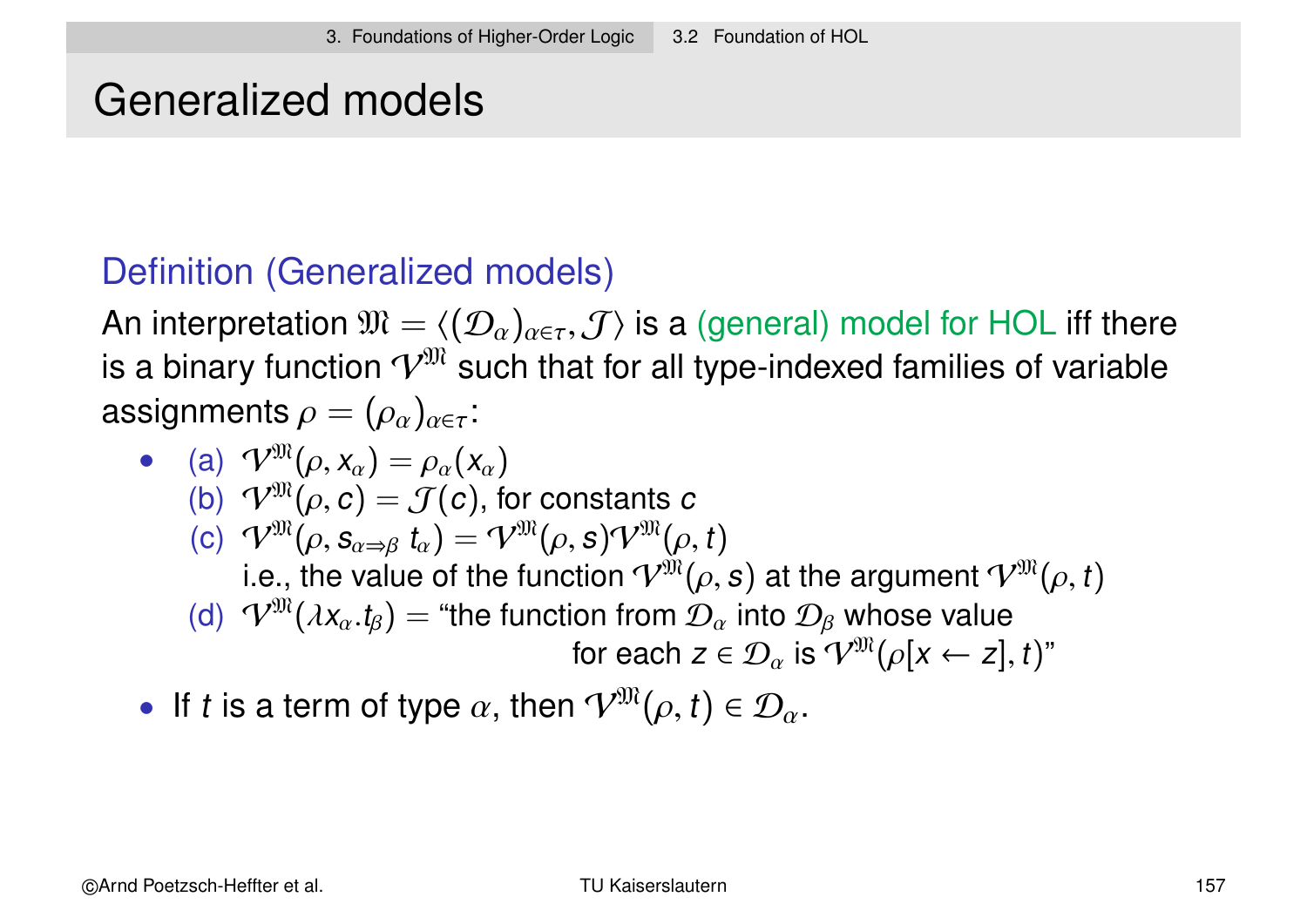### Generalized models

### Definition (Generalized models)

An interpretation  $\mathfrak{M} = \langle (D_{\alpha})_{\alpha \in \tau}, \mathcal{J} \rangle$  is a (general) model for HOL iff there is a binary function  $\mathcal{V}^{\mathfrak{M}}$  such that for all type-indexed families of variable assignments  $\rho = (\rho_\alpha)_{\alpha \in \tau}$ :

\n- (a) 
$$
\mathcal{V}^{\mathfrak{M}}(\rho, x_{\alpha}) = \rho_{\alpha}(x_{\alpha})
$$
\n- (b)  $\mathcal{V}^{\mathfrak{M}}(\rho, c) = \mathcal{J}(c)$ , for constants  $c$
\n- (c)  $\mathcal{V}^{\mathfrak{M}}(\rho, s_{\alpha \Rightarrow \beta} t_{\alpha}) = \mathcal{V}^{\mathfrak{M}}(\rho, s) \mathcal{V}^{\mathfrak{M}}(\rho, t)$
\n- i.e., the value of the function  $\mathcal{V}^{\mathfrak{M}}(\rho, s)$  at the argument  $\mathcal{V}^{\mathfrak{M}}(\rho, t)$
\n- (d)  $\mathcal{V}^{\mathfrak{M}}(\lambda x_{\alpha}.t_{\beta}) =$  "the function from  $\mathcal{D}_{\alpha}$  into  $\mathcal{D}_{\beta}$  whose value for each  $z \in \mathcal{D}_{\alpha}$  is  $\mathcal{V}^{\mathfrak{M}}(\rho[x \leftarrow z], t)$ "
\n

• If t is a term of type  $\alpha$ , then  $\mathcal{V}^{\mathfrak{M}}(\rho, t) \in \mathcal{D}_{\alpha}$ .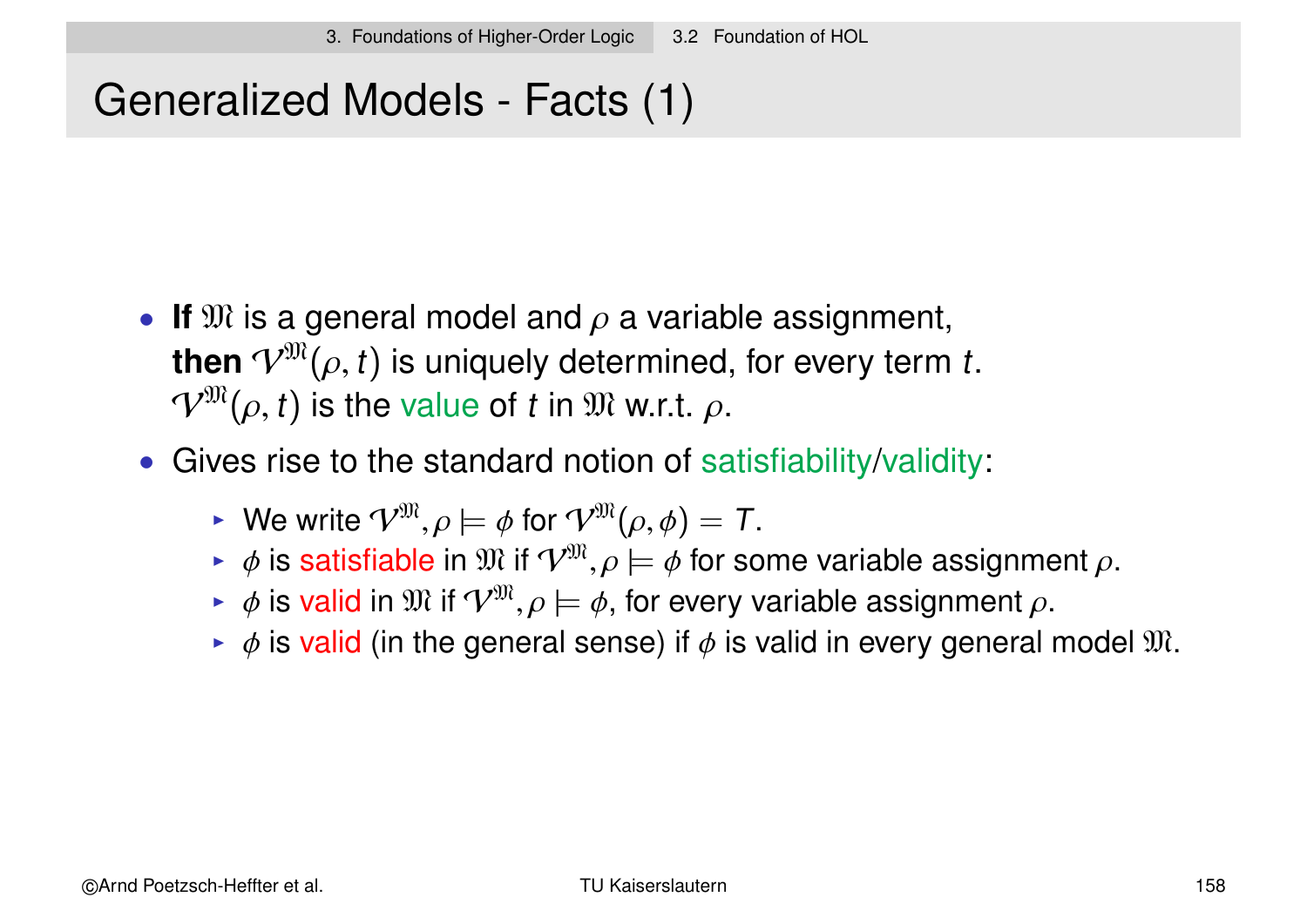# Generalized Models - Facts (1)

- If  $\mathfrak{M}$  is a general model and  $\rho$  a variable assignment, **then**  $V^{\mathfrak{M}}(\rho, t)$  is uniquely determined, for every term t.  $V^{\mathfrak{M}}(\rho, t)$  is the value of t in  $\mathfrak{M}$  w.r.t.  $\rho$ .
- Gives rise to the standard notion of satisfiability/validity:
	- $\triangleright$  We write  $V^{\mathfrak{M}}, \rho \models \phi$  for  $V^{\mathfrak{M}}(\rho, \phi) = T$ .
	- $\bullet \phi$  is satisfiable in  $\mathfrak{M}$  if  $\mathcal{V}^{\mathfrak{M}}, \rho \models \phi$  for some variable assignment  $\rho$ .
	- $\blacktriangleright$   $\phi$  is valid in  $\mathfrak{M}$  if  $\mathcal{V}^{\mathfrak{M}}, \rho \models \phi$ , for every variable assignment  $\rho$ .
	- $\bullet$   $\phi$  is valid (in the general sense) if  $\phi$  is valid in every general model  $\mathfrak{M}$ .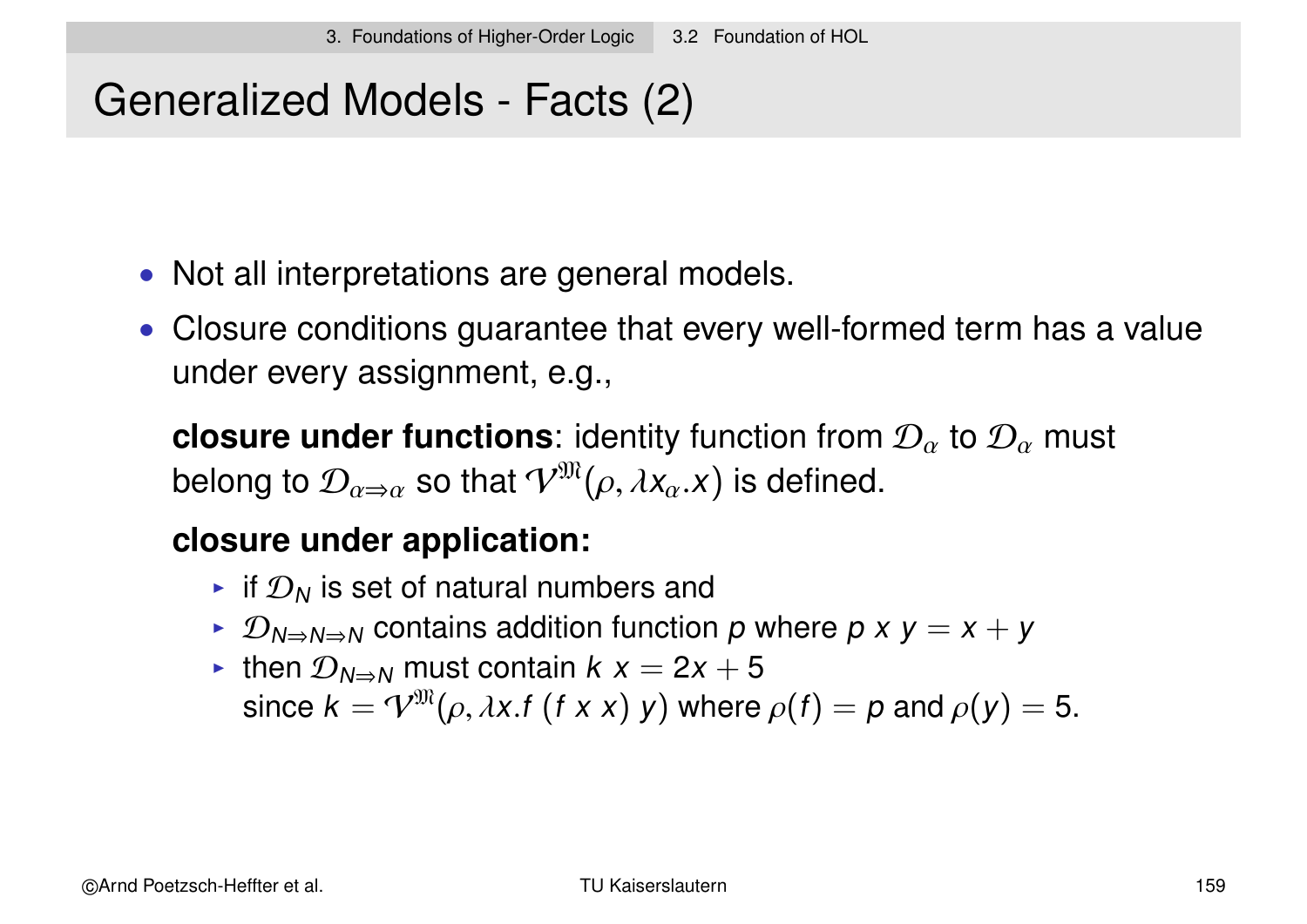# Generalized Models - Facts (2)

- Not all interpretations are general models.
- Closure conditions guarantee that every well-formed term has a value under every assignment, e.g.,

**closure under functions**: identity function from  $\mathcal{D}_{\alpha}$  to  $\mathcal{D}_{\alpha}$  must belong to  $\mathcal{D}_{\alpha\Rightarrow \alpha}$  so that  $\mathcal{V}^{\mathfrak{M}}(\rho, \lambda \mathsf{x}_{\alpha}. \mathsf{x})$  is defined.

#### **closure under application:**

- In if  $\mathcal{D}_N$  is set of natural numbers and
- $\triangleright$   $\mathcal{D}_{N\Rightarrow N\Rightarrow N}$  contains addition function p where p x y = x + y
- In then  $\mathcal{D}_{N\Rightarrow N}$  must contain  $k x = 2x + 5$ since  $k = \mathcal{V}^{\mathfrak{M}}(\rho, \lambda x. f (f x x) y)$  where  $\rho(f) = p$  and  $\rho(y) = 5$ .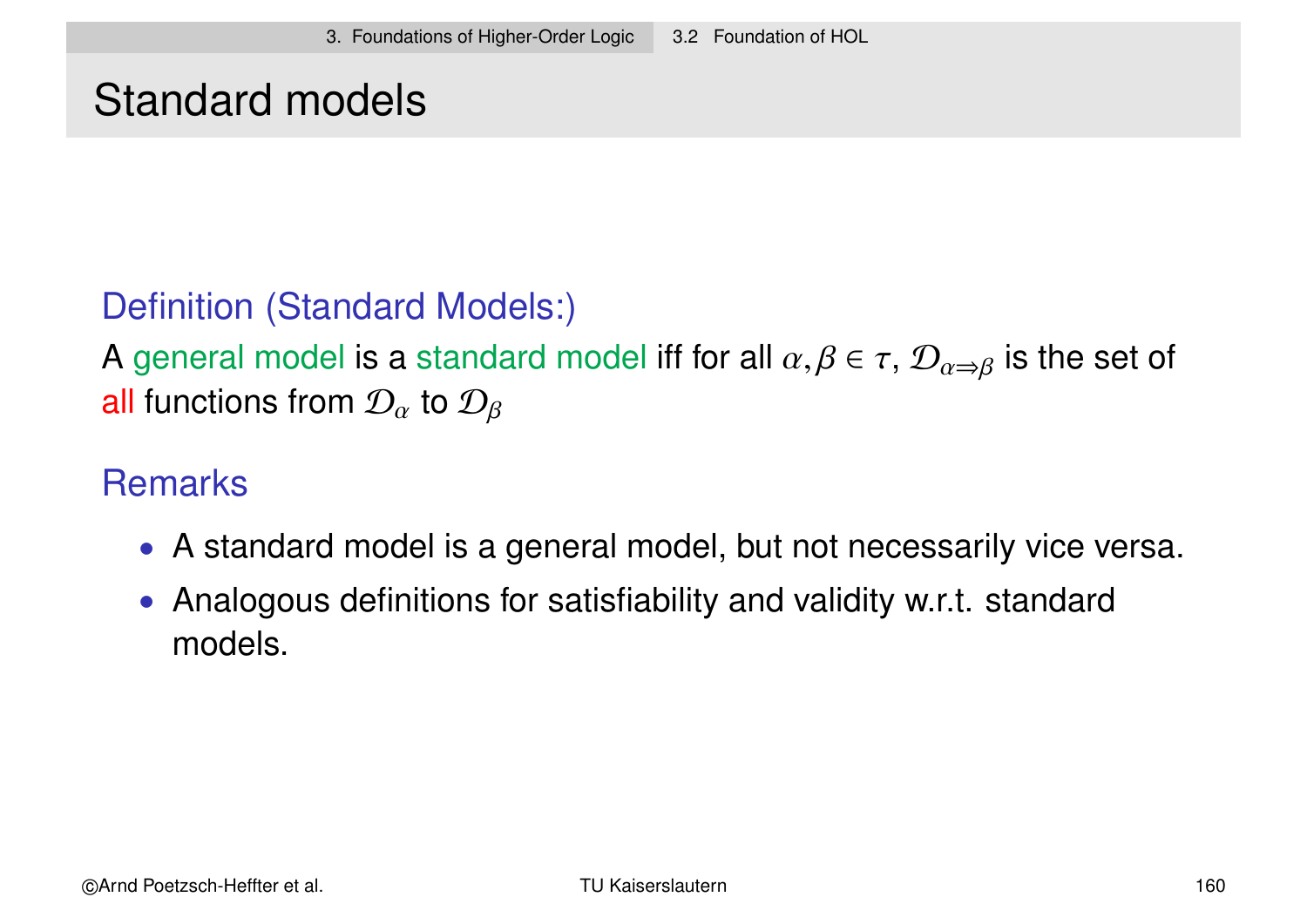### Standard models

### Definition (Standard Models:)

A general model is a standard model iff for all  $\alpha, \beta \in \tau$ ,  $\mathcal{D}_{\alpha \Rightarrow \beta}$  is the set of all functions from  $\mathcal{D}_{\alpha}$  to  $\mathcal{D}_{\beta}$ 

### **Remarks**

- A standard model is a general model, but not necessarily vice versa.
- Analogous definitions for satisfiability and validity w.r.t. standard models.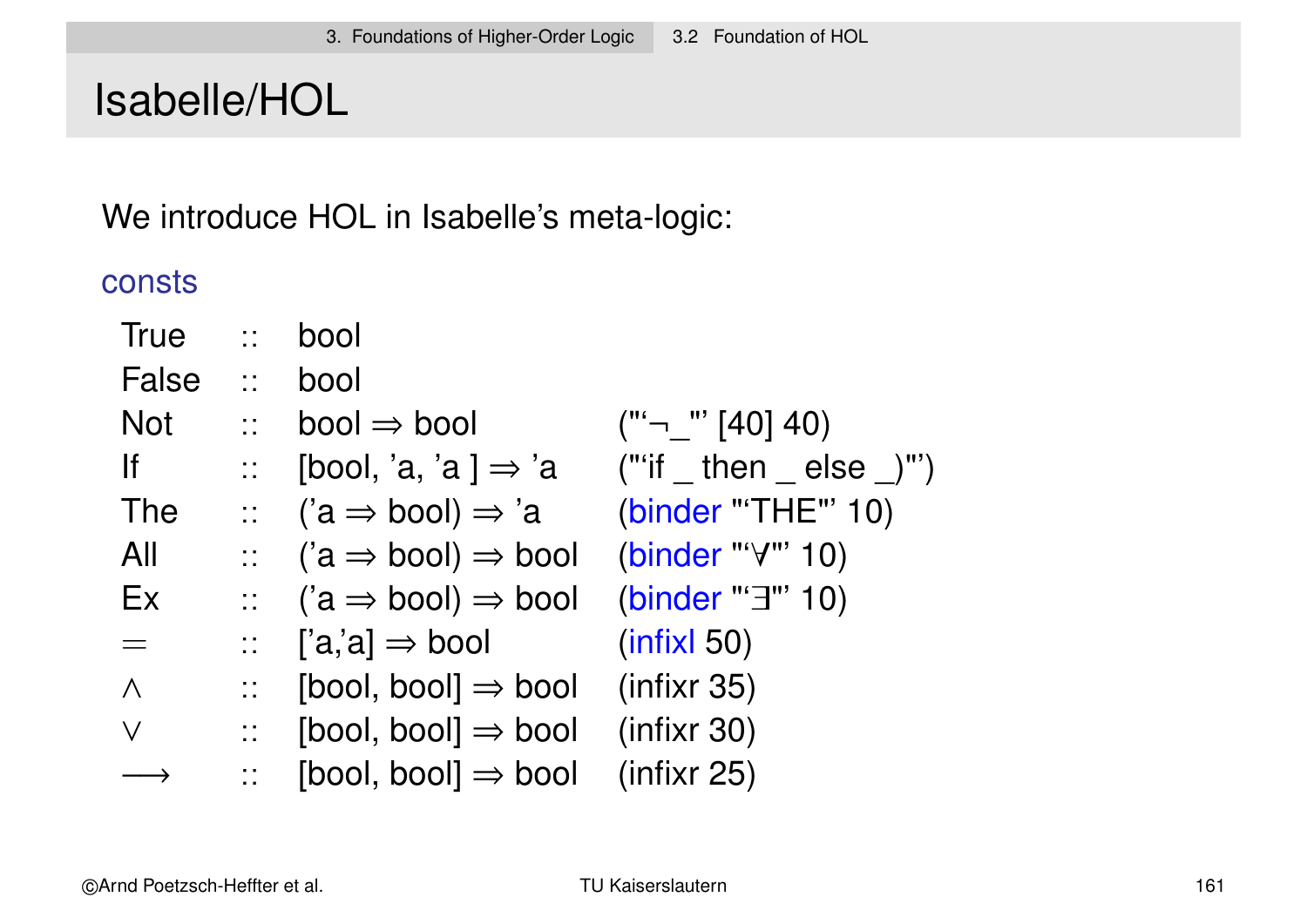# Isabelle/HOL

We introduce HOL in Isabelle's meta-logic:

consts

| <b>True</b> | $\mathbb{Z}^{\mathbb{Z}}$                                                     | bool                                                    |                             |
|-------------|-------------------------------------------------------------------------------|---------------------------------------------------------|-----------------------------|
| False       | 11 <sup>2</sup>                                                               | bool                                                    |                             |
| <b>Not</b>  | $\mathbb{R}^{\mathbb{Z}}$                                                     | $bool \Rightarrow bool$                                 | $("^{\prime}$ " [40] 40)    |
| lf          | $\frac{1}{2} \frac{1}{2} \frac{1}{2} \frac{1}{2}$ .                           | [bool, 'a, 'a ] $\Rightarrow$ 'a                        | $("if then else _)")$       |
| <b>The</b>  |                                                                               | $\therefore$ ('a $\Rightarrow$ bool) $\Rightarrow$ 'a   | (binder "'THE"' 10)         |
| All         | $11 - 1$                                                                      | $(a \Rightarrow bool) \Rightarrow bool$                 | (binder "' $\forall$ "' 10) |
| Ex          |                                                                               | $\therefore$ ('a $\Rightarrow$ bool) $\Rightarrow$ bool | (binder "'3"' 10)           |
| $=$         | $\frac{1}{2}$                                                                 | $[a,a] \Rightarrow$ bool                                | (intixl 50)                 |
| $\wedge$    | $\mathbb{Z}^{\mathbb{Z}^{\times}}$                                            | $[bool, bool] \Rightarrow bool$                         | (infixr 35)                 |
| $\vee$      | $\frac{1}{2}$ , $\frac{1}{2}$ , $\frac{1}{2}$ , $\frac{1}{2}$ , $\frac{1}{2}$ | [bool, bool] $\Rightarrow$ bool                         | (infixr 30)                 |
|             |                                                                               | $[bool, bool] \Rightarrow bool$                         | (infixr 25)                 |
|             |                                                                               |                                                         |                             |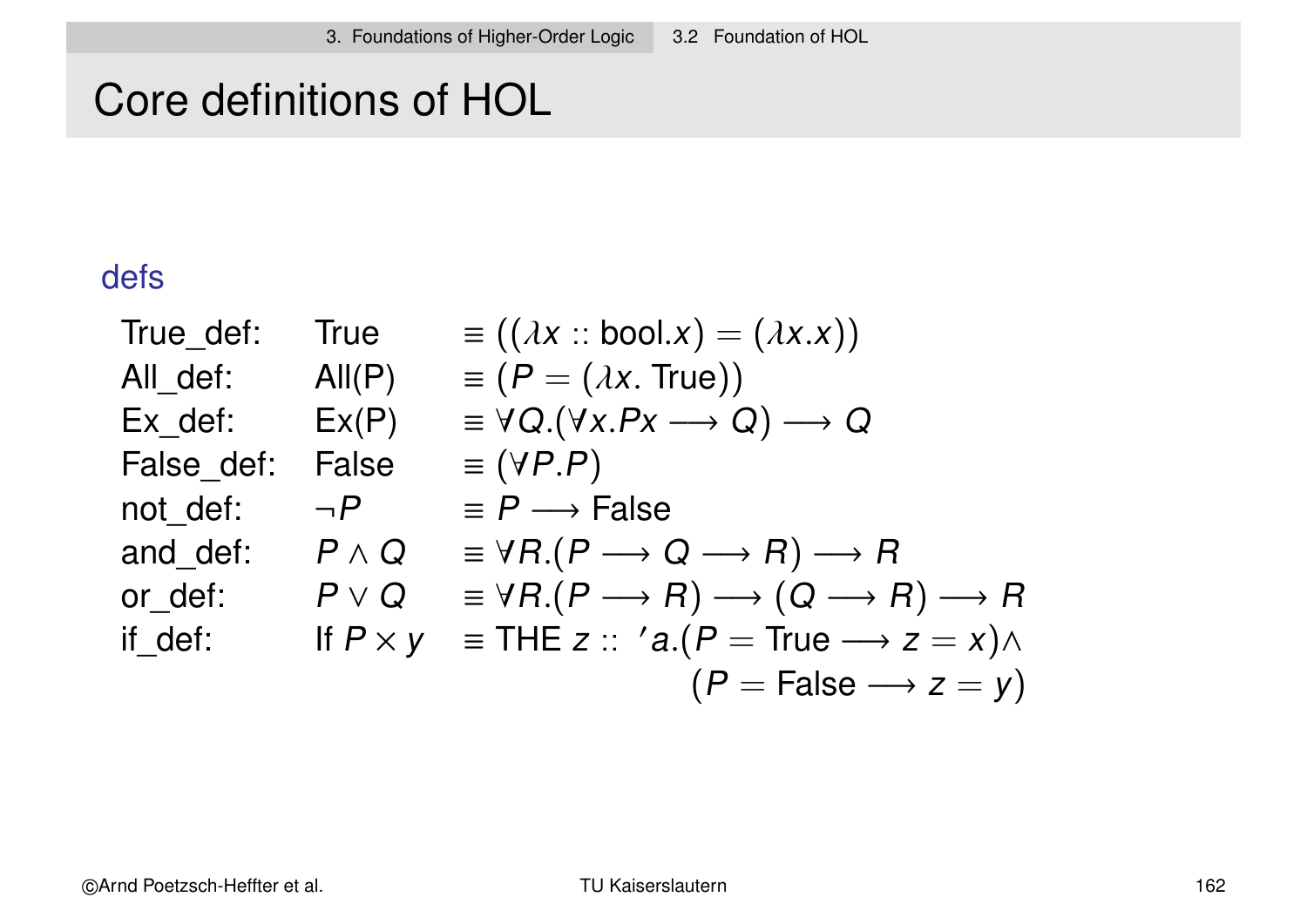# Core definitions of HOL

#### defs

| True def:  | <b>True</b>     | $\equiv ((\lambda x : \text{bool.} x) = (\lambda x.x))$                                          |
|------------|-----------------|--------------------------------------------------------------------------------------------------|
| All def:   | All(P)          | $\equiv (P = (\lambda x. True))$                                                                 |
| Ex def:    | Ex(P)           | $\equiv \forall Q.(\forall x.Px \longrightarrow Q) \longrightarrow Q$                            |
| False def: | <b>False</b>    | $\equiv$ ( <i>VP.P</i> )                                                                         |
| not def:   | $\neg P$        | $\equiv P \longrightarrow$ False                                                                 |
| and def:   | $P \wedge Q$    | $\equiv \forall R.(P \longrightarrow Q \longrightarrow R) \longrightarrow R$                     |
| or def:    | $P \vee Q$      | $\equiv \forall R.(P \longrightarrow R) \longrightarrow (Q \longrightarrow R) \longrightarrow R$ |
| if def:    | If $P \times y$ | $\equiv$ THE z :: 'a.(P = True $\rightarrow$ z = x) $\land$                                      |
|            |                 | $(P = False \longrightarrow z = y)$                                                              |
|            |                 |                                                                                                  |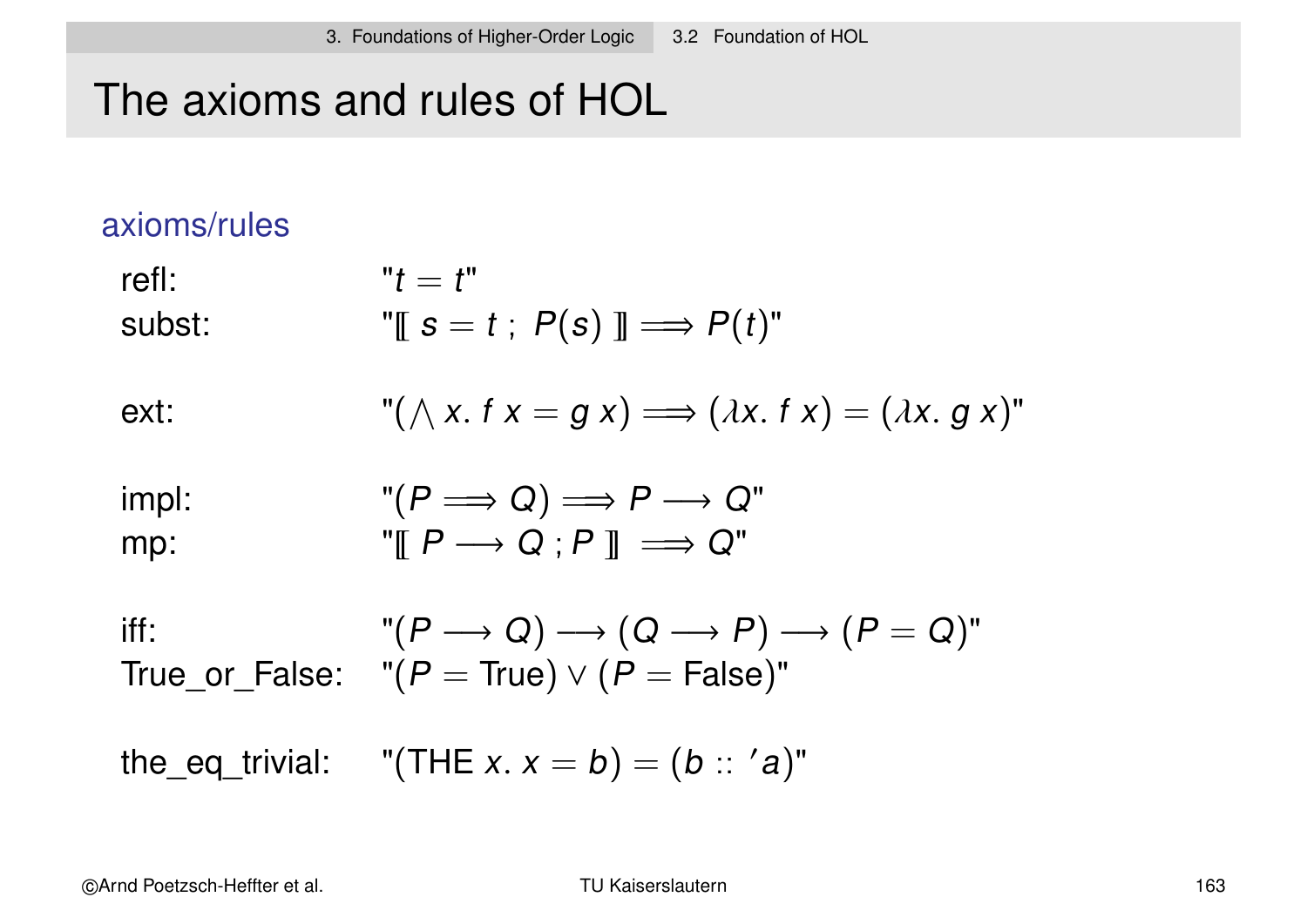### The axioms and rules of HOL

#### axioms/rules

refl:  $"t = t"$ subst:  $\mathbb{U} \mathsf{S} = t : P(s) \mathbb{I} \Longrightarrow P(t)^{\mathsf{U}}$ 

ext: 
$$
"( \wedge x. fx = g x) \Longrightarrow (\lambda x. fx) = (\lambda x. g x)"
$$

$$
\text{impl:} \quad (\mathsf{P} \Longrightarrow \mathsf{Q}) \Longrightarrow \mathsf{P} \longrightarrow \mathsf{Q}^{\mathsf{m}} \\ \text{mp:} \quad \mathsf{P} \mathsf{I} \Longrightarrow \mathsf{Q} \mathsf{I} \Longrightarrow \mathsf{Q}^{\mathsf{m}} \\
$$

iff:  $"(P \longrightarrow Q) \longrightarrow (Q \longrightarrow P) \longrightarrow (P = Q)"$ True\_or\_False: " $(P = True) \vee (P = False)$ "

the\_eq\_trivial:  $\quad$  "(THE *x. x = b*) = (*b*  $::\;$   $'a)$ "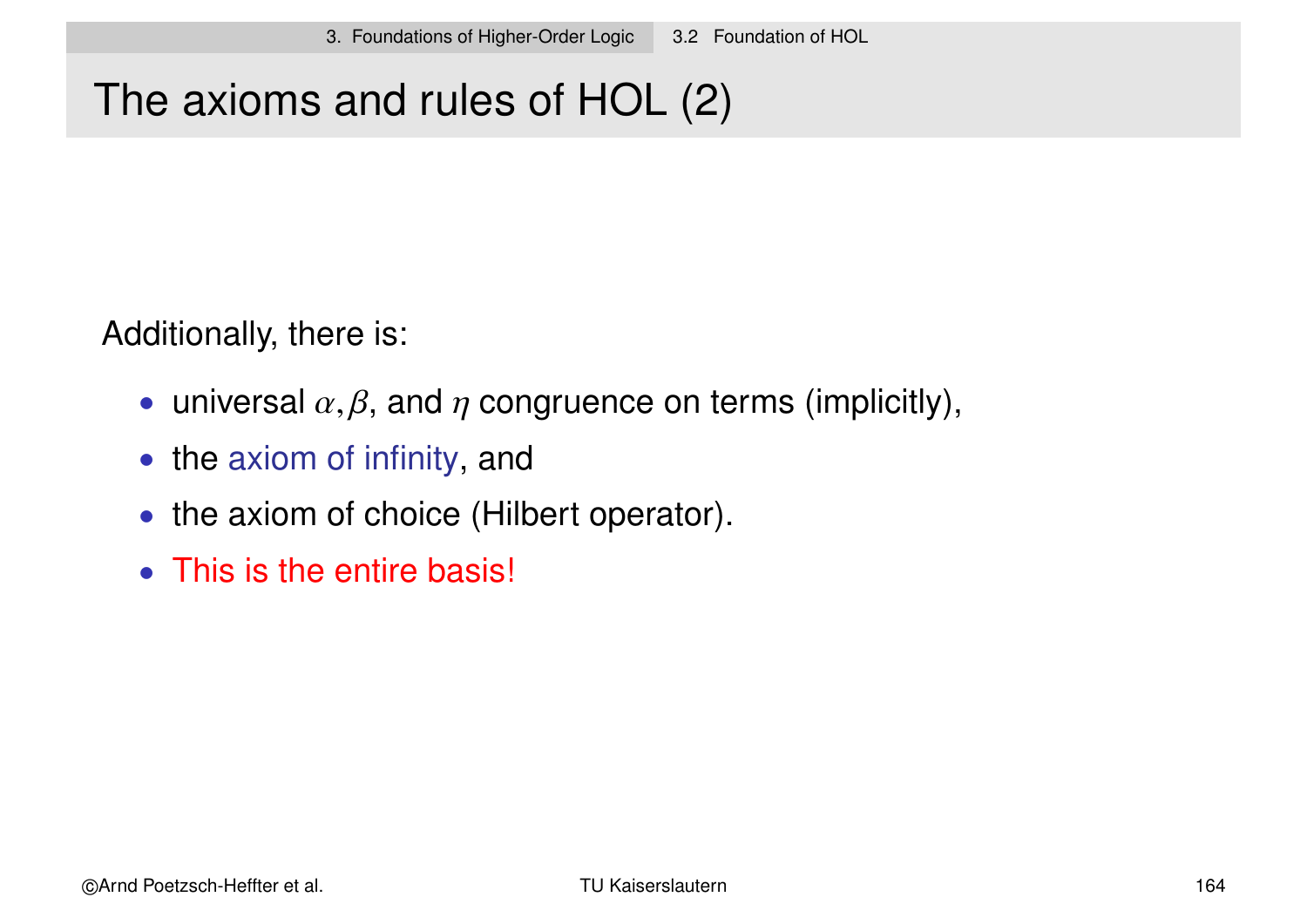# The axioms and rules of HOL (2)

Additionally, there is:

- universal  $\alpha, \beta$ , and  $\eta$  congruence on terms (implicitly),
- the axiom of infinity, and
- the axiom of choice (Hilbert operator).
- This is the entire basis!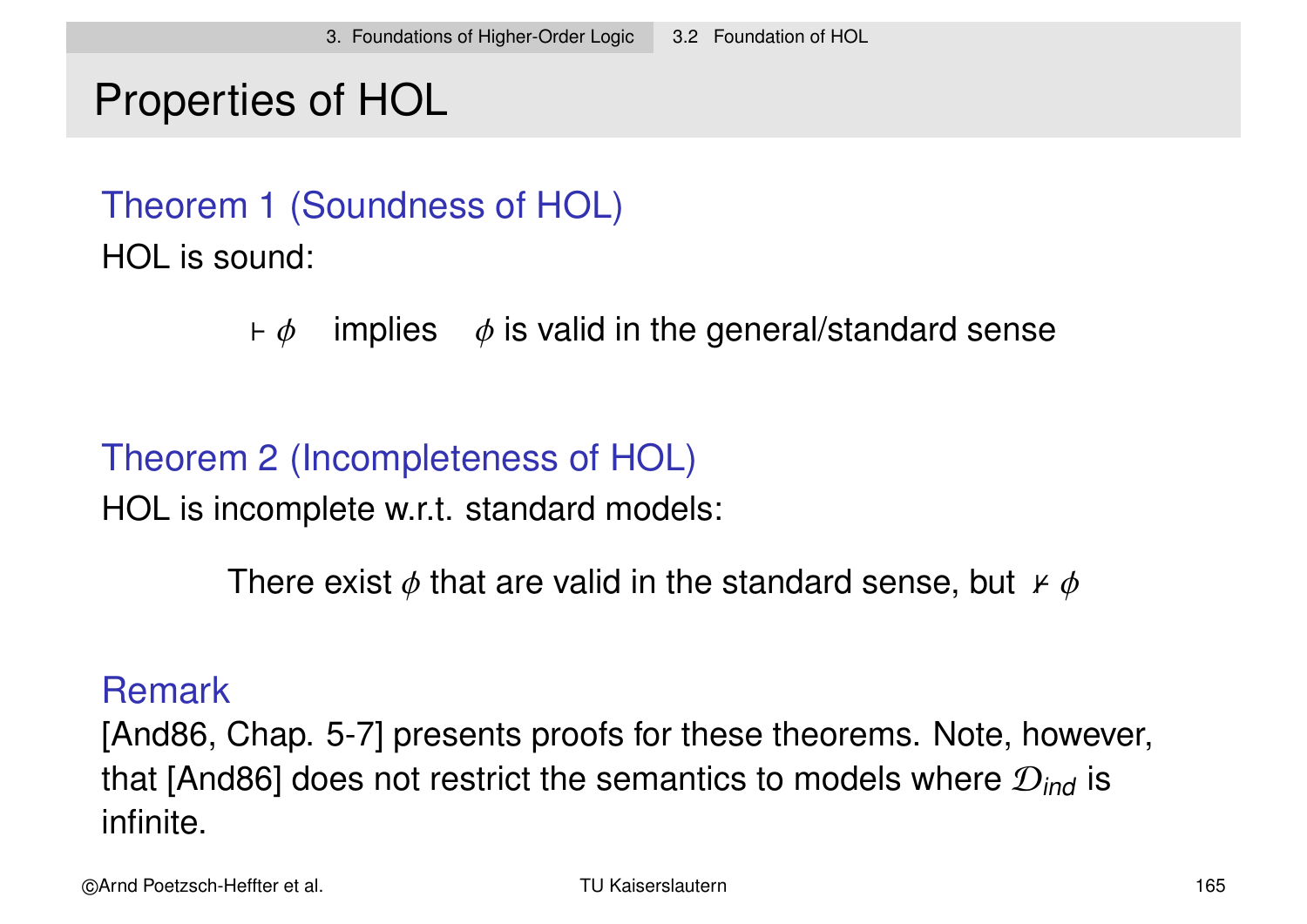# Properties of HOL

Theorem 1 (Soundness of HOL) HOL is sound:

 $\vdash \phi$  implies  $\phi$  is valid in the general/standard sense

Theorem 2 (Incompleteness of HOL)

HOL is incomplete w.r.t. standard models:

There exist  $\phi$  that are valid in the standard sense, but  $\not\vdash \phi$ 

#### Remark

[And86, Chap. 5-7] presents proofs for these theorems. Note, however, that [And86] does not restrict the semantics to models where  $\mathcal{D}_{ind}$  is infinite.

©Arnd Poetzsch-Heffter et al. TU Kaiserslautern 165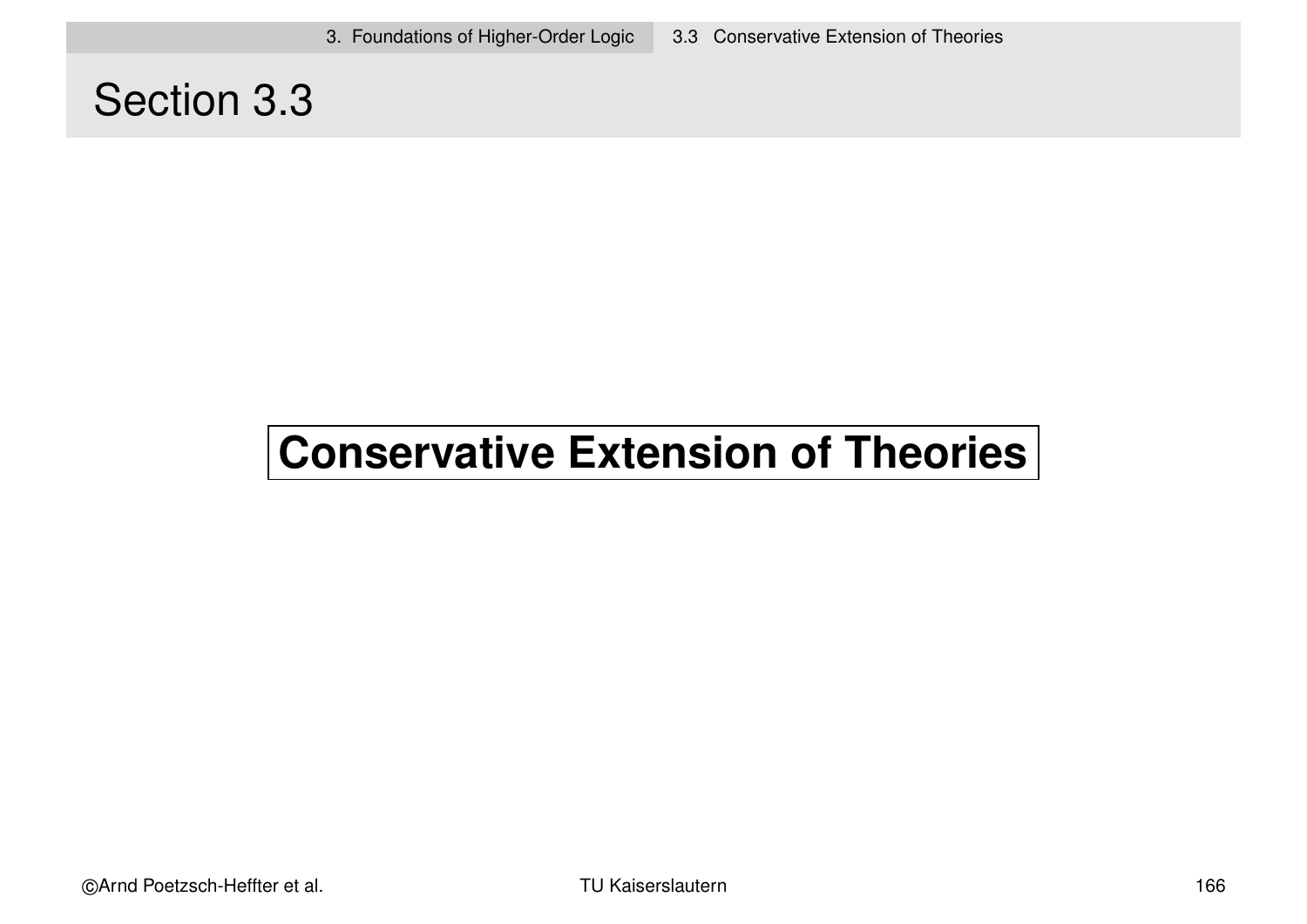### Section 3.3

# **Conservative Extension of Theories**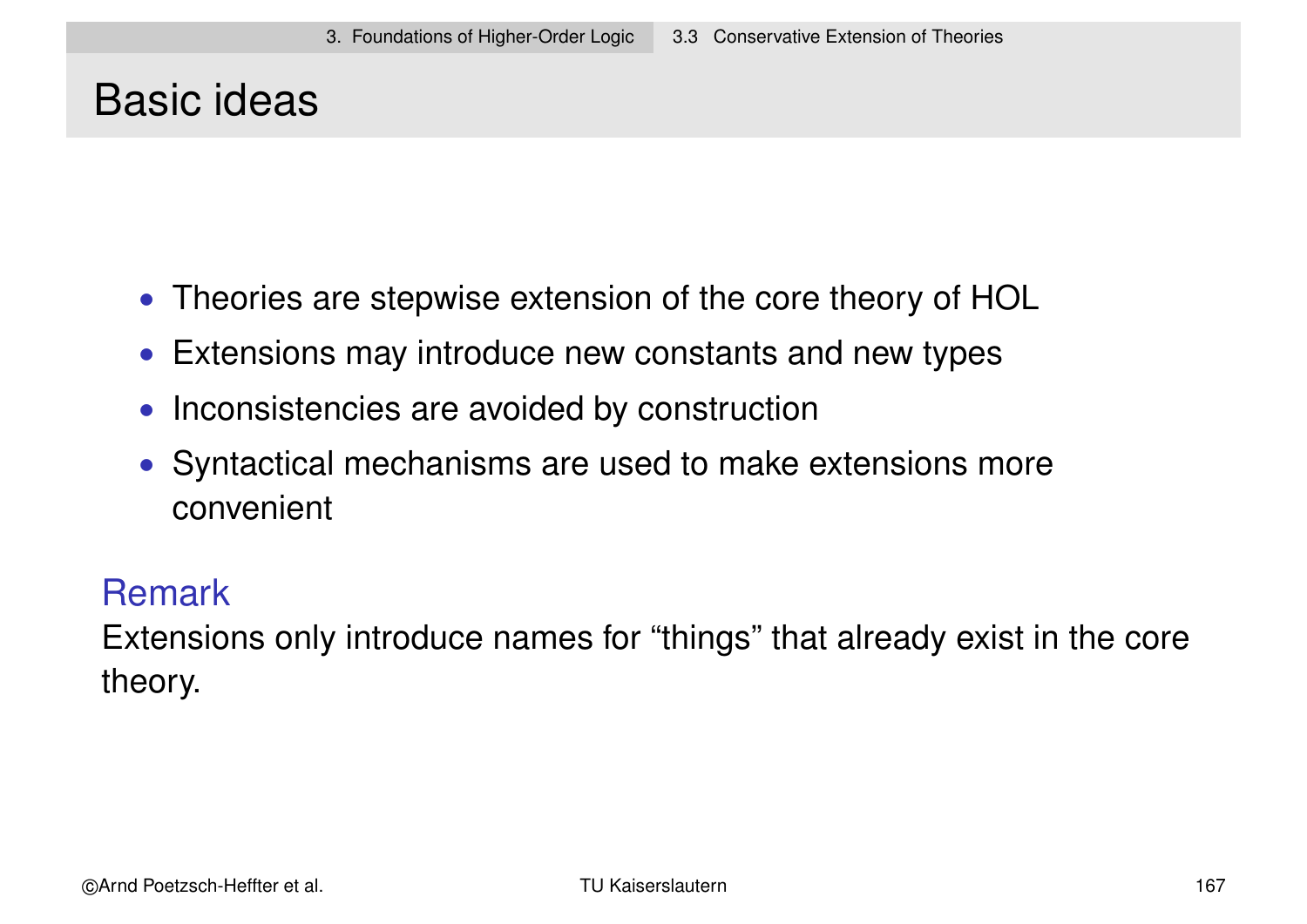### Basic ideas

- Theories are stepwise extension of the core theory of HOL
- Extensions may introduce new constants and new types
- Inconsistencies are avoided by construction
- Syntactical mechanisms are used to make extensions more convenient

#### **Remark**

Extensions only introduce names for "things" that already exist in the core theory.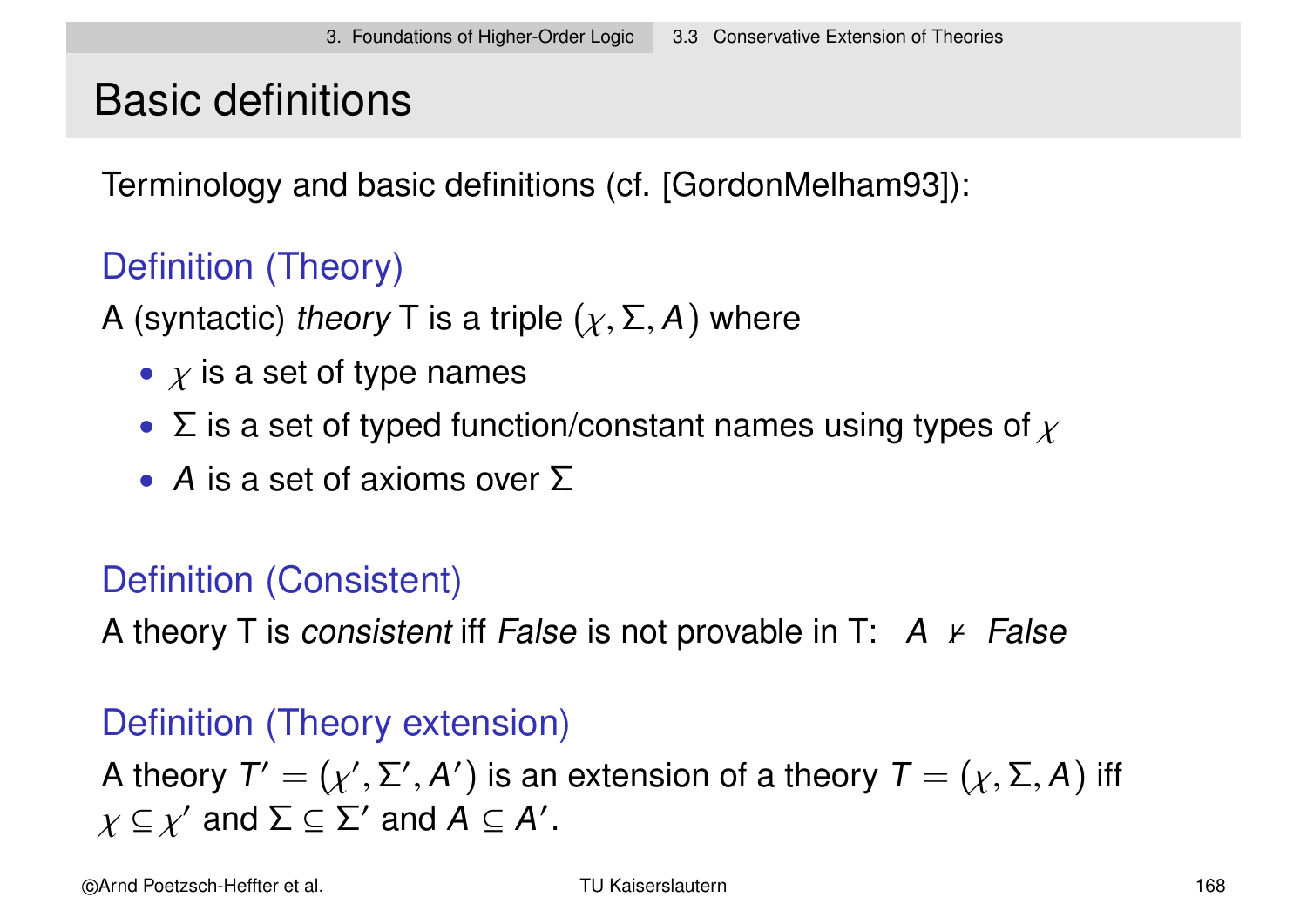# Basic definitions

Terminology and basic definitions (cf. [GordonMelham93]):

### Definition (Theory)

A (syntactic) theory T is a triple  $(\chi, \Sigma, A)$  where

- $\chi$  is a set of type names
- $\Sigma$  is a set of typed function/constant names using types of  $\chi$
- A is a set of axioms over  $\Sigma$

### Definition (Consistent)

A theory T is consistent iff False is not provable in T:  $A \nvDash False$ 

### Definition (Theory extension)

A theory  $\mathsf{T}'=(\chi',\Sigma',\mathsf{A}')$  is an extension of a theory  $\mathsf{T}=(\chi,\Sigma,\mathsf{A})$  iff  $\chi \subseteq \chi'$  and  $\Sigma \subseteq \Sigma'$  and  $A \subseteq A'$ .

©Arnd Poetzsch-Heffter et al. TU Kaiserslautern 168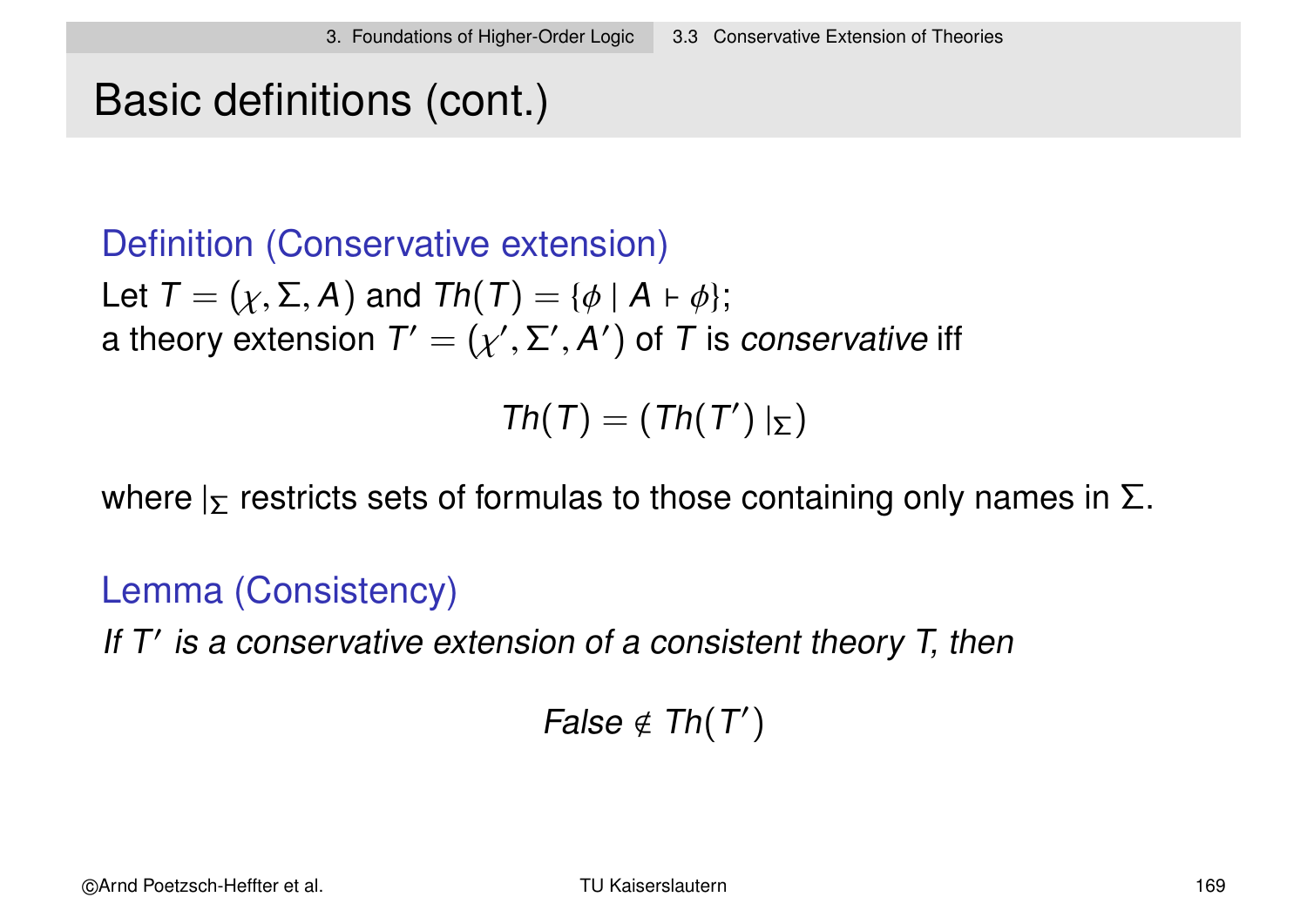### Basic definitions (cont.)

### Definition (Conservative extension)

Let  $T = (\chi, \Sigma, A)$  and  $Th(T) = {\phi | A \vdash \phi};$ a theory extension  $\mathcal{T}'=(\chi',\Sigma',\mathcal{A}')$  of  $\mathcal T$  is *conservative* iff

 $Th(T) = (Th(T') | \Sigma)$ 

where  $\vert_{\Sigma}$  restricts sets of formulas to those containing only names in  $\Sigma$ .

#### Lemma (Consistency)

If  $T'$  is a conservative extension of a consistent theory  $T$ , then

False  $\notin Th(T')$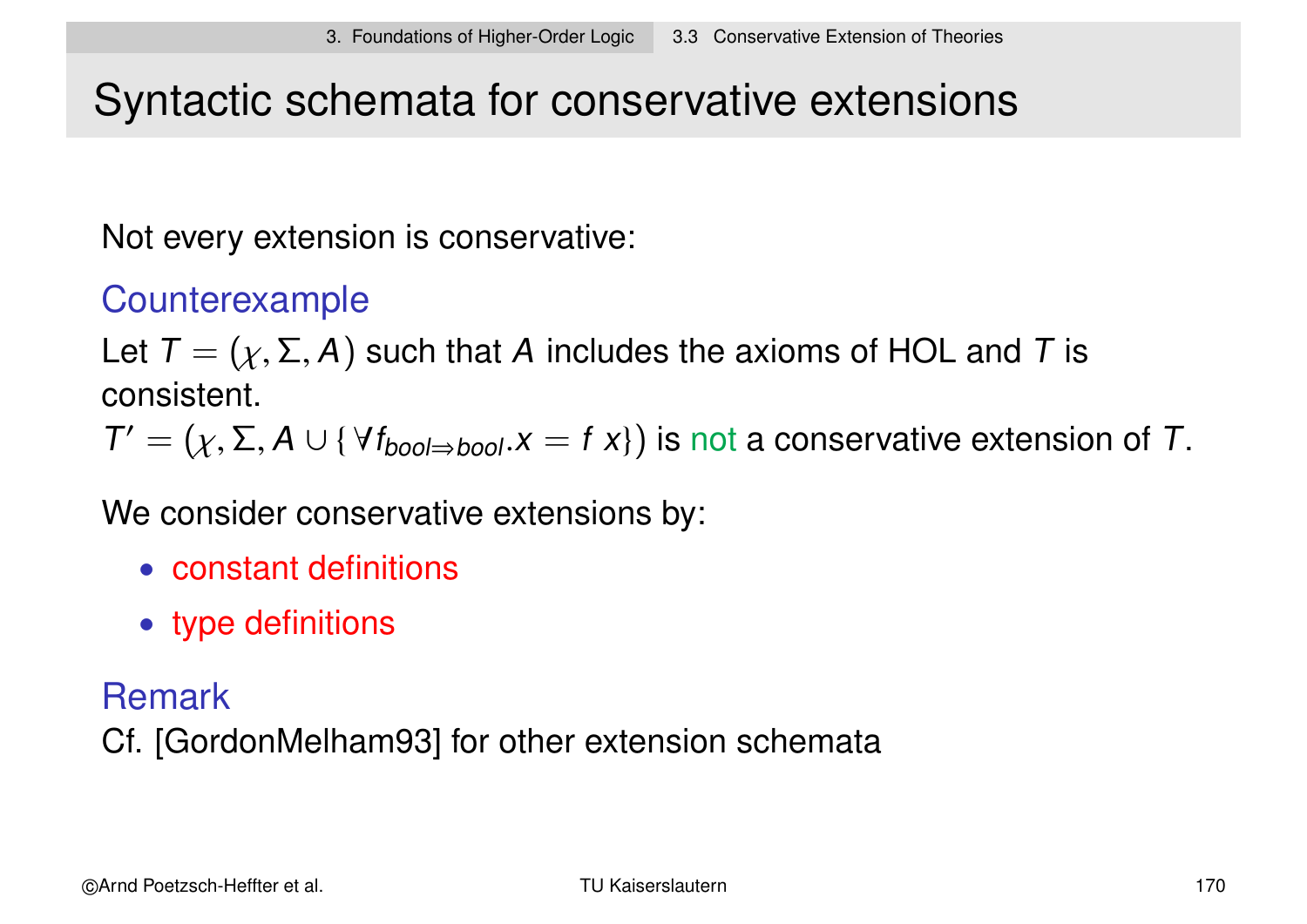# Syntactic schemata for conservative extensions

Not every extension is conservative:

### Counterexample

Let  $T = (\chi, \Sigma, A)$  such that A includes the axioms of HOL and T is consistent.

 $T' = (\chi, \Sigma, A \cup \{\forall f_{bool \Rightarrow bool} . x = f x\})$  is not a conservative extension of T.

We consider conservative extensions by:

- constant definitions
- type definitions

#### Remark

Cf. [GordonMelham93] for other extension schemata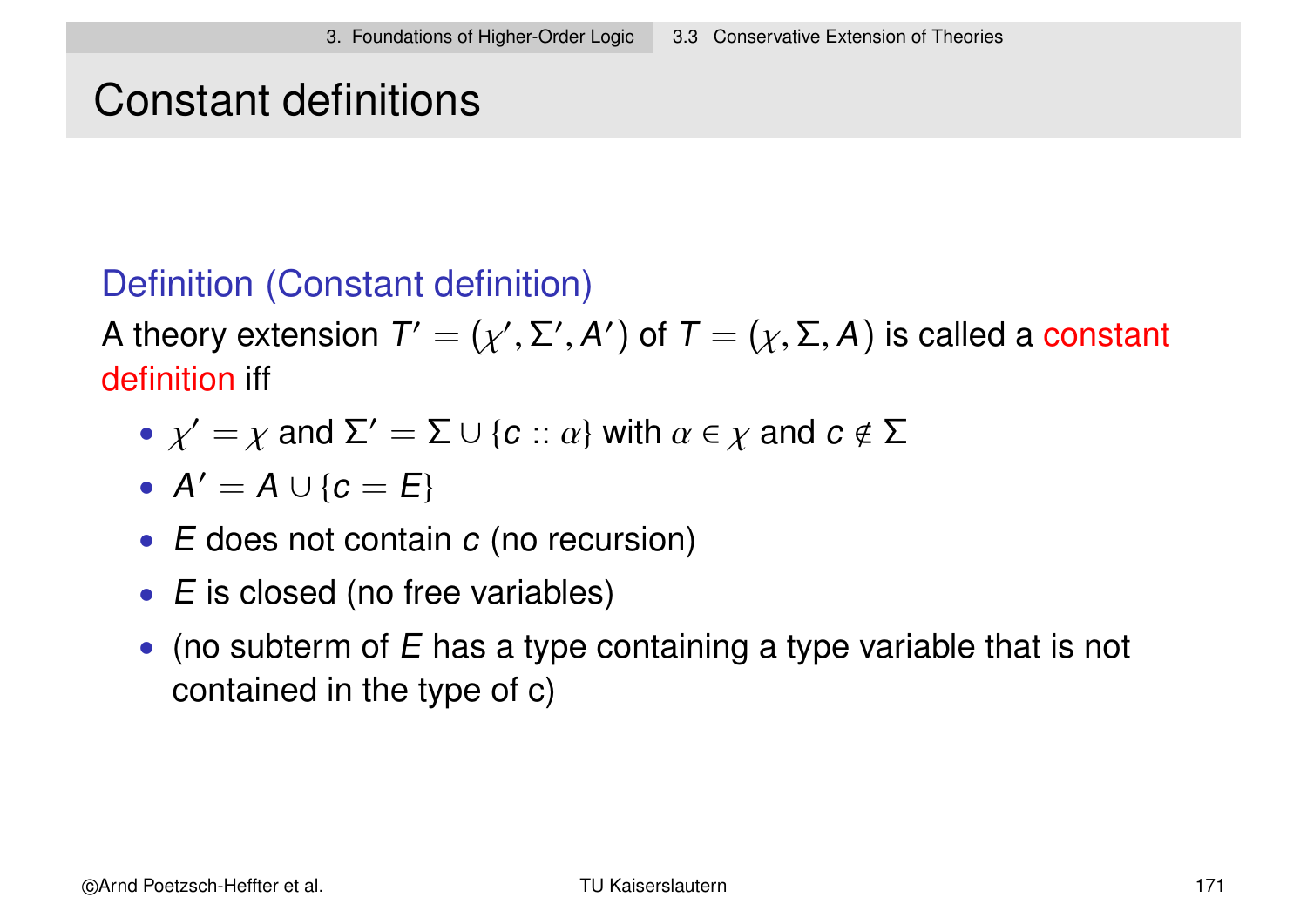### Constant definitions

### Definition (Constant definition)

A theory extension  $\mathcal{T}'=(\chi',\Sigma',\mathcal{A}')$  of  $\mathcal{T}=(\chi,\Sigma,\mathcal{A})$  is called a constant definition iff

- $\chi' = \chi$  and  $\Sigma' = \Sigma \cup \{c : a\}$  with  $\alpha \in \chi$  and  $c \notin \Sigma$
- $A' = A \cup \{c = E\}$
- $\bullet$  E does not contain  $c$  (no recursion)
- E is closed (no free variables)
- (no subterm of  $E$  has a type containing a type variable that is not contained in the type of c)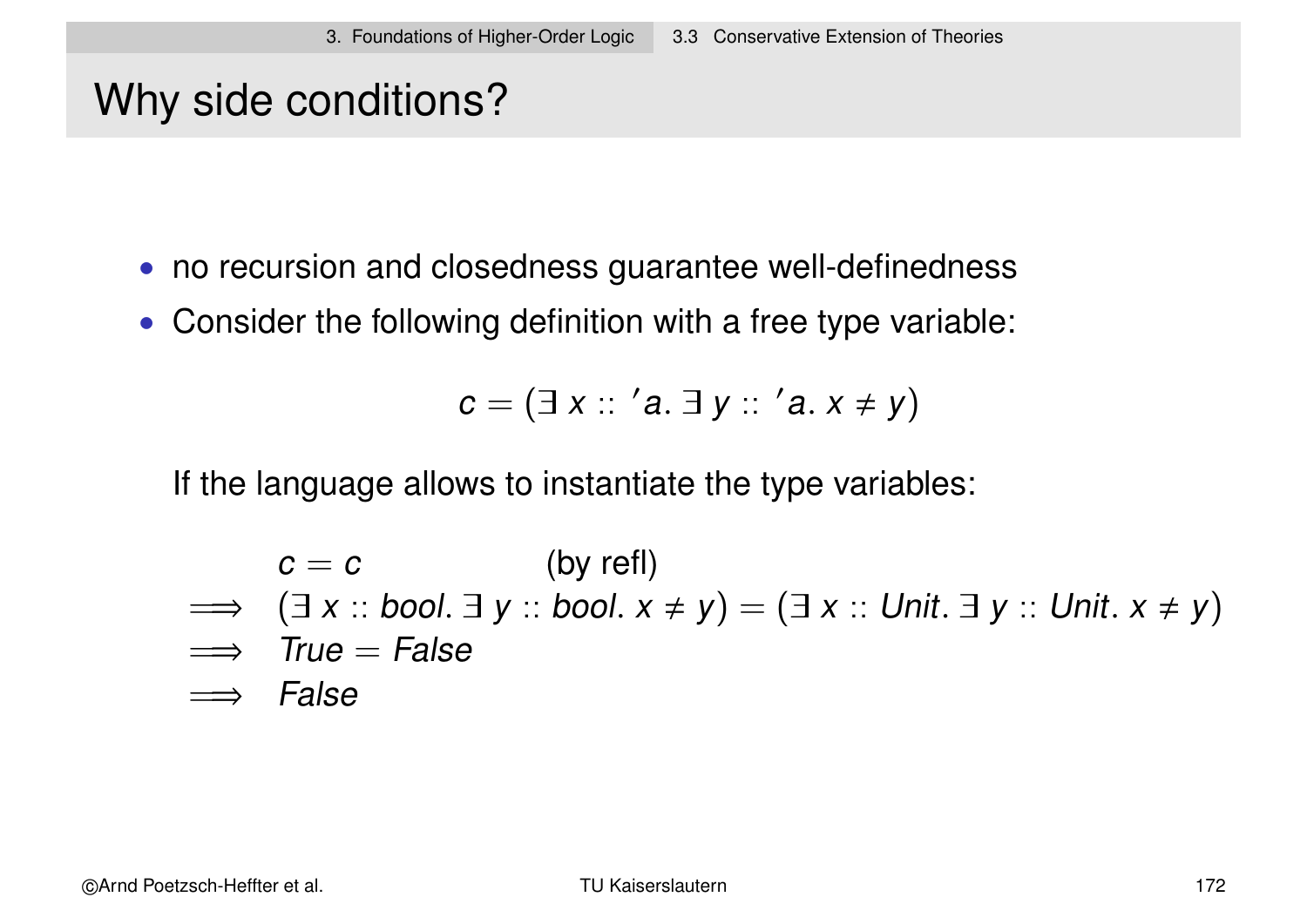# Why side conditions?

- no recursion and closedness guarantee well-definedness
- Consider the following definition with a free type variable:

$$
c=(\exists x :: 'a.\exists y :: 'a. x \neq y)
$$

If the language allows to instantiate the type variables:

$$
c = c
$$
 (by refl)  
\n
$$
\implies (\exists x :: bool. \exists y :: bool. x \neq y) = (\exists x :: Unit. \exists y :: Unit. x \neq y)
$$
\n
$$
\implies True = False
$$
\n
$$
\implies False
$$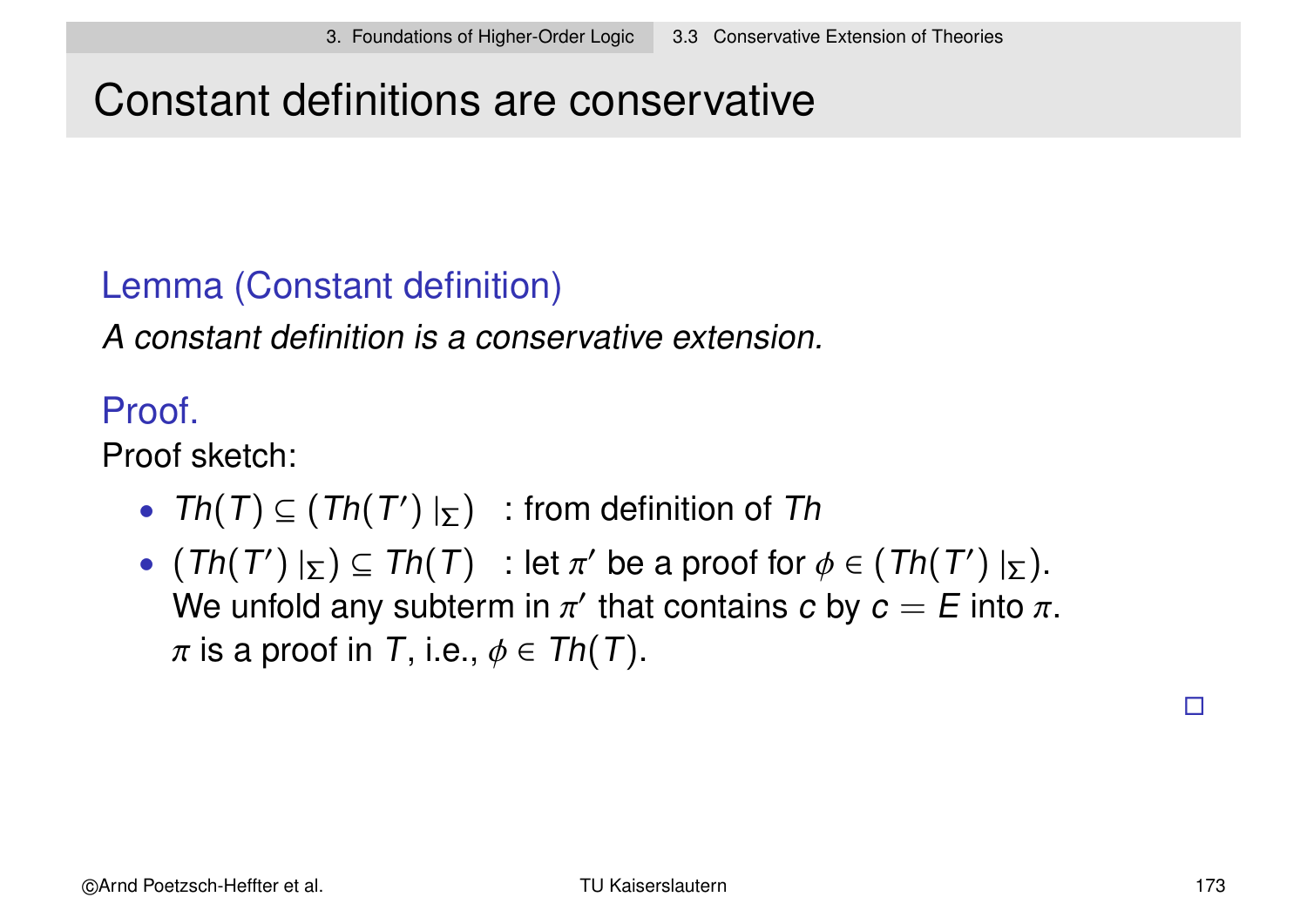### Constant definitions are conservative

### Lemma (Constant definition)

A constant definition is a conservative extension.

Proof.

Proof sketch:

- Th $(T) \subseteq (Th(T')|_{\Sigma})$  : from definition of Th
- $(Th(T')|_{\Sigma}) \subseteq Th(T)$ : let  $\pi'$  be a proof for  $\phi \in (Th(T')|_{\Sigma})$ . We unfold any subterm in  $\pi'$  that contains  $c$  by  $c=E$  into  $\pi.$  $\pi$  is a proof in T, i.e.,  $\phi \in Th(T)$ .

 $\Box$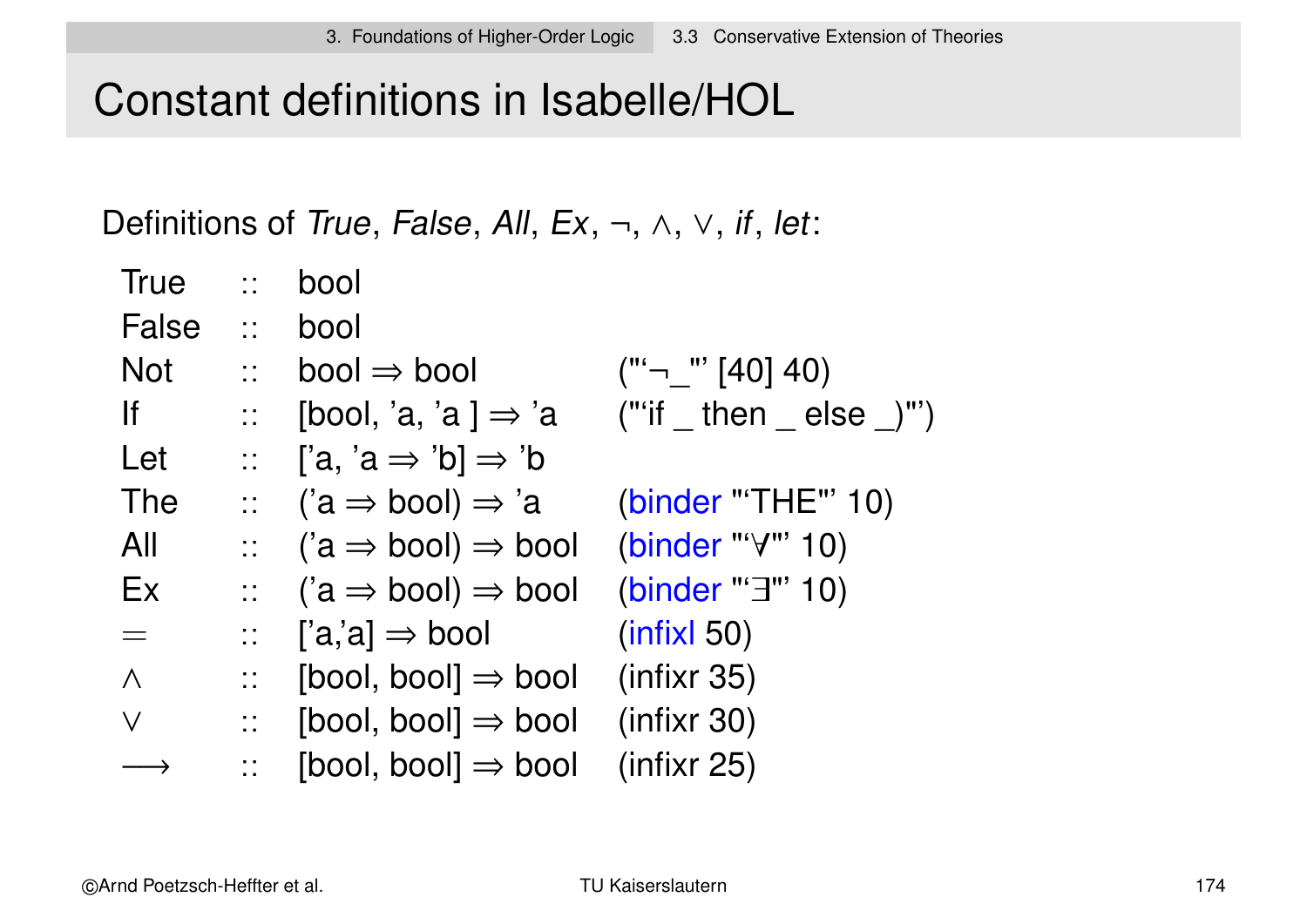# Constant definitions in Isabelle/HOL

Definitions of True, False, All, Ex,  $\neg$ ,  $\wedge$ ,  $\vee$ , if, let:

| <b>True</b>  | $\mathbb{Z}^{\mathbb{Z}}$            | bool                                                  |                              |
|--------------|--------------------------------------|-------------------------------------------------------|------------------------------|
| <b>False</b> | $\frac{1}{2}$                        | bool                                                  |                              |
| <b>Not</b>   | $\mathbb{R}^{\mathbb{Z}}$            | $bool \Rightarrow bool$                               | $("^{\prime}$ – $"$ [40] 40) |
| <u>lf</u>    | $\mathbb{Z}^{\mathbb{Z}^{\times}}$ . | [bool, 'a, 'a ] $\Rightarrow$ 'a                      | ("'if then else $\)$ "')     |
| Let          |                                      | :: $[a, 'a \Rightarrow 'b] \Rightarrow 'b$            |                              |
| The          |                                      | $\therefore$ ('a $\Rightarrow$ bool) $\Rightarrow$ 'a | (binder "'THE"' 10)          |
| All          | $\frac{1}{2}$                        | $(a \Rightarrow bool) \Rightarrow bool$               | (binder "'∀"' 10)            |
| Ex           | $\mathbb{R}^{n \times n}$            | $(a \Rightarrow bool) \Rightarrow bool$               | (binder "' $\exists$ "' 10)  |
| $\equiv$     | $\mathbb{R}^{n \times n}$            | $[a,a] \Rightarrow$ bool                              | (intixl 50)                  |
| $\Lambda$    | $\mathbb{R}^{n \times n}$            | $[bool, bool] \Rightarrow bool$                       | (infixr 35)                  |
| $\vee$       | $\mathbb{Z}^{\mathbb{Z}}$            | [bool, bool] $\Rightarrow$ bool                       | (infixr 30)                  |
|              | $\mathbb{Z}^{\mathbb{Z}}$            | $[bool, bool] \Rightarrow bool$                       | (infixr 25)                  |
|              |                                      |                                                       |                              |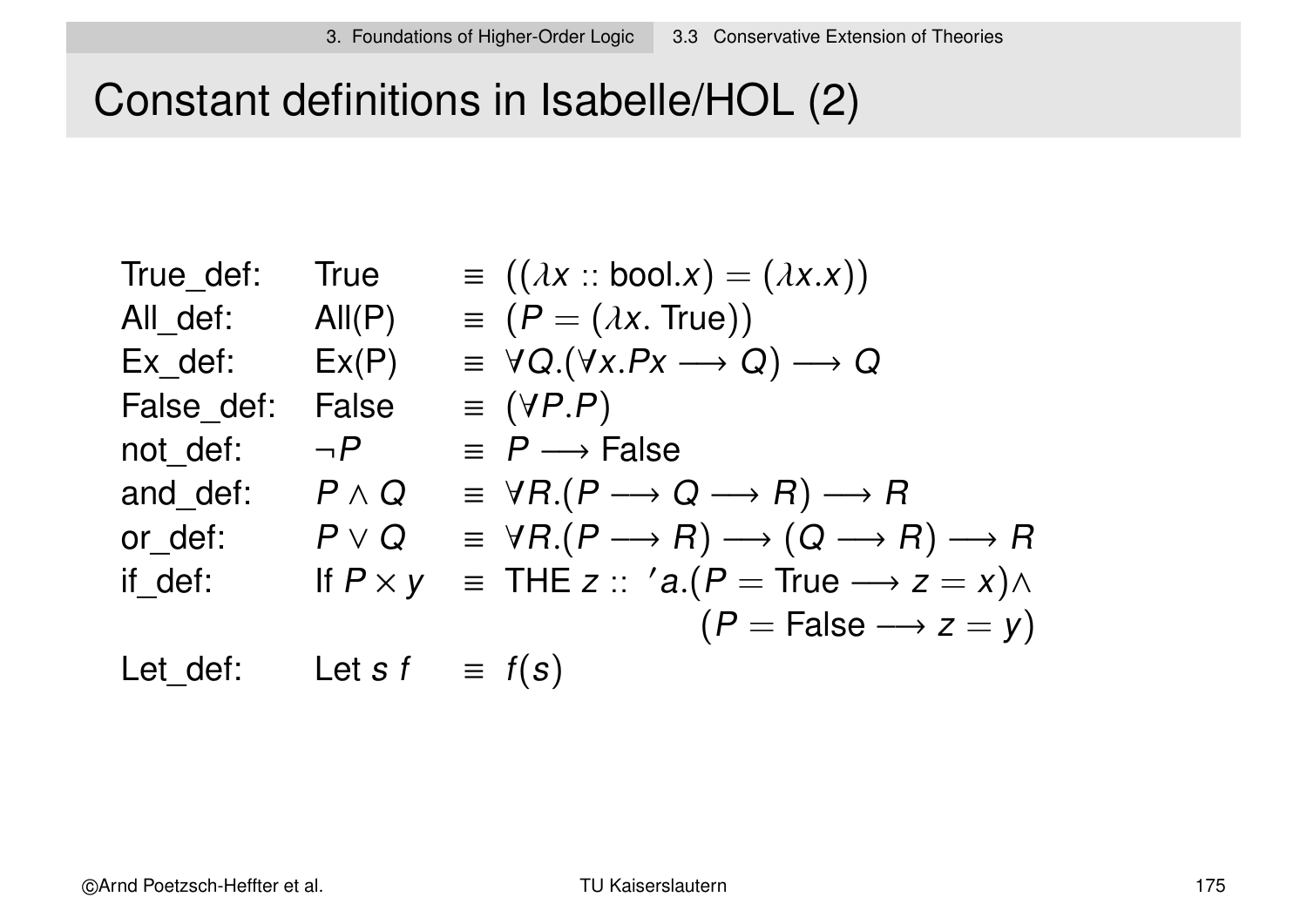# Constant definitions in Isabelle/HOL (2)

|                 | $\equiv$ $((\lambda x :: \text{bool.} x) = (\lambda x.x))$                                       |
|-----------------|--------------------------------------------------------------------------------------------------|
| All(P)          | $\equiv (P = (\lambda x. True))$                                                                 |
| Ex(P)           | $\equiv \forall Q.(\forall x.Px \longrightarrow Q) \longrightarrow Q$                            |
| <b>False</b>    | $\equiv$ (YP.P)                                                                                  |
| $\neg P$        | $\equiv P \longrightarrow False$                                                                 |
| $P \wedge Q$    | $\equiv \forall R.(P \longrightarrow Q \longrightarrow R) \longrightarrow R$                     |
| $P\vee Q$       | $\equiv \forall R.(P \longrightarrow R) \longrightarrow (Q \longrightarrow R) \longrightarrow R$ |
| If $P \times y$ | $\equiv$ THE z :: 'a.(P = True $\rightarrow$ z = x) $\land$                                      |
|                 | $(P = False \longrightarrow z = y)$                                                              |
| Let s f         | $\equiv f(s)$                                                                                    |
|                 | <b>True</b>                                                                                      |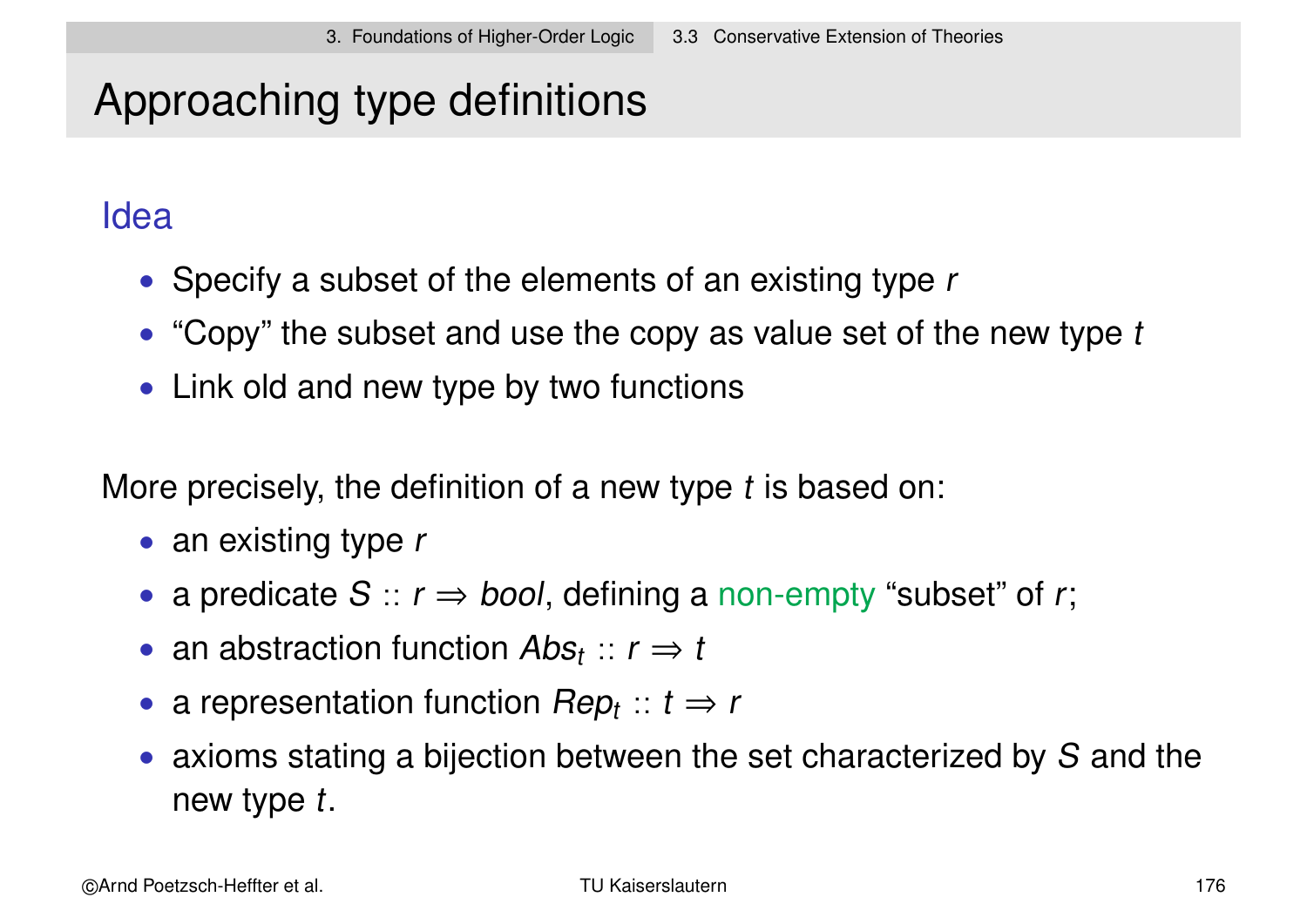# Approaching type definitions

### Idea

- Specify a subset of the elements of an existing type r
- "Copy" the subset and use the copy as value set of the new type  $t$
- Link old and new type by two functions

More precisely, the definition of a new type t is based on:

- an existing type r
- a predicate  $S :: r \Rightarrow bool$ , defining a non-empty "subset" of r;
- an abstraction function  $Abs_t :: r \Rightarrow t$
- a representation function  $Rep_t :: t \Rightarrow r$
- axioms stating a bijection between the set characterized by S and the new type t.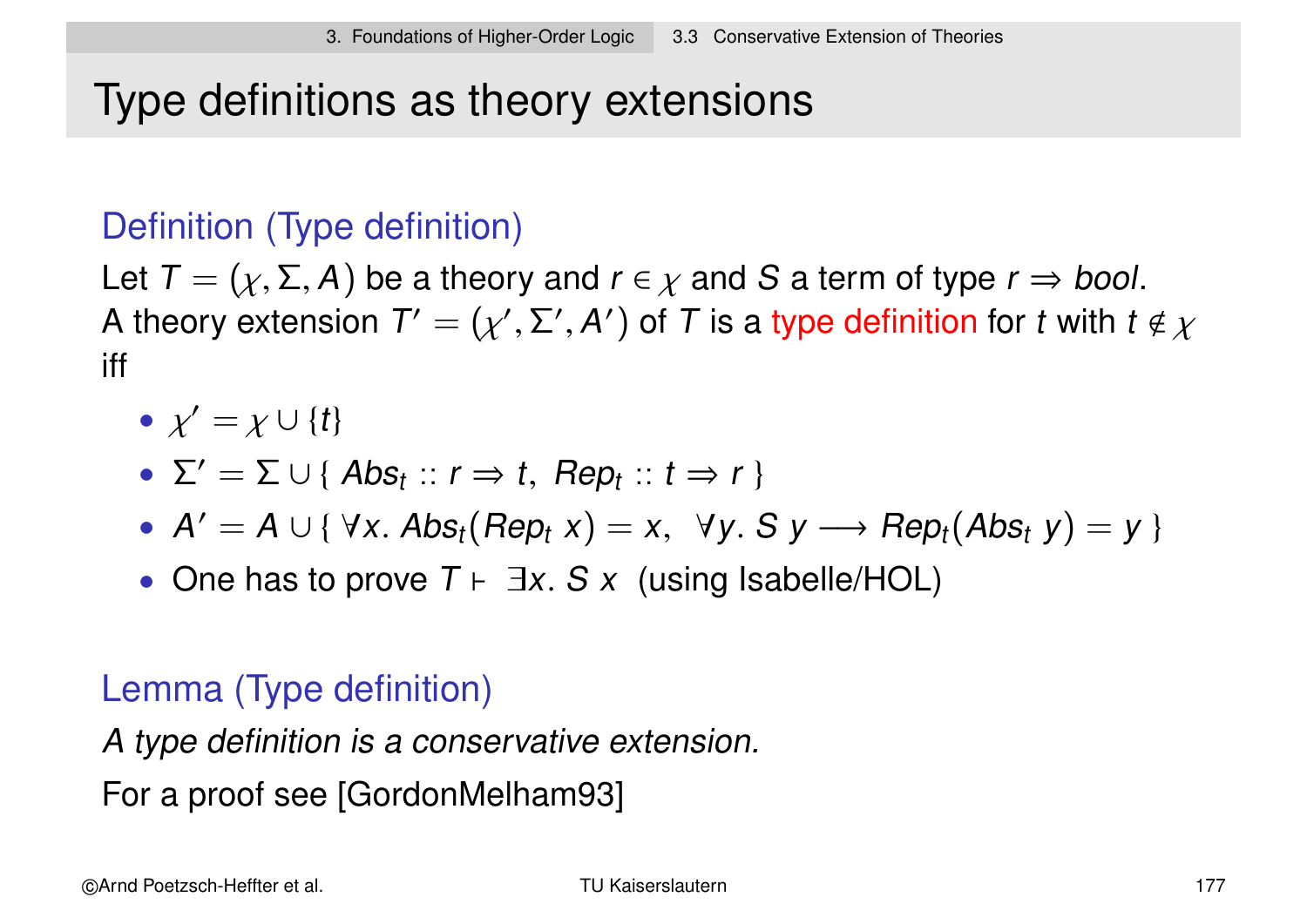# Type definitions as theory extensions

### Definition (Type definition)

Let  $T = (\chi, \Sigma, A)$  be a theory and  $r \in \chi$  and S a term of type  $r \Rightarrow$  bool. A theory extension  $\mathcal{T}'=(\chi',\Sigma',\mathcal{A}')$  of  $\mathcal T$  is a type definition for  $t$  with  $t\notin \chi$ iff

$$
\bullet \ \chi' = \chi \cup \{t\}
$$

• 
$$
\Sigma' = \Sigma \cup \{ Abs_t :: r \Rightarrow t, Rep_t :: t \Rightarrow r \}
$$

- $A' = A \cup \{ \forall x. \text{ Abs}_t(\text{Rep}_t x) = x, \forall y. \text{ S } y \longrightarrow \text{Rep}_t(\text{Abs}_t y) = y \}$
- One has to prove  $T \vdash \exists x. S x$  (using Isabelle/HOL)

### Lemma (Type definition)

A type definition is a conservative extension.

For a proof see [GordonMelham93]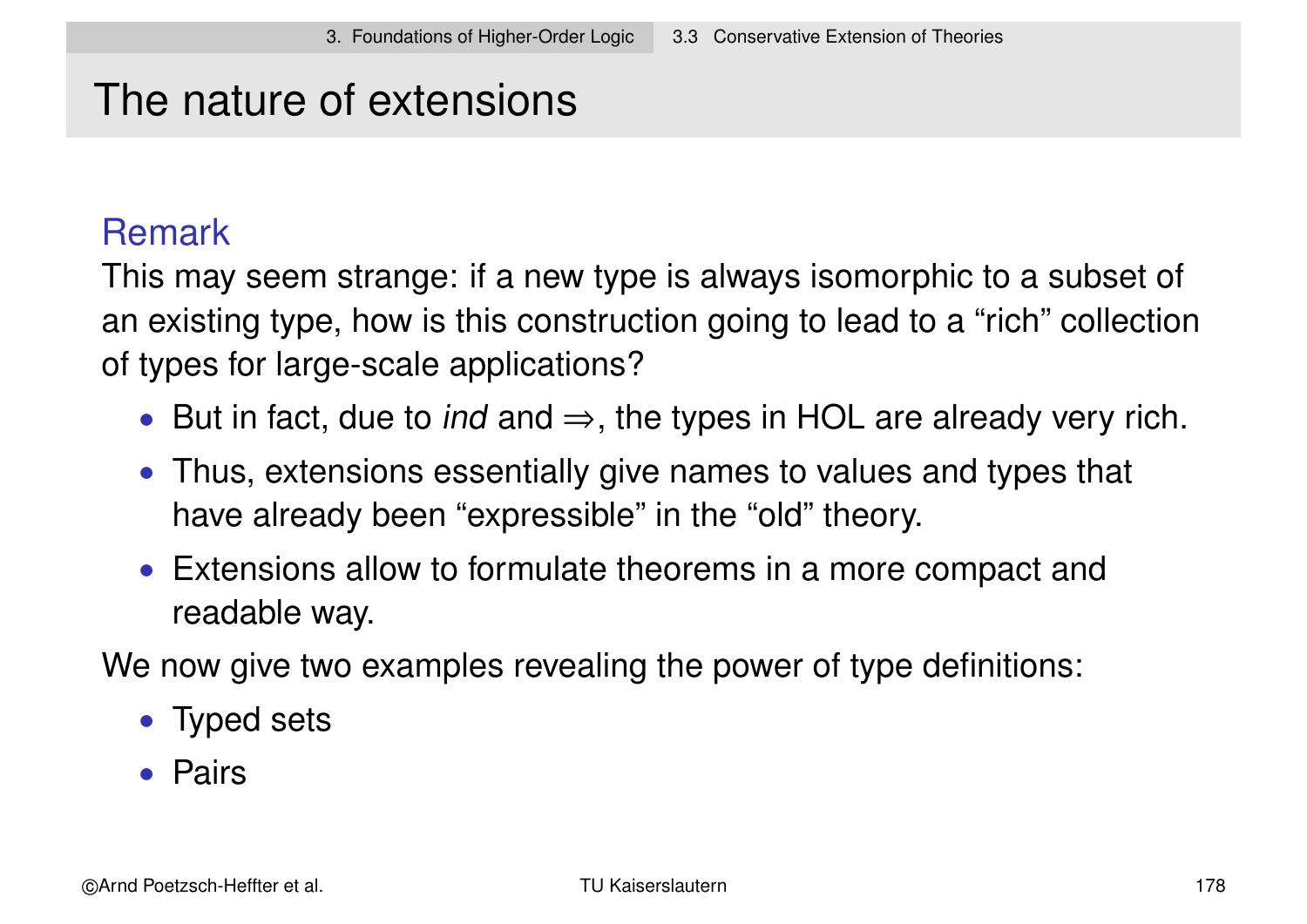# The nature of extensions

### Remark

This may seem strange: if a new type is always isomorphic to a subset of an existing type, how is this construction going to lead to a "rich" collection of types for large-scale applications?

- But in fact, due to *ind* and  $\Rightarrow$ , the types in HOL are already very rich.
- Thus, extensions essentially give names to values and types that have already been "expressible" in the "old" theory.
- Extensions allow to formulate theorems in a more compact and readable way.

We now give two examples revealing the power of type definitions:

- Typed sets
- Pairs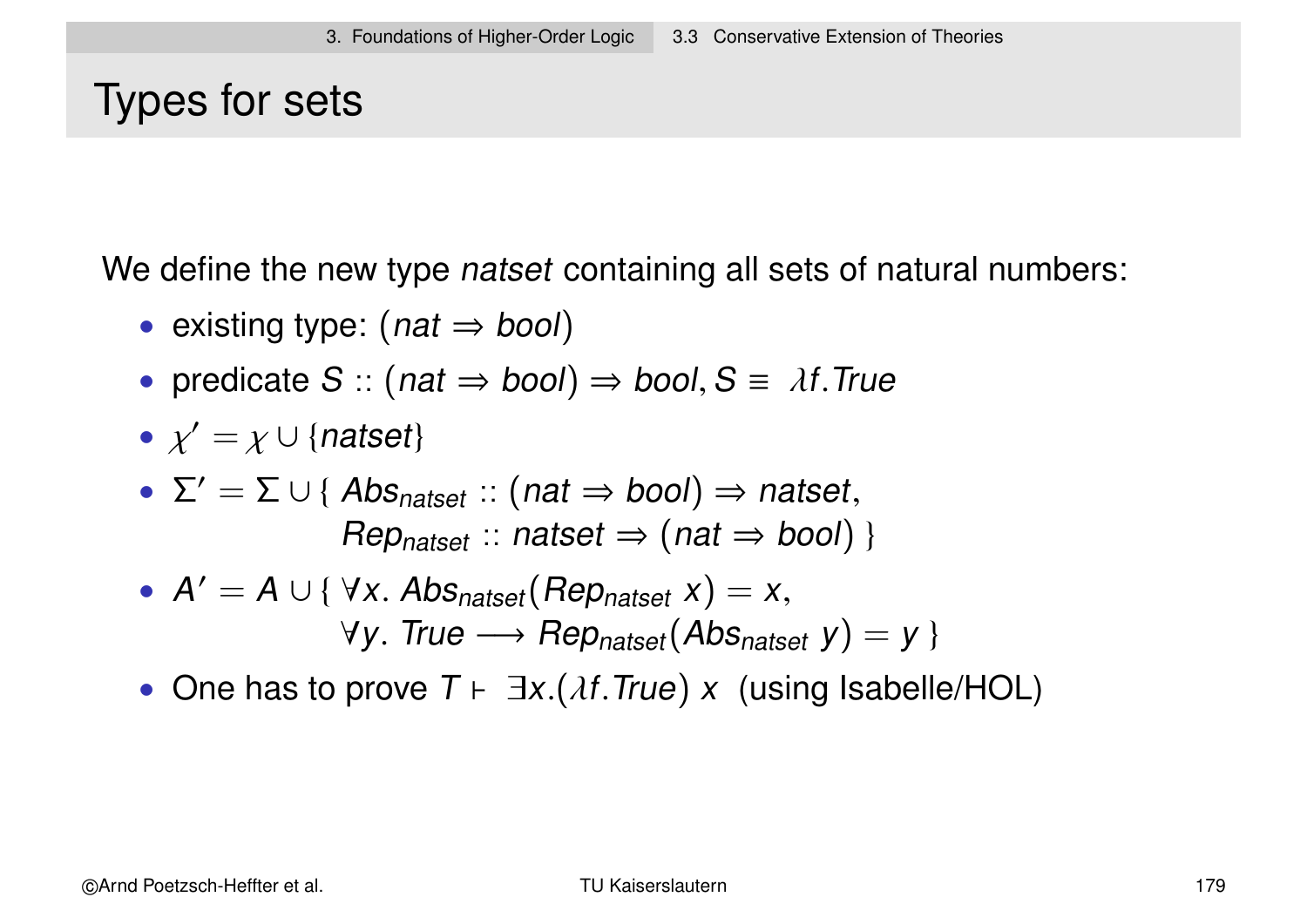# Types for sets

We define the new type *natset* containing all sets of natural numbers:

- existing type:  $(nat \Rightarrow bool)$
- predicate  $S$  :: (nat  $\Rightarrow$  bool)  $\Rightarrow$  bool,  $S \equiv \lambda f$ . True
- $\chi' = \chi \cup \{n$ atset}
- $\Sigma' = \Sigma \cup \{ Abs_{natset} :: (nat \Rightarrow bool) \Rightarrow natset,$  $\mathsf{Rep}_{\mathsf{natset}}$  :: natset  $\Rightarrow$  (nat  $\Rightarrow$  bool) }
- $A' = A \cup \{ \forall x.$  Abs<sub>natset</sub> (Rep<sub>natset</sub>  $x) = x$ ,  $\forall y$ . True  $\longrightarrow Rep_{natset}(Abs_{natset} y) = y$
- One has to prove  $T \vdash \exists x.(\lambda f. True) \times$  (using Isabelle/HOL)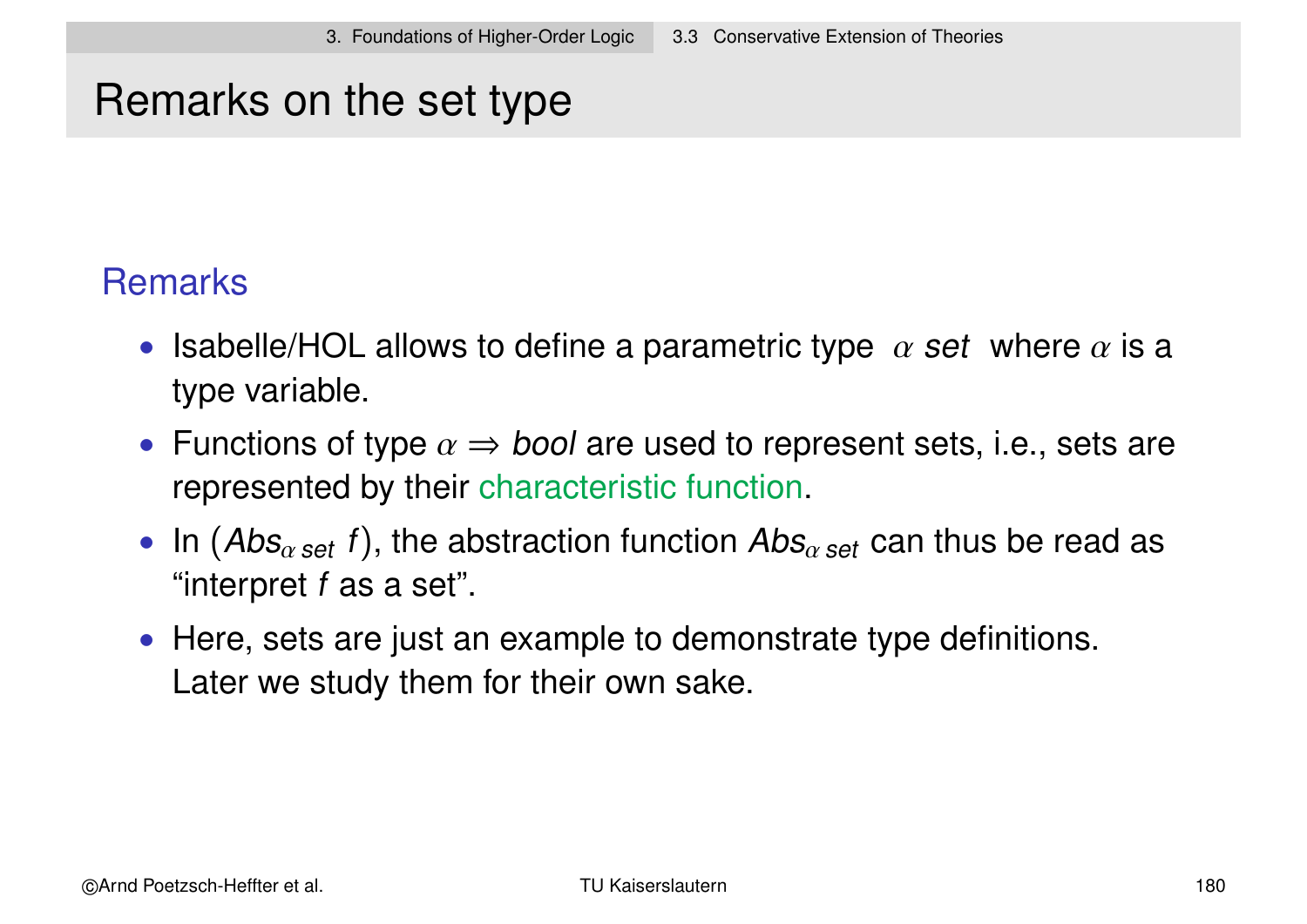# Remarks on the set type

### **Remarks**

- Isabelle/HOL allows to define a parametric type  $\alpha$  set where  $\alpha$  is a type variable.
- Functions of type  $\alpha \Rightarrow$  bool are used to represent sets, i.e., sets are represented by their characteristic function.
- In  $(Abs_{\alpha \text{ set }} f)$ , the abstraction function  $Abs_{\alpha \text{ set }}$  can thus be read as "interpret f as a set".
- Here, sets are just an example to demonstrate type definitions. Later we study them for their own sake.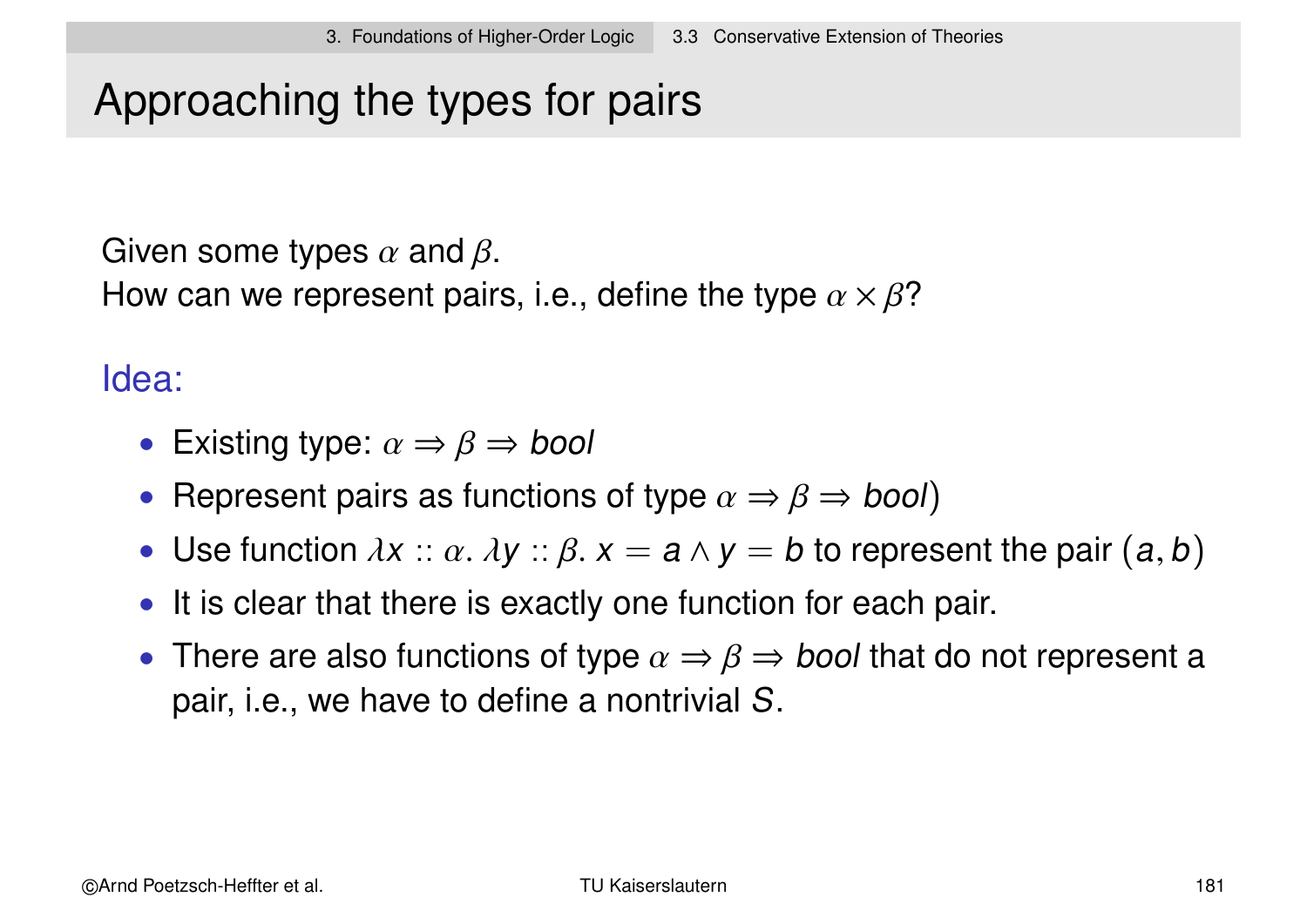# Approaching the types for pairs

Given some types  $\alpha$  and  $\beta$ .

How can we represent pairs, i.e., define the type  $\alpha \times \beta$ ?

### Idea:

- Existing type:  $\alpha \Rightarrow \beta \Rightarrow$  bool
- Represent pairs as functions of type  $\alpha \Rightarrow \beta \Rightarrow \text{bool}$
- Use function  $\lambda x :: \alpha. \lambda y :: \beta. x = a \wedge y = b$  to represent the pair  $(a, b)$
- It is clear that there is exactly one function for each pair.
- There are also functions of type  $\alpha \Rightarrow \beta \Rightarrow$  bool that do not represent a pair, i.e., we have to define a nontrivial S.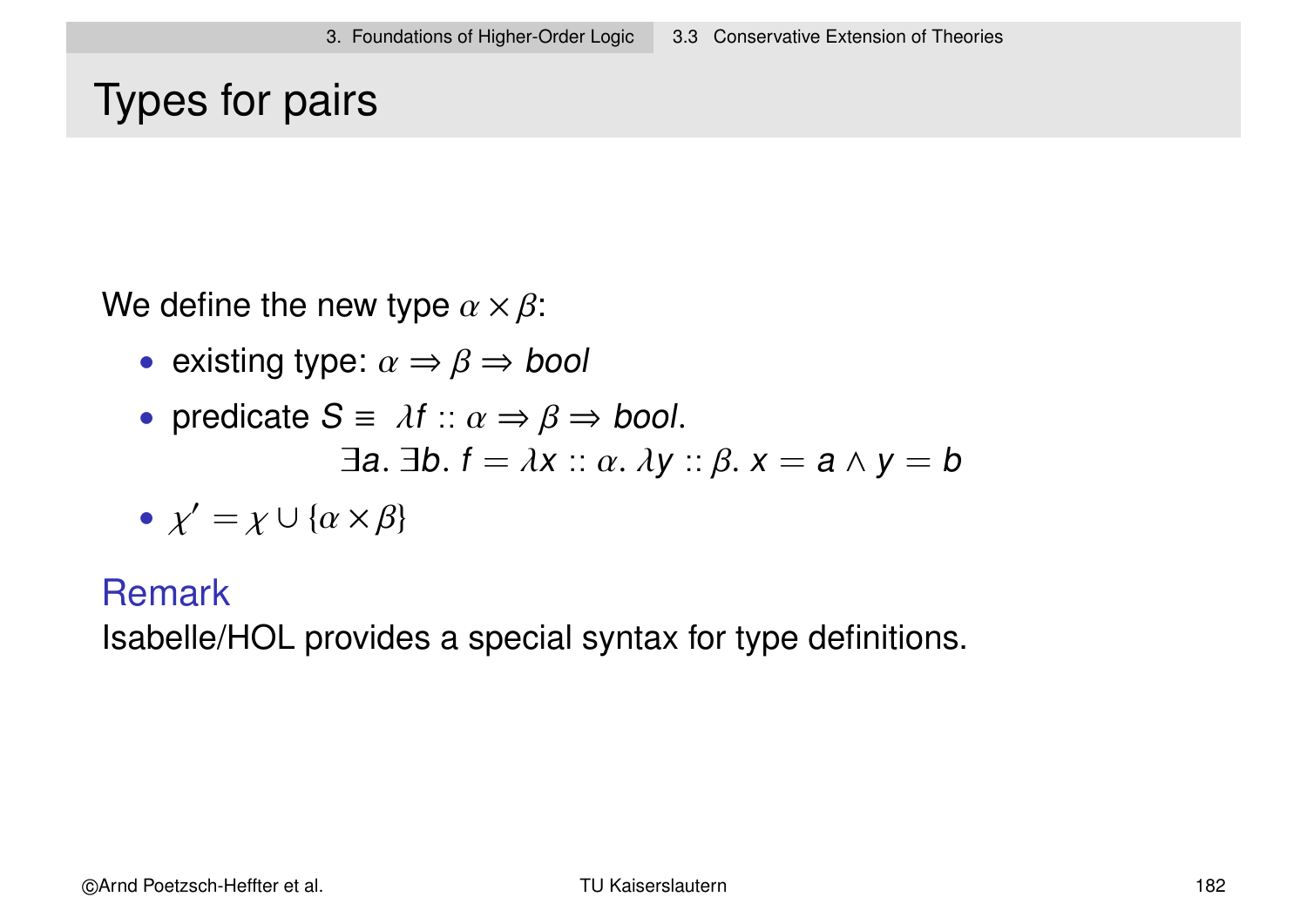# Types for pairs

We define the new type  $\alpha \times \beta$ :

• existing type:  $\alpha \Rightarrow \beta \Rightarrow$  bool

• predicate 
$$
S = \lambda f :: \alpha \Rightarrow \beta \Rightarrow \text{bool.}
$$
  
 $\exists a. \exists b. f = \lambda x :: \alpha. \lambda y :: \beta. x = a \land y = b$ 

$$
\bullet \ \chi' = \chi \cup \{\alpha \times \beta\}
$$

#### Remark

Isabelle/HOL provides a special syntax for type definitions.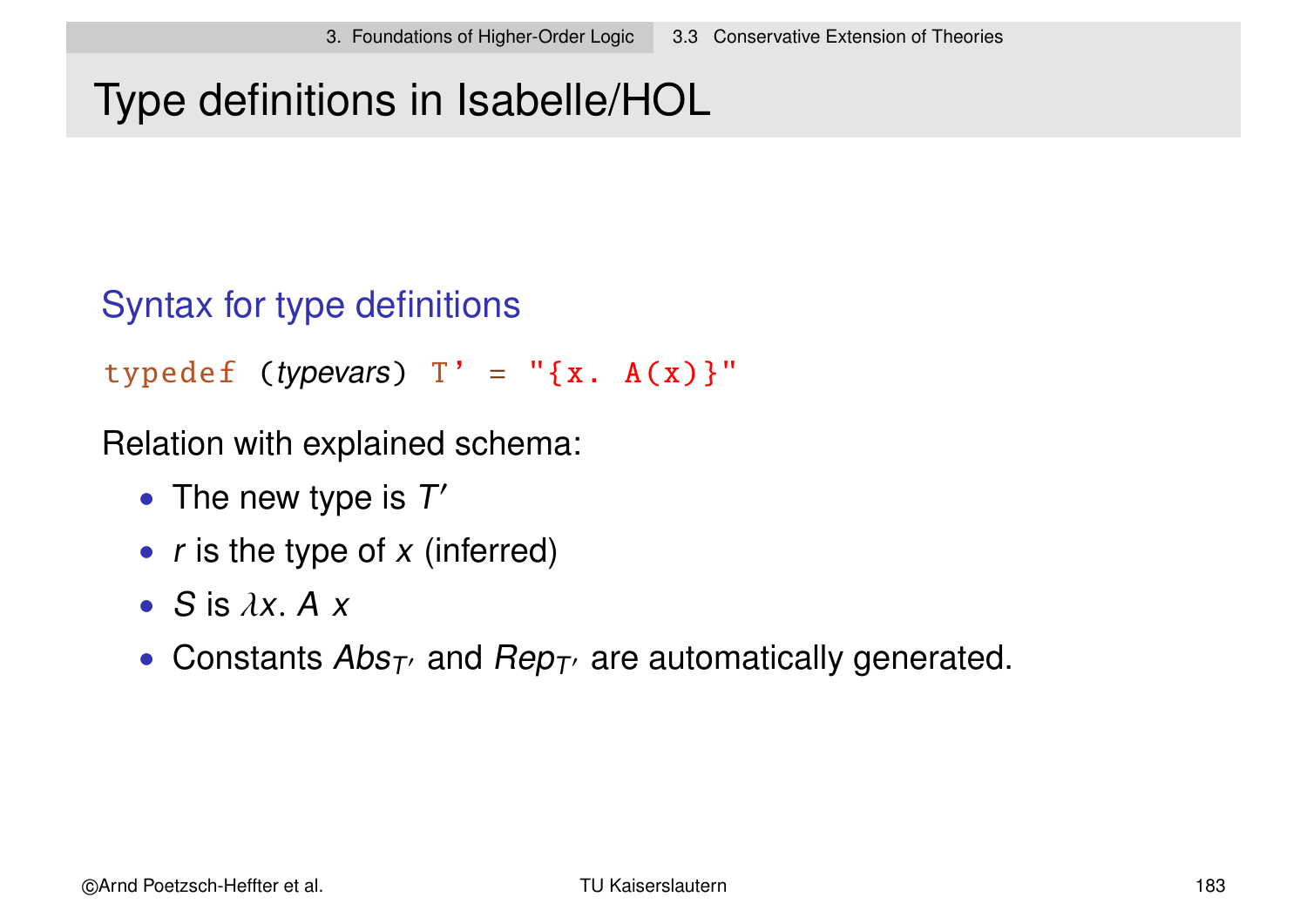# Type definitions in Isabelle/HOL

### Syntax for type definitions

typedef (typevars)  $T' = "x.A(x)}"$ 

Relation with explained schema:

- The new type is  $T'$
- $r$  is the type of  $x$  (inferred)
- $\bullet$  S is  $\lambda x. A x$
- Constants  $Abs_{T}$  and  $Rep_{T}$  are automatically generated.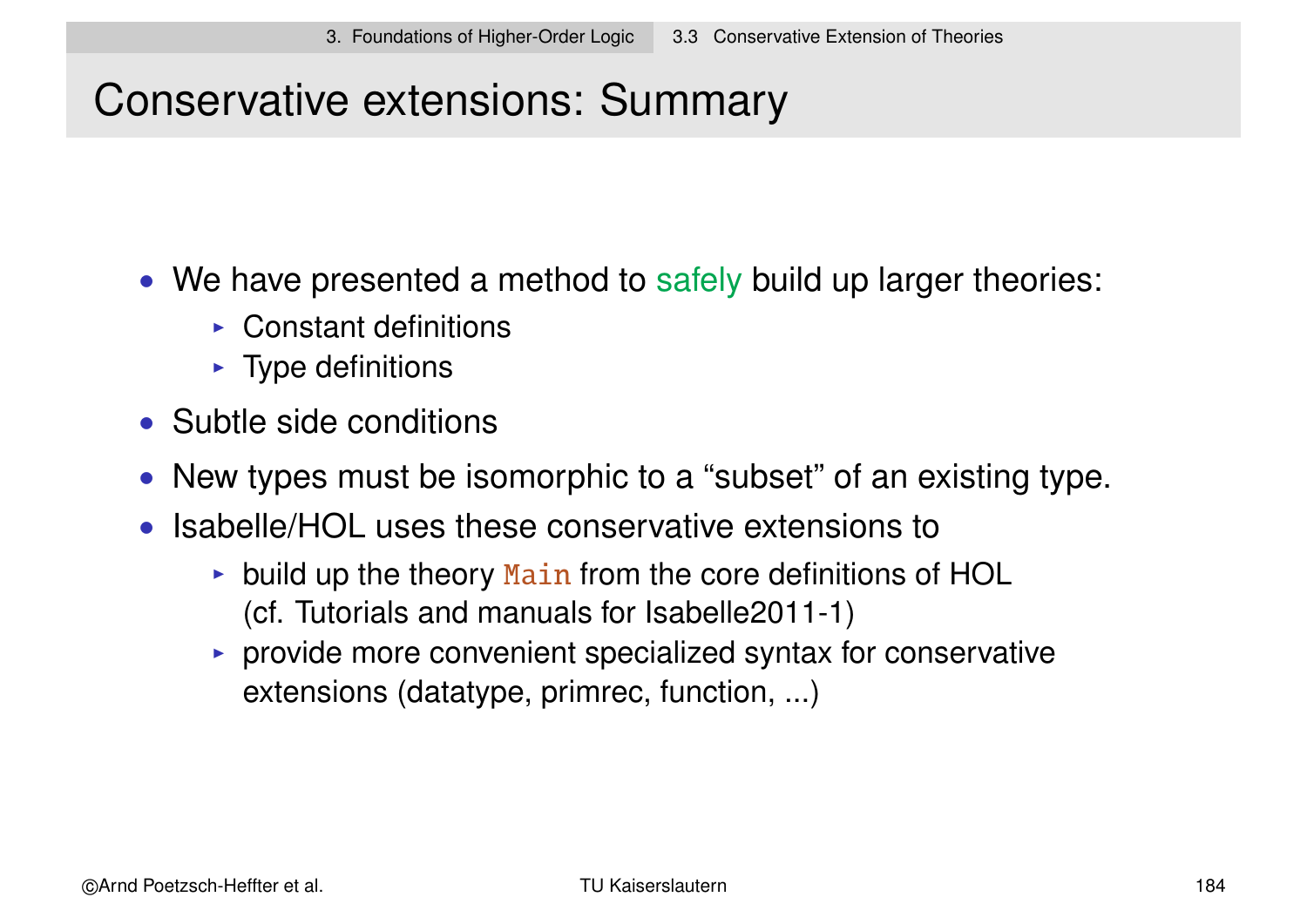# Conservative extensions: Summary

- We have presented a method to safely build up larger theories:
	- $\triangleright$  Constant definitions
	- $\blacktriangleright$  Type definitions
- Subtle side conditions
- New types must be isomorphic to a "subset" of an existing type.
- Isabelle/HOL uses these conservative extensions to
	- $\triangleright$  build up the theory Main from the core definitions of HOL (cf. Tutorials and manuals for Isabelle2011-1)
	- $\triangleright$  provide more convenient specialized syntax for conservative extensions (datatype, primrec, function, ...)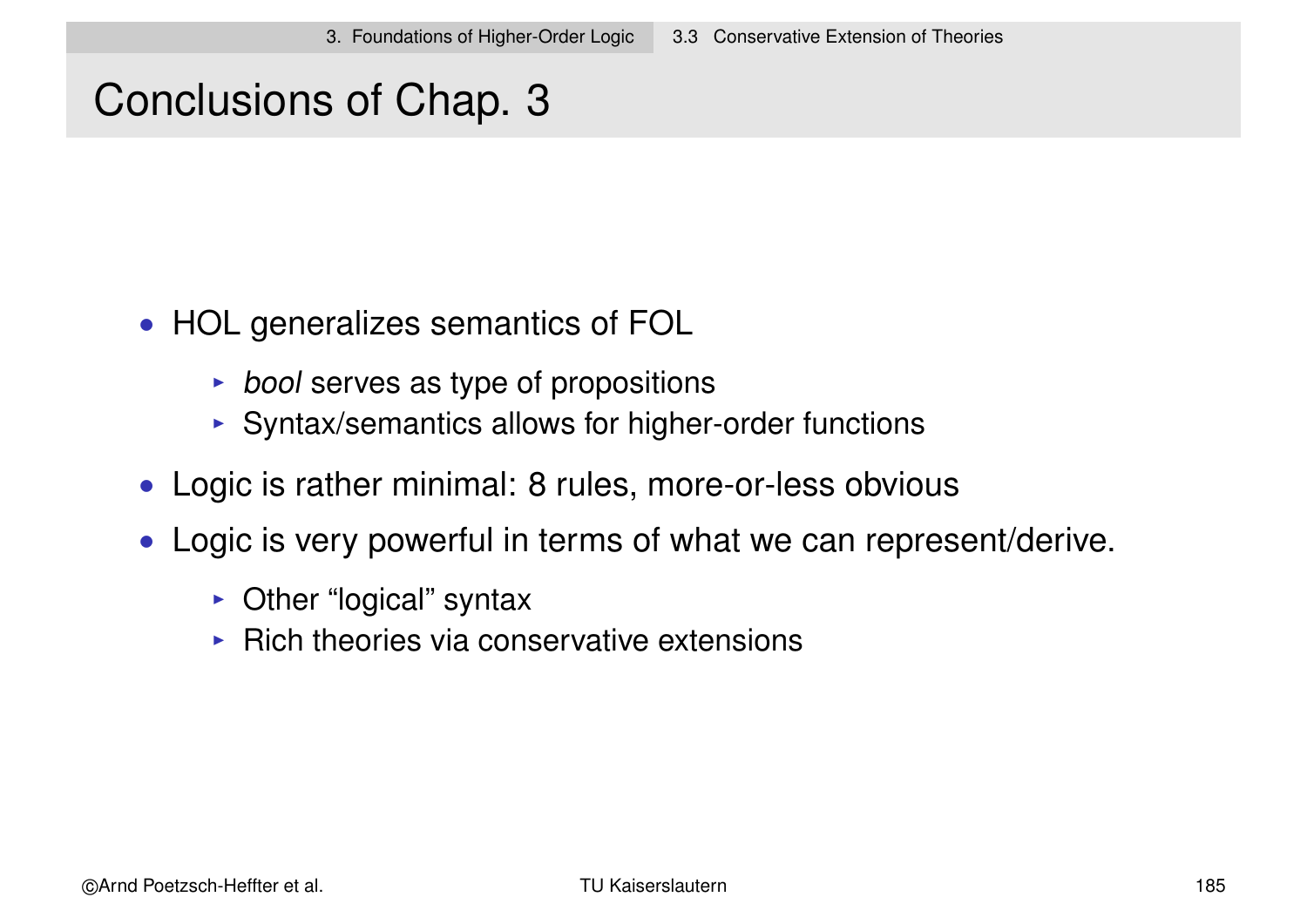### Conclusions of Chap. 3

- HOL generalizes semantics of FOL
	- $\rightarrow$  bool serves as type of propositions
	- $\triangleright$  Syntax/semantics allows for higher-order functions
- Logic is rather minimal: 8 rules, more-or-less obvious
- Logic is very powerful in terms of what we can represent/derive.
	- $\triangleright$  Other "logical" syntax
	- $\triangleright$  Rich theories via conservative extensions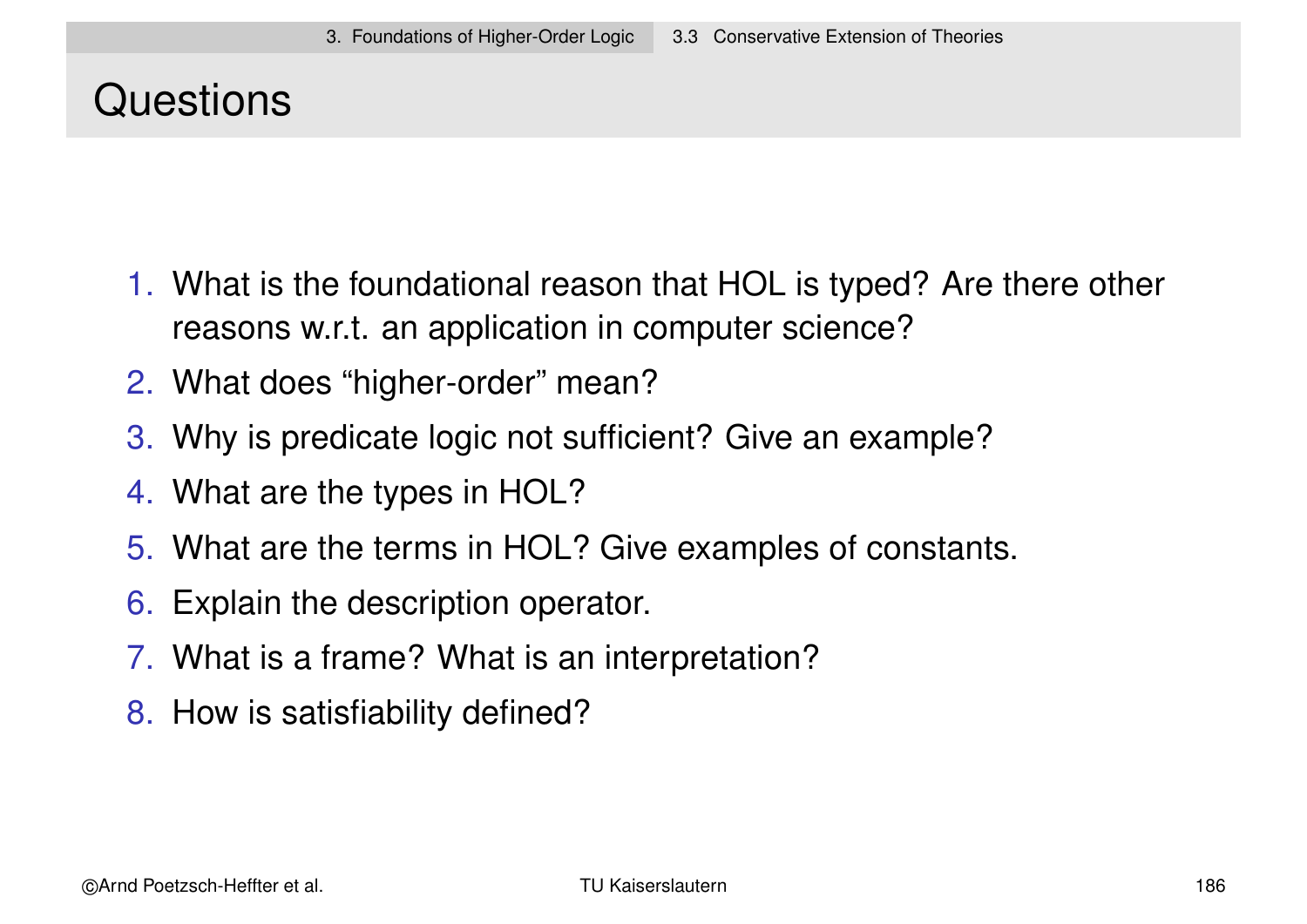# **Questions**

- 1. What is the foundational reason that HOL is typed? Are there other reasons w.r.t. an application in computer science?
- 2. What does "higher-order" mean?
- 3. Why is predicate logic not sufficient? Give an example?
- 4. What are the types in HOL?
- 5. What are the terms in HOL? Give examples of constants.
- 6. Explain the description operator.
- 7. What is a frame? What is an interpretation?
- 8. How is satisfiability defined?